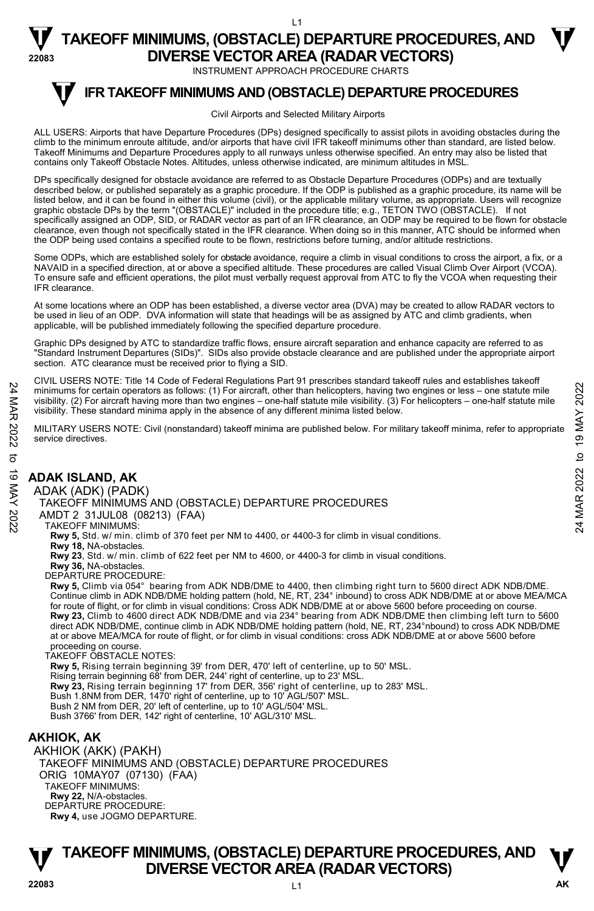INSTRUMENT APPROACH PROCEDURE CHARTS

#### **IFR TAKEOFF MINIMUMS AND (OBSTACLE) DEPARTURE PROCEDURES T**

#### Civil Airports and Selected Military Airports

ALL USERS: Airports that have Departure Procedures (DPs) designed specifically to assist pilots in avoiding obstacles during the climb to the minimum enroute altitude, and/or airports that have civil IFR takeoff minimums other than standard, are listed below. Takeoff Minimums and Departure Procedures apply to all runways unless otherwise specified. An entry may also be listed that contains only Takeoff Obstacle Notes. Altitudes, unless otherwise indicated, are minimum altitudes in MSL.

DPs specifically designed for obstacle avoidance are referred to as Obstacle Departure Procedures (ODPs) and are textually described below, or published separately as a graphic procedure. If the ODP is published as a graphic procedure, its name will be listed below, and it can be found in either this volume (civil), or the applicable military volume, as appropriate. Users will recognize graphic obstacle DPs by the term "(OBSTACLE)" included in the procedure title; e.g., TETON TWO (OBSTACLE). If not specifically assigned an ODP, SID, or RADAR vector as part of an IFR clearance, an ODP may be required to be flown for obstacle clearance, even though not specifically stated in the IFR clearance. When doing so in this manner, ATC should be informed when the ODP being used contains a specified route to be flown, restrictions before turning, and/or altitude restrictions.

Some ODPs, which are established solely for obstacle avoidance, require a climb in visual conditions to cross the airport, a fix, or a NAVAID in a specified direction, at or above a specified altitude. These procedures are called Visual Climb Over Airport (VCOA). To ensure safe and efficient operations, the pilot must verbally request approval from ATC to fly the VCOA when requesting their IFR clearance.

At some locations where an ODP has been established, a diverse vector area (DVA) may be created to allow RADAR vectors to be used in lieu of an ODP. DVA information will state that headings will be as assigned by ATC and climb gradients, when applicable, will be published immediately following the specified departure procedure.

Graphic DPs designed by ATC to standardize traffic flows, ensure aircraft separation and enhance capacity are referred to as "Standard Instrument Departures (SIDs)". SIDs also provide obstacle clearance and are published under the appropriate airport section. ATC clearance must be received prior to flying a SID.

CIVIL USERS NOTE: Title 14 Code of Federal Regulations Part 91 prescribes standard takeoff rules and establishes takeoff minimums for certain operators as follows: (1) For aircraft, other than helicopters, having two engines or less – one statute mile visibility. (2) For aircraft having more than two engines – one-half statute mile visibility. (3) For helicopters – one-half statute mile visibility. These standard minima apply in the absence of any different minima listed below. 24 Minimums for certain operators as follows: (1) For aircraft, other than helicopters, having two engines or less—one statute mile<br>
visibility. (2) For aircraft having more than two engines – one-half statute mile visibi

MILITARY USERS NOTE: Civil (nonstandard) takeoff minima are published below. For military takeoff minima, refer to appropriate service directives.

### **ADAK ISLAND, AK**

ADAK (ADK) (PADK)

TAKEOFF MINIMUMS AND (OBSTACLE) DEPARTURE PROCEDURES

AMDT 2 31JUL08 (08213) (FAA)

#### TAKEOFF MINIMUMS:

**Rwy 5,** Std. w/ min. climb of 370 feet per NM to 4400, or 4400-3 for climb in visual conditions.

**Rwy 18,** NA-obstacles.

**Rwy 23**, Std. w/ min. climb of 622 feet per NM to 4600, or 4400-3 for climb in visual conditions.

**Rwy 36,** NA-obstacles.

DEPARTURE PROCEDURE:

**Rwy 5,** Climb via 054° bearing from ADK NDB/DME to 4400, then climbing right turn to 5600 direct ADK NDB/DME. Continue climb in ADK NDB/DME holding pattern (hold, NE, RT, 234° inbound) to cross ADK NDB/DME at or above MEA/MCA for route of flight, or for climb in visual conditions: Cross ADK NDB/DME at or above 5600 before proceeding on course. **Rwy 23,** Climb to 4600 direct ADK NDB/DME and via 234° bearing from ADK NDB/DME then climbing left turn to 5600 direct ADK NDB/DME, continue climb in ADK NDB/DME holding pattern (hold, NE, RT, 234°nbound) to cross ADK NDB/DME at or above MEA/MCA for route of flight, or for climb in visual conditions: cross ADK NDB/DME at or above 5600 before proceeding on course.

TAKEOFF OBSTACLE NOTES:

**Rwy 5,** Rising terrain beginning 39' from DER, 470' left of centerline, up to 50' MSL.

Rising terrain beginning 68' from DER, 244' right of centerline, up to 23' MSL.<br>**Rwy 23,** Rising terrain beginning 17' from DER, 356' right of centerline, up to 283' MSL.

Bush 1.8NM from DER, 1470' right of centerline, up to 10' AGL/507' MSL.

Bush 2 NM from DER, 20' left of centerline, up to 10' AGL/504' MSL. Bush 3766' from DER, 142' right of centerline, 10' AGL/310' MSL.

#### **AKHIOK, AK**

AKHIOK (AKK) (PAKH) TAKEOFF MINIMUMS AND (OBSTACLE) DEPARTURE PROCEDURES ORIG 10MAY07 (07130) (FAA) TAKEOFF MINIMUMS: **Rwy 22,** N/A-obstacles. DEPARTURE PROCEDURE: **Rwy 4,** use JOGMO DEPARTURE.



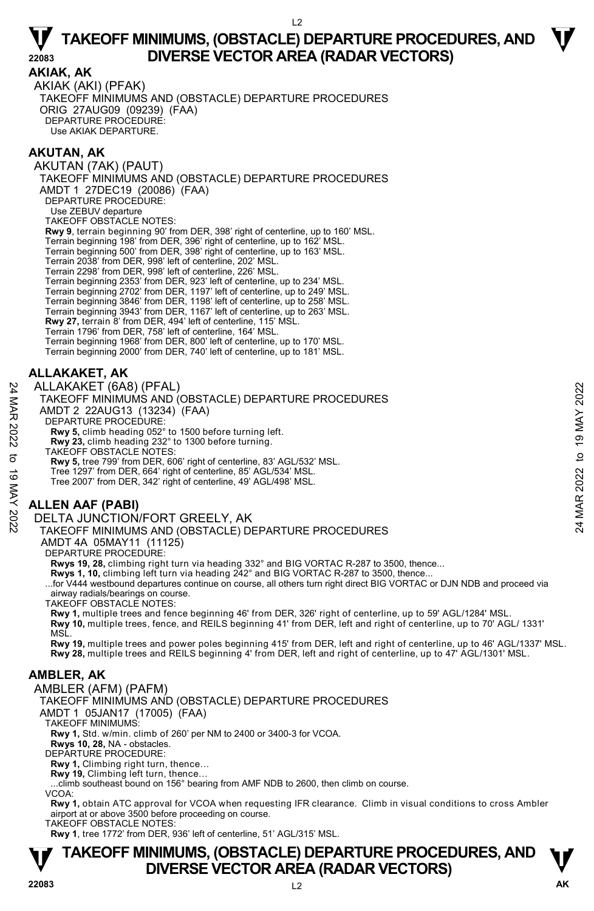**AKIAK, AK** 

AKIAK (AKI) (PFAK) TAKEOFF MINIMUMS AND (OBSTACLE) DEPARTURE PROCEDURES ORIG 27AUG09 (09239) (FAA) DEPARTURE PROCEDURE: Use AKIAK DEPARTURE.

#### **AKUTAN, AK**

AKUTAN (7AK) (PAUT) TAKEOFF MINIMUMS AND (OBSTACLE) DEPARTURE PROCEDURES AMDT 1 27DEC19 (20086) (FAA) DEPARTURE PROCEDURE: Use ZEBUV departure TAKEOFF OBSTACLE NOTES: **Rwy 9**, terrain beginning 90' from DER, 398' right of centerline, up to 160' MSL. Terrain beginning 198' from DER, 396' right of centerline, up to 162' MSL. Terrain beginning 500' from DER, 398' right of centerline, up to 163' MSL. Terrain 2038' from DER, 998' left of centerline, 202' MSL. Terrain 2298' from DER, 998' left of centerline, 226' MSL. Terrain beginning 2353' from DER, 923' left of centerline, up to 234' MSL. Terrain beginning 2702' from DER, 1197' left of centerline, up to 249' MSL. Terrain beginning 3846' from DER, 1198' left of centerline, up to 258' MSL. Terrain beginning 3943' from DER, 1167' left of centerline, up to 263' MSL. **Rwy 27,** terrain 8' from DER, 494' left of centerline, 115' MSL. Terrain 1796' from DER, 758' left of centerline, 164' MSL. Terrain beginning 1968' from DER, 800' left of centerline, up to 170' MSL. Terrain beginning 2000' from DER, 740' left of centerline, up to 181' MSL.

#### **ALLAKAKET, AK**

- ALLAKAKET (6A8) (PFAL)
- TAKEOFF MINIMUMS AND (OBSTACLE) DEPARTURE PROCEDURES ALLAKAKET (6A8) (PFAL)<br>  $\geq$  TAKEOFF MINIMUMS AND (OBSTACLE) DEPARTURE PROCEDURES<br>
AMDT 2 22AUG13 (13234) (FAA)<br>
DEPARTURE PROCEDURE:<br>
Rwy 5, climb heading 32<sup>2</sup> to 1500 before turning left.<br>
RWY 23, climb heading 202<sup>2</sup>
	- AMDT 2 22AUG13 (13234) (FAA)

DEPARTURE PROCEDURE

**Rwy 5,** climb heading 052° to 1500 before turning left.

**Rwy 23,** climb heading 232° to 1300 before turning.

TAKEOFF OBSTACLE NOTES:

**Rwy 5,** tree 799' from DER, 606' right of centerline, 83' AGL/532' MSL.

Tree 1297' from DER, 664' right of centerline, 85' AGL/534' MSL.

Tree 2007' from DER, 342' right of centerline, 49' AGL/498' MSL.

#### **ALLEN AAF (PABI)**

DELTA JUNCTION/FORT GREELY, AK

TAKEOFF MINIMUMS AND (OBSTACLE) DEPARTURE PROCEDURES

AMDT 4A 05MAY11 (11125)

DEPARTURE PROCEDURE:

**Rwys 19, 28,** climbing right turn via heading 332° and BIG VORTAC R-287 to 3500, thence...

**Rwys 1, 10,** climbing left turn via heading 242° and BIG VORTAC R-287 to 3500, thence...

...for V444 westbound departures continue on course, all others turn right direct BIG VORTAC or DJN NDB and proceed via airway radials/bearings on course.

TAKEOFF OBSTACLE NOTES:

**Rwy 1,** multiple trees and fence beginning 46' from DER, 326' right of centerline, up to 59' AGL/1284' MSL.

**Rwy 10,** multiple trees, fence, and REILS beginning 41' from DER, left and right of centerline, up to 70' AGL/ 1331' MSİ

**Rwy 19,** multiple trees and power poles beginning 415' from DER, left and right of centerline, up to 46' AGL/1337' MSL. **Rwy 28,** multiple trees and REILS beginning 4' from DER, left and right of centerline, up to 47' AGL/1301' MSL.

#### **AMBLER, AK**

AMBLER (AFM) (PAFM)

TAKEOFF MINIMUMS AND (OBSTACLE) DEPARTURE PROCEDURES

AMDT 1 05JAN17 (17005) (FAA)

TAKEOFF MINIMUMS:

**Rwy 1,** Std. w/min. climb of 260' per NM to 2400 or 3400-3 for VCOA.

**Rwys 10, 28,** NA - obstacles.

DEPARTURE PROCEDURE:

**Rwy 1,** Climbing right turn, thence… **Rwy 19,** Climbing left turn, thence…

...climb southeast bound on 156° bearing from AMF NDB to 2600, then climb on course.

VCOA:

**Rwy 1,** obtain ATC approval for VCOA when requesting IFR clearance. Climb in visual conditions to cross Ambler airport at or above 3500 before proceeding on course.

TAKEOFF OBSTACLE NOTES:

**Rwy 1**, tree 1772' from DER, 936' left of centerline, 51' AGL/315' MSL.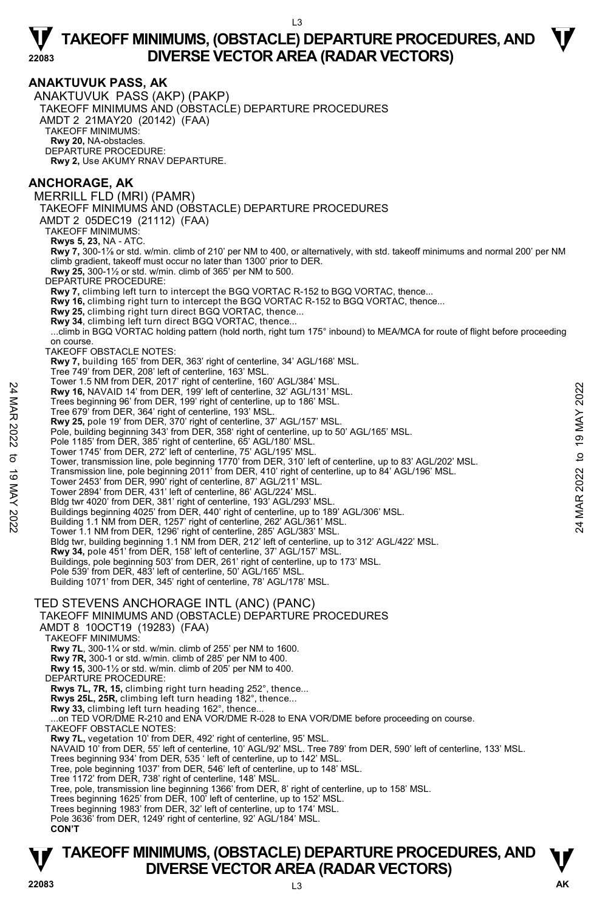#### **ANAKTUVUK PASS, AK**

ANAKTUVUK PASS (AKP) (PAKP) TAKEOFF MINIMUMS AND (OBSTACLE) DEPARTURE PROCEDURES AMDT 2 21MAY20 (20142) (FAA) TAKEOFF MINIMUMS: **Rwy 20,** NA-obstacles. DEPARTURE PROCEDURE: **Rwy 2,** Use AKUMY RNAV DEPARTURE.

#### **ANCHORAGE, AK**

MERRILL FLD (MRI) (PAMR) TAKEOFF MINIMUMS AND (OBSTACLE) DEPARTURE PROCEDURES AMDT 2 05DEC19 (21112) (FAA) TAKEOFF MINIMUMS: **Rwys 5, 23,** NA - ATC. **Rwy 7,** 300-1⅞ or std. w/min. climb of 210' per NM to 400, or alternatively, with std. takeoff minimums and normal 200' per NM climb gradient, takeoff must occur no later than 1300' prior to DER. **Rwy 25,** 300-1½ or std. w/min. climb of 365' per NM to 500. DEPARTURE PROCEDURE: **Rwy 7,** climbing left turn to intercept the BGQ VORTAC R-152 to BGQ VORTAC, thence... **Rwy 16,** climbing right turn to intercept the BGQ VORTAC R-152 to BGQ VORTAC, thence... **Rwy 25,** climbing right turn direct BGQ VORTAC, thence... **Rwy 34**, climbing left turn direct BGQ VORTAC, thence... ...climb in BGQ VORTAC holding pattern (hold north, right turn 175° inbound) to MEA/MCA for route of flight before proceeding on course. TAKEOFF OBSTACLE NOTES: **Rwy 7,** building 165' from DER, 363' right of centerline, 34' AGL/168' MSL. Tree 749' from DER, 208' left of centerline, 163' MSL. Tower 1.5 NM from DER, 2017' right of centerline, 160' AGL/384' MSL. **Rwy 16,** NAVAID 14' from DER, 199' left of centerline, 32' AGL/131' MSL. Trees beginning 96' from DER, 199' right of centerline, up to 186' MSL. Tree 679' from DER, 364' right of centerline, 193' MSL. **Rwy 25,** pole 19' from DER, 370' right of centerline, 37' AGL/157' MSL. Pole, building beginning 343' from DER, 358' right of centerline, up to 50' AGL/165' MSL. Pole 1185' from DER, 385' right of centerline, 65' AGL/180' MSL. Tower 1745' from DER, 272' left of centerline, 75' AGL/195' MSL. Tower, transmission line, pole beginning 1770' from DER, 310' left of centerline, up to 83' AGL/202' MSL. Transmission line, pole beginning 2011' from DER, 410' right of centerline, up to 84' AGL/196' MSL. Tower 2453' from DER, 990' right of centerline, 87' AGL/211' MSL. Tower 2894' from DER, 431' left of centerline, 86' AGL/224' MSL. Bldg twr 4020' from DER, 381' right of centerline, 193' AGL/293' MSL. Now 16, NAVIGID 14' from DER, 199' left of centerline, 32' AGL/131' MSL.<br>
Trees beginning 96' from DER, 199' left of centerline, 32' AGL/131' MSL.<br>
Tree 679' from DER, 34' right of centerline, 12' AGL/157' MSL.<br>
The 679' Bldg twr, building beginning 1.1 NM from DER, 212' left of centerline, up to 312' AGL/422' MSL. **Rwy 34,** pole 451' from DER, 158' left of centerline, 37' AGL/157' MSL.<br>Buildings, pole beginning 503' from DER, 261' right of centerline, up to 173' MSL. Pole 539' from DER, 483' left of centerline, 50' AGL/165' MSL. Building 1071' from DER, 345' right of centerline, 78' AGL/178' MSL. TED STEVENS ANCHORAGE INTL (ANC) (PANC) TAKEOFF MINIMUMS AND (OBSTACLE) DEPARTURE PROCEDURES AMDT 8 10OCT19 (19283) (FAA) TAKEOFF MINIMUMS: **Rwy 7L**, 300-1¼ or std. w/min. climb of 255' per NM to 1600. **Rwy 7R,** 300-1 or std. w/min. climb of 285' per NM to 400. **Rwy 15,** 300-1½ or std. w/min. climb of 205' per NM to 400. DEPARTURE PROCEDURE: **Rwys 7L, 7R, 15,** climbing right turn heading 252°, thence... **Rwys 25L, 25R,** climbing left turn heading 182°, thence... **Rwy 33,** climbing left turn heading 162°, thence... ...on TED VOR/DME R-210 and ENA VOR/DME R-028 to ENA VOR/DME before proceeding on course. TAKEOFF OBSTACLE NOTES: **Rwy 7L,** vegetation 10' from DER, 492' right of centerline, 95' MSL. NAVAID 10' from DER, 55' left of centerline, 10' AGL/92' MSL. Tree 789' from DER, 590' left of centerline, 133' MSL.<br>Trees beginning 934' from DER, 535 ' left of centerline, up to 142' MSL. Tree, pole beginning 1037' from DER, 546' left of centerline, up to 148' MSL. Tree 1172' from DER, 738' right of centerline, 148' MSL. Tree, pole, transmission line beginning 1366' from DER, 8' right of centerline, up to 158' MSL. Trees beginning 1625' from DER, 100' left of centerline, up to 152' MSL. Trees beginning 1983' from DER, 32' left of centerline, up to 174' MSL. Pole 3636' from DER, 1249' right of centerline, 92' AGL/184' MSL. **CON'T** 

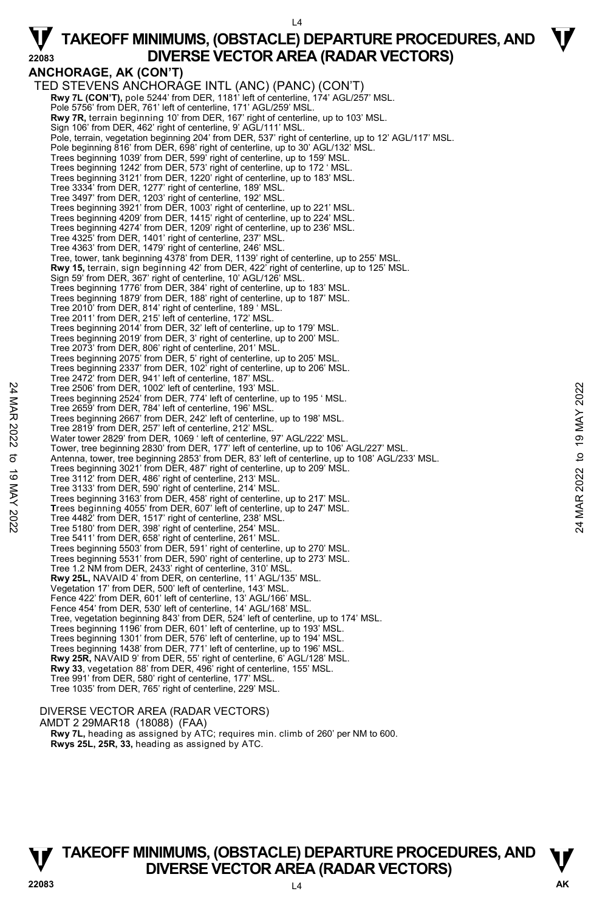#### **ANCHORAGE, AK (CON'T)**  TED STEVENS ANCHORAGE INTL (ANC) (PANC) (CON'T) **Rwy 7L (CON'T),** pole 5244' from DER, 1181' left of centerline, 174' AGL/257' MSL. Pole 5756' from DER, 761' left of centerline, 171' AGL/259' MSL.  **Rwy 7R,** terrain beginning 10' from DER, 167' right of centerline, up to 103' MSL. Sign 106' from DER, 462' right of centerline, 9' AGL/111' MSL. Pole, terrain, vegetation beginning 204' from DER, 537' right of centerline, up to 12' AGL/117' MSL.<br>Pole beginning 816' from DER, 698' right of centerline, up to 30' AGL/132' MSL. Trees beginning 1039' from DER, 599' right of centerline, up to 159' MSL. Trees beginning 1242' from DER, 573' right of centerline, up to 172 ' MSL. Trees beginning 3121' from DER, 1220' right of centerline, up to 183' MSL.<br>Tree 3334' from DER, 1277' right of centerline, 189' MSL.<br>Tree 3497' from DER, 1203' right of centerline, 192' MSL. Trees beginning 3921' from DER, 1003' right of centerline, up to 221' MSL. Trees beginning 4209' from DER, 1415' right of centerline, up to 224' MSL. Trees beginning 4274' from DER, 1209' right of centerline, up to 236' MSL. Tree 4325' from DER, 1401' right of centerline, 237' MSL. Tree 4363' from DER, 1479' right of centerline, 246' MSL. Tree, tower, tank beginning 4378' from DER, 1139' right of centerline, up to 255' MSL. **Rwy 15,** terrain, sign beginning 42' from DER, 422' right of centerline, up to 125' MSL. Sign 59' from DER, 367' right of centerline, 10' AGL/126' MSL. Trees beginning 1776' from DER, 384' right of centerline, up to 183' MSL. Trees beginning 1879' from DER, 188' right of centerline, up to 187' MSL. Tree 2010' from DER, 814' right of centerline, 189 ' MSL. Tree 2011' from DER, 215' left of centerline, 172' MSL. Trees beginning 2014' from DER, 32' left of centerline, up to 179' MSL. Trees beginning 2019' from DER, 3' right of centerline, up to 200' MSL. Tree 2073' from DER, 806' right of centerline, 201' MSL. Trees beginning 2075' from DER, 5' right of centerline, up to 205' MSL. Trees beginning 2337' from DER, 102' right of centerline, up to 206' MSL. Tree 2472' from DER, 941' left of centerline, 187' MSL. Tree 2506' from DER, 1002' left of centerline, 193' MSL. Trees beginning 2524' from DER, 774' left of centerline, up to 195 ' MSL. Tree 2659' from DER, 784' left of centerline, 196' MSL. Trees beginning 2667' from DER, 242' left of centerline, up to 198' MSL. Tree 2819' from DER, 257' left of centerline, 212' MSL. Water tower 2829' from DER, 1069 ' left of centerline, 97' AGL/222' MSL. Tower, tree beginning 2830' from DER, 177' left of centerline, up to 106' AGL/227' MSL. Antenna, tower, tree beginning 2853' from DER, 83' left of centerline, up to 108' AGL/233' MSL. Trees beginning 3021' from DER, 487' right of centerline, up to 209' MSL. Tree 3112' from DER, 486' right of centerline, 213' MSL. Tree 3133' from DER, 590' right of centerline, 214' MSL. Trees beginning 3163' from DER, 458' right of centerline, up to 217' MSL. **T**rees beginning 4055' from DER, 607' left of centerline, up to 247' MSL. Tree 4482' from DER, 1517' right of centerline, 238' MSL. Tree 5180' from DER, 398' right of centerline, 254' MSL. Tree 5411' from DER, 658' right of centerline, 261' MSL. Trees beginning 5503' from DER, 591' right of centerline, up to 270' MSL. Trees beginning 5531' from DER, 590' right of centerline, up to 273' MSL. Tree 1.2 NM from DER, 2433' right of centerline, 310' MSL. **Rwy 25L,** NAVAID 4' from DER, on centerline, 11' AGL/135' MSL. Vegetation 17' from DER, 500' left of centerline, 143' MSL. Fence 422' from DER, 601' left of centerline, 13' AGL/166' MSL. Fence 454' from DER, 530' left of centerline, 14' AGL/168' MSL. Tree, vegetation beginning 843' from DER, 524' left of centerline, up to 174' MSL. Trees beginning 1196' from DER, 601' left of centerline, up to 193' MSL. Trees beginning 1301' from DER, 576' left of centerline, up to 194' MSL. Trees beginning 1438' from DER, 771' left of centerline, up to 196' MSL.<br>**Rwy 25R,** NAVAID 9' from DER, 55' right of centerline, 6' AGL/128' MSL. Tree 2506' from DER, 1002' left of centerline, 193' MSL.<br>
Tree 2659' from DER, 784' left of centerline, up to 195 ' MSL.<br>
Tree 2659' from DER, 784' left of centerline, 196' MSL.<br>
Tree 2819' from DER, 242' left of centerli

**Rwy 33**, vegetation 88' from DER, 496' right of centerline, 155' MSL.

Tree 991' from DER, 580' right of centerline, 177' MSL.

Tree 1035' from DER, 765' right of centerline, 229' MSL.

#### DIVERSE VECTOR AREA (RADAR VECTORS) AMDT 2 29MAR18 (18088) (FAA) **Rwy 7L,** heading as assigned by ATC; requires min. climb of 260' per NM to 600. **Rwys 25L, 25R, 33,** heading as assigned by ATC.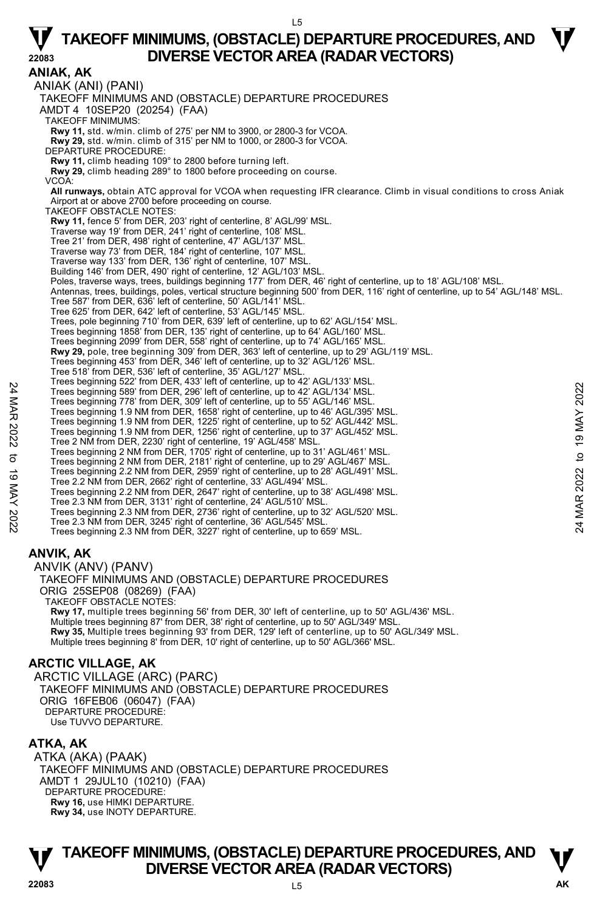#### L5

### **TAKEOFF MINIMUMS, (OBSTACLE) DEPARTURE PROCEDURES, AND**  $\Psi$ **22083 DIVERSE VECTOR AREA (RADAR VECTORS)**

**ANIAK, AK**  ANIAK (ANI) (PANI) TAKEOFF MINIMUMS AND (OBSTACLE) DEPARTURE PROCEDURES AMDT 4 10SEP20 (20254) (FAA) TAKEOFF MINIMUMS: **Rwy 11,** std. w/min. climb of 275' per NM to 3900, or 2800-3 for VCOA. **Rwy 29,** std. w/min. climb of 315' per NM to 1000, or 2800-3 for VCOA. DEPARTURE PROCEDURE: **Rwy 11,** climb heading 109° to 2800 before turning left. **Rwy 29,** climb heading 289° to 1800 before proceeding on course. VCOA: **All runways,** obtain ATC approval for VCOA when requesting IFR clearance. Climb in visual conditions to cross Aniak Airport at or above 2700 before proceeding on course. TAKEOFF OBSTACLE NOTES: **Rwy 11,** fence 5' from DER, 203' right of centerline, 8' AGL/99' MSL. Traverse way 19' from DER, 241' right of centerline, 108' MSL. Tree 21' from DER, 498' right of centerline, 47' AGL/137' MSL. Traverse way 73' from DER, 184' right of centerline, 107' MSL. Traverse way 133' from DER, 136' right of centerline, 107' MSL. Building 146' from DER, 490' right of centerline, 12' AGL/103' MSL. Poles, traverse ways, trees, buildings beginning 177' from DER, 46' right of centerline, up to 18' AGL/108' MSL. Antennas, trees, buildings, poles, vertical structure beginning 500' from DER, 116' right of centerline, up to 54' AGL/148' MSL. Tree 587' from DER, 636' left of centerline, 50' AGL/141' MSL. Tree 625' from DER, 642' left of centerline, 53' AGL/145' MSL. Trees, pole beginning 710' from DER, 639' left of centerline, up to 62' AGL/154' MSL. Trees beginning 1858' from DER, 135' right of centerline, up to 64' AGL/160' MSL. Trees beginning 2099' from DER, 558' right of centerline, up to 74' AGL/165' MSL. **Rwy 29,** pole, tree beginning 309' from DER, 363' left of centerline, up to 29' AGL/119' MSL. Trees beginning 453' from DER, 346' left of centerline, up to 32' AGL/126' MSL. Tree 518' from DER, 536' left of centerline, 35' AGL/127' MSL. Trees beginning 522' from DER, 433' left of centerline, up to 42' AGL/133' MSL. Trees beginning 589' from DER, 296' left of centerline, up to 42' AGL/134' MSL. Trees beginning 778' from DER, 309' left of centerline, up to 55' AGL/146' MSL. Trees beginning 1.9 NM from DER, 1658' right of centerline, up to 46' AGL/395' MSL. Trees beginning 1.9 NM from DER, 1225' right of centerline, up to 52' AGL/442' MSL. Trees beginning 1.9 NM from DER, 1256' right of centerline, up to 37' AGL/452' MSL. Tree 2 NM from DER, 2230' right of centerline, 19' AGL/458' MSL. Trees beginning 2 NM from DER, 1705' right of centerline, up to 31' AGL/461' MSL. Trees beginning 2 NM from DER, 2181' right of centerline, up to 29' AGL/467' MSL. Trees beginning 2.2 NM from DER, 2959' right of centerline, up to 28' AGL/491' MSL. Tree 2.2 NM from DER, 2662' right of centerline, 33' AGL/494' MSL. Trees beginning 2.2 NM from DER, 2647' right of centerline, up to 38' AGL/498' MSL. Tree 2.3 NM from DER, 3131' right of centerline, 24' AGL/510' MSL. Trees beginning 2.3 NM from DER, 2736' right of centerline, up to 32' AGL/520' MSL. Tree 2.3 NM from DER, 3245' right of centerline, 36' AGL/545' MSL. Trees beginning 2.3 NM from DER, 3227' right of centerline, up to 659' MSL. **ANVIK, AK**  ANVIK (ANV) (PANV) TAKEOFF MINIMUMS AND (OBSTACLE) DEPARTURE PROCEDURES ORIG 25SEP08 (08269) (FAA) TAKEOFF OBSTACLE NOTES: **Rwy 17,** multiple trees beginning 56' from DER, 30' left of centerline, up to 50' AGL/436' MSL. Multiple trees beginning 87' from DER, 38' right of centerline, up to 50' AGL/349' MSL.<br>**Rwy 35,** Multiple trees beginning 93' from DER, 129' left of centerline, up to 50' AGL/349' MSL. Multiple trees beginning 8' from DER, 10' right of centerline, up to 50' AGL/366' MSL. Trees beginning 322 I Mi from DER, 2022 i discriberie, up to 42 AGL/134' MSL.<br>
Trees beginning 778' from DER, 296' left of centerline, up to 42' AGL/134' MSL.<br>
Trees beginning 1.9 NM from DER, 1658' right of centerline, up

#### **ARCTIC VILLAGE, AK**

ARCTIC VILLAGE (ARC) (PARC) TAKEOFF MINIMUMS AND (OBSTACLE) DEPARTURE PROCEDURES ORIG 16FEB06 (06047) (FAA) DEPARTURE PROCEDURE: Use TUVVO DEPARTURE.

#### **ATKA, AK**

ATKA (AKA) (PAAK) TAKEOFF MINIMUMS AND (OBSTACLE) DEPARTURE PROCEDURES AMDT 1 29JUL10 (10210) (FAA) DEPARTURE PROCEDURE: **Rwy 16,** use HIMKI DEPARTURE. **Rwy 34,** use INOTY DEPARTURE.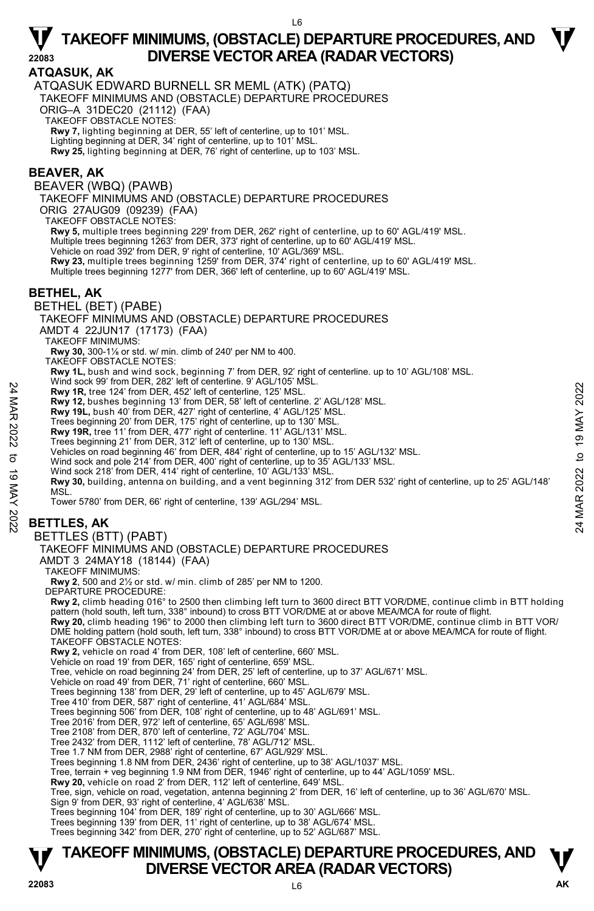#### **ATQASUK, AK**

ATQASUK EDWARD BURNELL SR MEML (ATK) (PATQ) TAKEOFF MINIMUMS AND (OBSTACLE) DEPARTURE PROCEDURES ORIG–A 31DEC20 (21112) (FAA) TAKEOFF OBSTACLE NOTES: **Rwy 7,** lighting beginning at DER, 55' left of centerline, up to 101' MSL. Lighting beginning at DER, 34' right of centerline, up to 101' MSL. **Rwy 25,** lighting beginning at DER, 76' right of centerline, up to 103' MSL.

#### **BEAVER, AK**

BEAVER (WBQ) (PAWB)

TAKEOFF MINIMUMS AND (OBSTACLE) DEPARTURE PROCEDURES

ORIG 27AUG09 (09239) (FAA)

TAKEOFF OBSTACLE NOTES:

**Rwy 5,** multiple trees beginning 229' from DER, 262' right of centerline, up to 60' AGL/419' MSL.

Multiple trees beginning 1263' from DER, 373' right of centerline, up to 60' AGL/419' MSL.

Vehicle on road 392' from DER, 9' right of centerline, 10' AGL/369' MSL.

**Rwy 23,** multiple trees beginning 1259' from DER, 374' right of centerline, up to 60' AGL/419' MSL.

Multiple trees beginning 1277' from DER, 366' left of centerline, up to 60' AGL/419' MSL.

#### **BETHEL, AK**

BETHEL (BET) (PABE)

TAKEOFF MINIMUMS AND (OBSTACLE) DEPARTURE PROCEDURES

AMDT 4 22JUN17 (17173) (FAA)

TAKEOFF MINIMUMS:

**Rwy 30,** 300-1⅛ or std. w/ min. climb of 240' per NM to 400.

TAKEOFF OBSTACLE NOTES:

**Rwy 1L,** bush and wind sock, beginning 7' from DER, 92' right of centerline. up to 10' AGL/108' MSL.

Wind sock 99' from DER, 282' left of centerline. 9' AGL/105' MSL.

**Rwy 1R,** tree 124' from DER, 452' left of centerline, 125' MSL.

**Rwy 12,** bushes beginning 13' from DER, 58' left of centerline. 2' AGL/128' MSL.

**Rwy 19L,** bush 40' from DER, 427' right of centerline, 4' AGL/125' MSL.<br>Trees beginning 20' from DER, 175' right of centerline, up to 130' MSL.

**Rwy 19R,** tree 11' from DER, 477' right of centerline. 11' AGL/131' MSL.

Trees beginning 21' from DER, 312' left of centerline, up to 130' MSL.

Vehicles on road beginning 46' from DER, 484' right of centerline, up to 15' AGL/132' MSL. Wind sock and pole 214' from DER, 400' right of centerline, up to 35' AGL/133' MSL.

Wind sock 218' from DER, 414' right of centerline, 10' AGL/133' MSL.

**Rwy 30,** building, antenna on building, and a vent beginning 312' from DER 532' right of centerline, up to 25' AGL/148'<br>MSL. **EXAMPLE 2022** to 19 USING 2022 to 19 USING 2022 to 19 USING 2022 to 19 USING 2022 to 19 MAY 17, the 124 'form DER, 432' left of centerline, 125' MSL.<br> **EXAMPLY 12,** bushes beginning 13' from DER, 58' left of centerline,

Tower 5780' from DER, 66' right of centerline, 139' AGL/294' MSL.

### **BETTLES, AK**

#### BETTLES (BTT) (PABT)

TAKEOFF MINIMUMS AND (OBSTACLE) DEPARTURE PROCEDURES

AMDT 3 24MAY18 (18144) (FAA)

TAKEOFF MINIMUMS:

**Rwy 2**, 500 and 2½ or std. w/ min. climb of 285' per NM to 1200. DEPARTURE PROCEDURE:

**Rwy 2,** climb heading 016° to 2500 then climbing left turn to 3600 direct BTT VOR/DME, continue climb in BTT holding

pattern (hold south, left turn, 338° inbound) to cross BTT VOR/DME at or above MEA/MCA for route of flight.<br>**Rwy 20**, climb heading 196° to 2000 then climbing left turn to 3600 direct BTT VOR/DME, continue climb in BTT VOR TAKEOFF OBSTACLE NOTES:

**Rwy 2,** vehicle on road 4' from DER, 108' left of centerline, 660' MSL.

Vehicle on road 19' from DER, 165' right of centerline, 659' MSL.

Tree, vehicle on road beginning 24' from DER, 25' left of centerline, up to 37' AGL/671' MSL.

Vehicle on road 49' from DER, 71' right of centerline, 660' MSL. Trees beginning 138' from DER, 29' left of centerline, up to 45' AGL/679' MSL.

Tree 410' from DER, 587' right of centerline, 41' AGL/684' MSL.

Trees beginning 506' from DER, 108' right of centerline, up to 48' AGL/691' MSL.

Tree 2016' from DER, 972' left of centerline, 65' AGL/698' MSL. Tree 2108' from DER, 870' left of centerline, 72' AGL/704' MSL.

Tree 2432' from DER, 1112' left of centerline, 78' AGL/712' MSL.

Tree 1.7 NM from DER, 2988' right of centerline, 67' AGL/929' MSL. Trees beginning 1.8 NM from DER, 2436' right of centerline, up to 38' AGL/1037' MSL.

Tree, terrain + veg beginning 1.9 NM from DER, 1946' right of centerline, up to 44' AGL/1059' MSL.

**Rwy 20,** vehicle on road 2' from DER, 112' left of centerline, 649' MSL.

Tree, sign, vehicle on road, vegetation, antenna beginning 2' from DER, 16' left of centerline, up to 36' AGL/670' MSL. Sign 9' from DER, 93' right of centerline, 4' AGL/638' MSL.

Trees beginning 104' from DER, 189' right of centerline, up to 30' AGL/666' MSL.

Trees beginning 139' from DER, 11' right of centerline, up to 38' AGL/674' MSL.

Trees beginning 342' from DER, 270' right of centerline, up to 52' AGL/687' MSL.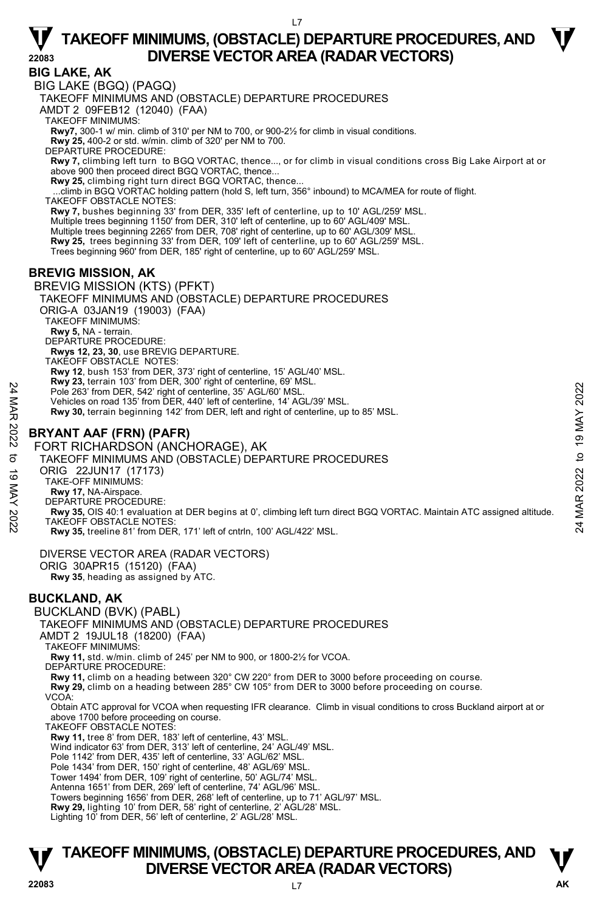**BIG LAKE, AK**  BIG LAKE (BGQ) (PAGQ) TAKEOFF MINIMUMS AND (OBSTACLE) DEPARTURE PROCEDURES AMDT 2 09FEB12 (12040) (FAA) TAKEOFF MINIMUMS: **Rwy7,** 300-1 w/ min. climb of 310' per NM to 700, or 900-2½ for climb in visual conditions. **Rwy 25,** 400-2 or std. w/min. climb of 320' per NM to 700. DEPARTURE PROCEDURE: **Rwy 7,** climbing left turn to BGQ VORTAC, thence..., or for climb in visual conditions cross Big Lake Airport at or above 900 then proceed direct BGQ VORTAC, thence... **Rwy 25,** climbing right turn direct BGQ VORTAC, thence... ...climb in BGQ VORTAC holding pattern (hold S, left turn, 356° inbound) to MCA/MEA for route of flight. TAKEOFF OBSTACLE NOTES: **Rwy 7,** bushes beginning 33' from DER, 335' left of centerline, up to 10' AGL/259' MSL. Multiple trees beginning 1150' from DER, 310' left of centerline, up to 60' AGL/409' MSL. Multiple trees beginning 2265' from DER, 708' right of centerline, up to 60' AGL/309' MSL. **Rwy 25,** trees beginning 33' from DER, 109' left of centerline, up to 60' AGL/259' MSL. Trees beginning 960' from DER, 185' right of centerline, up to 60' AGL/259' MSL. **BREVIG MISSION, AK**  BREVIG MISSION (KTS) (PFKT) TAKEOFF MINIMUMS AND (OBSTACLE) DEPARTURE PROCEDURES ORIG-A 03JAN19 (19003) (FAA) TAKEOFF MINIMUMS: **Rwy 5,** NA - terrain. DEPARTURE PROCEDURE: **Rwys 12, 23, 30**, use BREVIG DEPARTURE. TAKEOFF OBSTACLE NOTES: **Rwy 12**, bush 153' from DER, 373' right of centerline, 15' AGL/40' MSL. **Rwy 23,** terrain 103' from DER, 300' right of centerline, 69' MSL. Pole 263' from DER, 542' right of centerline, 35' AGL/60' MSL. Vehicles on road 135' from DER, 440' left of centerline, 14' AGL/39' MSL. **Rwy 30,** terrain beginning 142' from DER, left and right of centerline, up to 85' MSL. **BRYANT AAF (FRN) (PAFR)**  FORT RICHARDSON (ANCHORAGE), AK TAKEOFF MINIMUMS AND (OBSTACLE) DEPARTURE PROCEDURES ORIG 22JUN17 (17173) TAKE-OFF MINIMUMS: **Rwy 17,** NA-Airspace. DEPARTURE PROCEDURE: **Rwy 35, Client Tot Total Action at DER begins at 0', climbing left turn direct BGQ VORTAC. Maintain ATC assigned altitude.**<br> **Rwy 36, terrain beginning 142' from DER, 440' left of centerline, 41' AGL/39' MSL.**<br> **BRYANT A Rwy 35,** treeline 81' from DER, 171' left of cntrln, 100' AGL/422' MSL. DIVERSE VECTOR AREA (RADAR VECTORS) ORIG 30APR15 (15120) (FAA) **Rwy 35**, heading as assigned by ATC. **BUCKLAND, AK**  BUCKLAND (BVK) (PABL) TAKEOFF MINIMUMS AND (OBSTACLE) DEPARTURE PROCEDURES AMDT 2 19JUL18 (18200) (FAA) TAKEOFF MINIMUMS: **Rwy 11,** std. w/min. climb of 245' per NM to 900, or 1800-2½ for VCOA. DEPARTURE PROCEDURE: **Rwy 11,** climb on a heading between 320° CW 220° from DER to 3000 before proceeding on course. **Rwy 29,** climb on a heading between 285° CW 105° from DER to 3000 before proceeding on course. VCOA: Obtain ATC approval for VCOA when requesting IFR clearance. Climb in visual conditions to cross Buckland airport at or above 1700 before proceeding on course. TAKEOFF OBSTACLE NOTES: **Rwy 11,** tree 8' from DER, 183' left of centerline, 43' MSL. Wind indicator 63' from DER, 313' left of centerline, 24' AGL/49' MSL. Pole 1142' from DER, 435' left of centerline, 33' AGL/62' MSL. Pole 1434' from DER, 150' right of centerline, 48' AGL/69' MSL Tower 1494' from DER, 109' right of centerline, 50' AGL/74' MSL. Antenna 1651' from DER, 269' left of centerline, 74' AGL/96' MSL. Towers beginning 1656' from DER, 268' left of centerline, up to 71' AGL/97' MSL. **Rwy 29,** lighting 10' from DER, 58' right of centerline, 2' AGL/28' MSL.<br>Lighting 10' from DER, 56' left of centerline, 2' AGL/28' MSL.

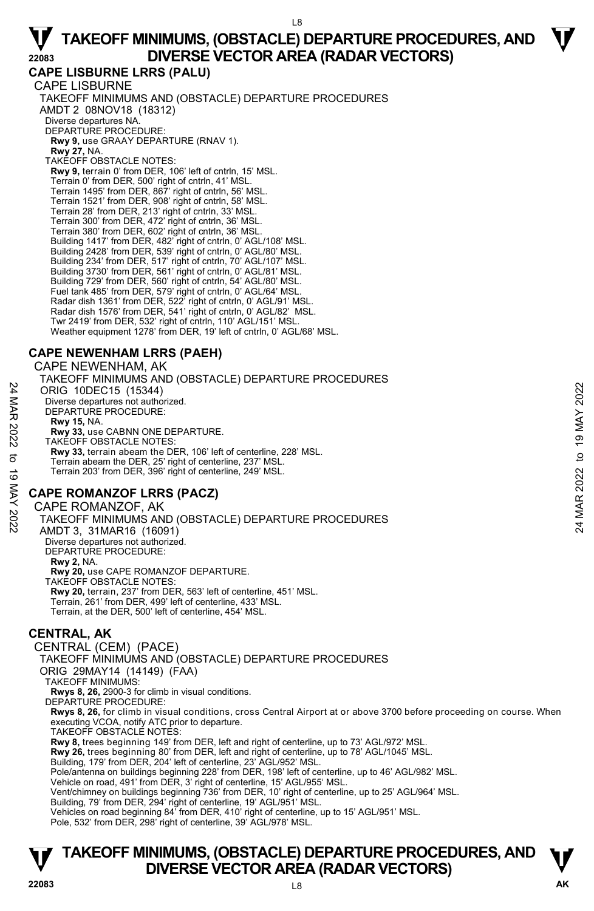**CAPE LISBURNE LRRS (PALU)**  CAPE LISBURNE TAKEOFF MINIMUMS AND (OBSTACLE) DEPARTURE PROCEDURES AMDT 2 08NOV18 (18312) Diverse departures NA. DEPARTURE PROCEDURE: **Rwy 9,** use GRAAY DEPARTURE (RNAV 1). **Rwy 27,** NA. TAKEOFF OBSTACLE NOTES: **Rwy 9,** terrain 0' from DER, 106' left of cntrln, 15' MSL. Terrain 0' from DER, 500' right of cntrln, 41' MSL. Terrain 1495' from DER, 867' right of cntrln, 56' MSL. Terrain 1521' from DER, 908' right of cntrln, 58' MSL. Terrain 28' from DER, 213' right of cntrln, 33' MSL. Terrain 300' from DER, 472' right of cntrln, 36' MSL. Terrain 380' from DER, 602' right of cntrln, 36' MSL. Building 1417' from DER, 482' right of cntrln, 0' AGL/108' MSL. Building 2428' from DER, 539' right of cntrln, 0' AGL/80' MSL. Building 234' from DER, 517' right of cntrln, 70' AGL/107' MSL. Building 3730' from DER, 561' right of cntrln, 0' AGL/81' MSL. Building 729' from DER, 560' right of cntrln, 54' AGL/80' MSL. Fuel tank 485' from DER, 579' right of cntrln, 0' AGL/64' MSL. Radar dish 1361' from DER, 522' right of cntrln, 0' AGL/91' MSL. Radar dish 1576' from DER, 541' right of cntrln, 0' AGL/82' MSL. Twr 2419' from DER, 532' right of cntrln, 110' AGL/151' MSL. Weather equipment 1278' from DER, 19' left of cntrln, 0' AGL/68' MSL.

#### **CAPE NEWENHAM LRRS (PAEH)**

CAPE NEWENHAM, AK

TAKEOFF MINIMUMS AND (OBSTACLE) DEPARTURE PROCEDURES ORIG 10DEC15 (15344) Diverse departures not authorized. DEPARTURE PROCEDURE: **Rwy 15,** NA. **Rwy 33,** use CABNN ONE DEPARTURE. TAKEOFF OBSTACLE NOTES: **Rwy 33,** terrain abeam the DER, 106' left of centerline, 228' MSL. Terrain abeam the DER, 25' right of centerline, 237' MSI Terrain 203' from DER, 396' right of centerline, 249' MSL. 24 MRIG 10DEC15 (15344)<br>
ORIG 10DEC15 (15344)<br>
Diverse departures not authorized.<br>
Rey 13, NA.<br>
Rey 13, NA.<br>
Rey 13, NA.<br>
Rey 33, Use CABNN ONE DEPARTURE.<br>
TAKEOFF OBSTROLLE NOTES:<br>
Terrain abeam the DER, 25' right of cen

### **CAPE ROMANZOF LRRS (PACZ)**

CAPE ROMANZOF, AK TAKEOFF MINIMUMS AND (OBSTACLE) DEPARTURE PROCEDURES AMDT 3, 31MAR16 (16091) Diverse departures not authorized. DEPARTURE PROCEDURE: **Rwy 2,** NA. **Rwy 20,** use CAPE ROMANZOF DEPARTURE. TAKEOFF OBSTACLE NOTES: **Rwy 20,** terrain, 237' from DER, 563' left of centerline, 451' MSL. Terrain, 261' from DER, 499' left of centerline, 433' MSL.

Terrain, at the DER, 500' left of centerline, 454' MSL.

#### **CENTRAL, AK**

CENTRAL (CEM) (PACE) TAKEOFF MINIMUMS AND (OBSTACLE) DEPARTURE PROCEDURES ORIG 29MAY14 (14149) (FAA) TAKEOFF MINIMUMS: **Rwys 8, 26,** 2900-3 for climb in visual conditions. DEPARTURE PROCEDURE: **Rwys 8, 26,** for climb in visual conditions, cross Central Airport at or above 3700 before proceeding on course. When executing VCOA, notify ATC prior to departure. TAKEOFF OBSTACLE NOTES: **Rwy 8,** trees beginning 149' from DER, left and right of centerline, up to 73' AGL/972' MSL. **726,** trees beginning 80' from DER, left and right of centerline, up to 78' AGL/1045' MSL Building, 179' from DER, 204' left of centerline, 23' AGL/952' MSL. Pole/antenna on buildings beginning 228' from DER, 198' left of centerline, up to 46' AGL/982' MSL. Vehicle on road, 491' from DER, 3' right of centerline, 15' AGL/955' MSL. Vent/chimney on buildings beginning 736' from DER, 10' right of centerline, up to 25' AGL/964' MSL.<br>Building, 79' from DER, 294' right of centerline, 19' AGL/951' MSL.<br>Vehicles on road beginning 84' from DER, 410' right of

Pole, 532' from DER, 298' right of centerline, 39' AGL/978' MSL.

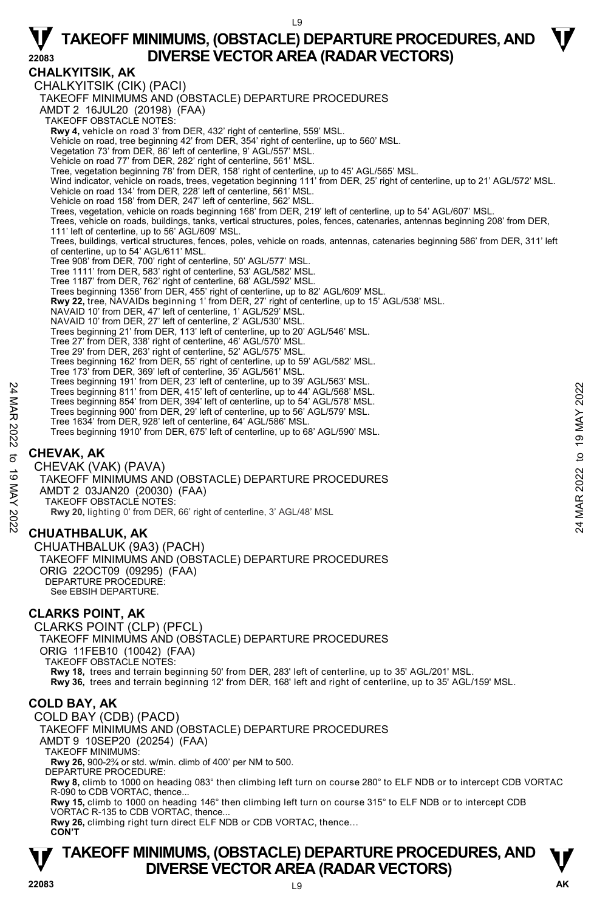# **TAKEOFF MINIMUMS, (OBSTACLE) DEPARTURE PROCEDURES, AND**  $\Psi$

#### **22083 DIVERSE VECTOR AREA (RADAR VECTORS) CHALKYITSIK, AK**  CHALKYITSIK (CIK) (PACI) TAKEOFF MINIMUMS AND (OBSTACLE) DEPARTURE PROCEDURES AMDT 2 16JUL20 (20198) (FAA) TAKEOFF OBSTACLE NOTES: **Rwy 4,** vehicle on road 3' from DER, 432' right of centerline, 559' MSL. Vehicle on road, tree beginning 42' from DER, 354' right of centerline, up to 560' MSL. Vegetation 73' from DER, 86' left of centerline, 9' AGL/557' MSL. Vehicle on road 77' from DER, 282' right of centerline, 561' MSL. Tree, vegetation beginning 78' from DER, 158' right of centerline, up to 45' AGL/565' MSL. Wind indicator, vehicle on roads, trees, vegetation beginning 111' from DER, 25' right of centerline, up to 21' AGL/572' MSL. Vehicle on road 134' from DER, 228' left of centerline, 561' MSL. Vehicle on road 158' from DER, 247' left of centerline, 562' MSL. Trees, vegetation, vehicle on roads beginning 168' from DER, 219' left of centerline, up to 54' AGL/607' MSL. Trees, vehicle on roads, buildings, tanks, vertical structures, poles, fences, catenaries, antennas beginning 208' from DER, 111' left of centerline, up to 56' AGL/609' MSL. Trees, buildings, vertical structures, fences, poles, vehicle on roads, antennas, catenaries beginning 586' from DER, 311' left of centerline, up to 54' AGL/611' MSL. Tree 908' from DER, 700' right of centerline, 50' AGL/577' MSL. Tree 1111' from DER, 583' right of centerline, 53' AGL/582' MSL. Tree 1187' from DER, 762' right of centerline, 68' AGL/592' MSL. Trees beginning 1356' from DER, 455' right of centerline, up to 82' AGL/609' MSL. **Rwy 22,** tree, NAVAIDs beginning 1' from DER, 27' right of centerline, up to 15' AGL/538' MSL. NAVAID 10' from DER, 47' left of centerline, 1' AGL/529' MSL. NAVAID 10' from DER, 27' left of centerline, 2' AGL/530' MSL. Trees beginning 21' from DER, 113' left of centerline, up to 20' AGL/546' MSL. Tree 27' from DER, 338' right of centerline, 46' AGL/570' MSL. Tree 29' from DER, 263' right of centerline, 52' AGL/575' MSL. Trees beginning 162' from DER, 55' right of centerline, up to 59' AGL/582' MSL. Tree 173' from DER, 369' left of centerline, 35' AGL/561' MSL. Trees beginning 191' from DER, 23' left of centerline, up to 39' AGL/563' MSL. Trees beginning 811' from DER, 415' left of centerline, up to 44' AGL/568' MSL. Trees beginning 854' from DER, 394' left of centerline, up to 54' AGL/578' MSL. Trees beginning 900' from DER, 29' left of centerline, up to 56' AGL/579' MSL. Tree 1634' from DER, 928' left of centerline, 64' AGL/586' MSL. Trees beginning 1910' from DER, 675' left of centerline, up to 68' AGL/590' MSL. **CHEVAK, AK**  CHEVAK (VAK) (PAVA) TAKEOFF MINIMUMS AND (OBSTACLE) DEPARTURE PROCEDURES AMDT 2 03JAN20 (20030) (FAA) TAKEOFF OBSTACLE NOTES: **Rwy 20,** lighting 0' from DER, 66' right of centerline, 3' AGL/48' MSL **CHUATHBALUK, AK**  CHUATHBALUK (9A3) (PACH) TAKEOFF MINIMUMS AND (OBSTACLE) DEPARTURE PROCEDURES ORIG 22OCT09 (09295) (FAA) DEPARTURE PROCEDURÉ: See EBSIH DEPARTURE. **CLARKS POINT, AK**  CLARKS POINT (CLP) (PFCL) TAKEOFF MINIMUMS AND (OBSTACLE) DEPARTURE PROCEDURES ORIG 11FEB10 (10042) (FAA) TAKEOFF OBSTACLE NOTES: **Rwy 18,** trees and terrain beginning 50' from DER, 283' left of centerline, up to 35' AGL/201' MSL. **Rwy 36,** trees and terrain beginning 12' from DER, 168' left and right of centerline, up to 35' AGL/159' MSL. **COLD BAY, AK**  COLD BAY (CDB) (PACD) TAKEOFF MINIMUMS AND (OBSTACLE) DEPARTURE PROCEDURES AMDT 9 10SEP20 (20254) (FAA) TAKEOFF MINIMUMS: **Rwy 26,** 900-2¾ or std. w/min. climb of 400' per NM to 500. DEPARTURE PROCEDURE: **Rwy 8,** climb to 1000 on heading 083° then climbing left turn on course 280° to ELF NDB or to intercept CDB VORTAC R-090 to CDB VORTAC, thence. **Rwy 15,** climb to 1000 on heading 146° then climbing left turn on course 315° to ELF NDB or to intercept CDB VORTAC R-135 to CDB VORTAC, thence. **Rwy 26,** climbing right turn direct ELF NDB or CDB VORTAC, thence…  **CON'T**  Trees beginning 811' from DER, 415' left of centerline, up to 34' AGL/568' MSL.<br>
Trees beginning 804' from DER, 415' left of centerline, up to 54' AGL/578' MSL.<br>
Trees beginning 900' from DER, 294' left of centerline, up t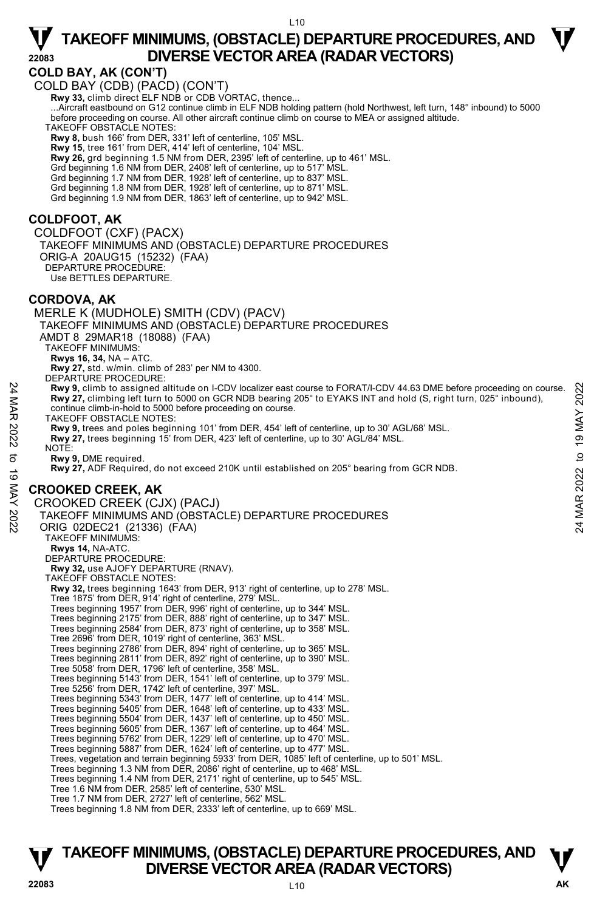#### **COLD BAY, AK (CON'T)**

COLD BAY (CDB) (PACD) (CON'T)  **Rwy 33,** climb direct ELF NDB or CDB VORTAC, thence... ...Aircraft eastbound on G12 continue climb in ELF NDB holding pattern (hold Northwest, left turn, 148° inbound) to 5000 before proceeding on course. All other aircraft continue climb on course to MEA or assigned altitude. TAKEOFF OBSTACLE NOTES: **Rwy 8,** bush 166' from DER, 331' left of centerline, 105' MSL. **Rwy 15**, tree 161' from DER, 414' left of centerline, 104' MSL. **Rwy 26,** grd beginning 1.5 NM from DER, 2395' left of centerline, up to 461' MSL. Grd beginning 1.6 NM from DER, 2408' left of centerline, up to 517' MSL. Grd beginning 1.7 NM from DER, 1928' left of centerline, up to 837' MSL. Grd beginning 1.8 NM from DER, 1928' left of centerline, up to 871' MSL. Grd beginning 1.9 NM from DER, 1863' left of centerline, up to 942' MSL. **COLDFOOT, AK**  COLDFOOT (CXF) (PACX) TAKEOFF MINIMUMS AND (OBSTACLE) DEPARTURE PROCEDURES ORIG-A 20AUG15 (15232) (FAA) DEPARTURE PROCEDURE: Use BETTLES DEPARTURE. **CORDOVA, AK**  MERLE K (MUDHOLE) SMITH (CDV) (PACV) TAKEOFF MINIMUMS AND (OBSTACLE) DEPARTURE PROCEDURES AMDT 8 29MAR18 (18088) (FAA) TAKEOFF MINIMUMS: **Rwys 16, 34,** NA – ATC. **Rwy 27,** std. w/min. climb of 283' per NM to 4300. DEPARTURE PROCEDURE: **Rwy 9,** climb to assigned altitude on I-CDV localizer east course to FORAT/I-CDV 44.63 DME before proceeding on course. **Rwy 27,** climbing left turn to 5000 on GCR NDB bearing 205° to EYAKS INT and hold (S, right turn, 025° inbound), continue climb-in-hold to 5000 before proceeding on course. TAKEOFF OBSTACLE NOTES: **Rwy 9,** trees and poles beginning 101' from DER, 454' left of centerline, up to 30' AGL/68' MSL. **Rwy 27,** trees beginning 15' from DER, 423' left of centerline, up to 30' AGL/84' MSL. NOTE: **Rwy 9,** DME required. **Rwy 27,** ADF Required, do not exceed 210K until established on 205° bearing from GCR NDB. **CROOKED CREEK, AK**  CROOKED CREEK (CJX) (PACJ) TAKEOFF MINIMUMS AND (OBSTACLE) DEPARTURE PROCEDURES ORIG 02DEC21 (21336) (FAA) TAKEOFF MINIMUMS: **Rwys 14,** NA-ATC. DEPARTURE PROCEDURE: **Rwy 32,** use AJOFY DEPARTURE (RNAV). TAKEOFF OBSTACLE NOTES: **Rwy 32,** trees beginning 1643' from DER, 913' right of centerline, up to 278' MSL. Tree 1875' from DER, 914' right of centerline, 279' MSL. Trees beginning 1957' from DER, 996' right of centerline, up to 344' MSL. Trees beginning 2175' from DER, 888' right of centerline, up to 347' MSL. Trees beginning 2584' from DER, 873' right of centerline, up to 358' MSL. Tree 2696' from DER, 1019' right of centerline, 363' MSL. Trees beginning 2786' from DER, 894' right of centerline, up to 365' MSL. Trees beginning 2811' from DER, 892' right of centerline, up to 390' MSL. Tree 5058' from DER, 1796' left of centerline, 358' MSL. Trees beginning 5143' from DER, 1541' left of centerline, up to 379' MSL. Tree 5256' from DER, 1742' left of centerline, 397' MSL.<br>Trees beginning 5343' from DER, 1477' left of centerline, up to 414' MSL.<br>Trees beginning 5405' from DER, 1648' left of centerline, up to 433' MSL. Trees beginning 5504' from DER, 1437' left of centerline, up to 450' MSL. Trees beginning 5605' from DER, 1367' left of centerline, up to 464' MSL. Trees beginning 5762' from DER, 1229' left of centerline, up to 470' MSL. Trees beginning 5887' from DER, 1624' left of centerline, up to 477' MSL. Trees, vegetation and terrain beginning 5933' from DER, 1085' left of centerline, up to 501' MSL. Trees beginning 1.3 NM from DER, 2086' right of centerline, up to 468' MSL. Trees beginning 1.4 NM from DER, 2171' right of centerline, up to 545' MSL. Tree 1.6 NM from DER, 2585' left of centerline, 530' MSL. Tree 1.7 NM from DER, 2727' left of centerline, 562' MSL. Trees beginning 1.8 NM from DER, 2333' left of centerline, up to 669' MSL. **24**<br> **24** May 9, climb to assigned altitude on I-CDV localizer east course to FORAT/I-CDV 44.63 DME before proceeding on course.<br> **24** MAR 2022 to 19 MAR 2022 to EYAKS INT and hold (S, right turn, 025° inbound),<br>
2022 to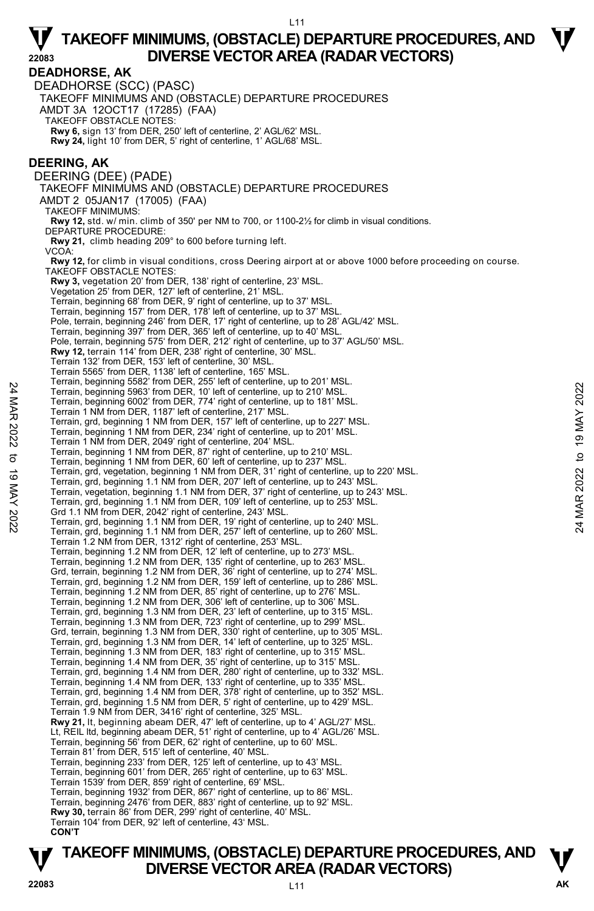**DEADHORSE, AK**  DEADHORSE (SCC) (PASC) TAKEOFF MINIMUMS AND (OBSTACLE) DEPARTURE PROCEDURES AMDT 3A 12OCT17 (17285) (FAA) TAKEOFF OBSTACLE NOTES: **Rwy 6,** sign 13' from DER, 250' left of centerline, 2' AGL/62' MSL. **Rwy 24,** light 10' from DER, 5' right of centerline, 1' AGL/68' MSL. **DEERING, AK**  DEERING (DEE) (PADE) TAKEOFF MINIMUMS AND (OBSTACLE) DEPARTURE PROCEDURES AMDT 2 05JAN17 (17005) (FAA) TAKEOFF MINIMUMS: **Rwy 12,** std. w/ min. climb of 350' per NM to 700, or 1100-2½ for climb in visual conditions. DEPARTURE PROCEDURE: **Rwy 21,** climb heading 209° to 600 before turning left. V<sub>CO</sub> **Rwy 12,** for climb in visual conditions, cross Deering airport at or above 1000 before proceeding on course. TAKEOFF OBSTACLE NOTES: **Rwy 3,** vegetation 20' from DER, 138' right of centerline, 23' MSL. Vegetation 25' from DER, 127' left of centerline, 21' MSL. Terrain, beginning 68' from DER, 9' right of centerline, up to 37' MSL. Terrain, beginning 157' from DER, 178' left of centerline, up to 37' MSL. Pole, terrain, beginning 246' from DER, 17' right of centerline, up to 28' AGL/42' MSL. Terrain, beginning 397' from DER, 365' left of centerline, up to 40' MSL. Pole, terrain, beginning 575' from DER, 212' right of centerline, up to 37' AGL/50' MSL. **Rwy 12,** terrain 114' from DER, 238' right of centerline, 30' MSL. Terrain 132' from DER, 153' left of centerline, 30' MSL. Terrain 5565' from DER, 1138' left of centerline, 165' MSL. Terrain, beginning 5582' from DER, 255' left of centerline, up to 201' MSL. Terrain, beginning 5963' from DER, 10' left of centerline, up to 210' MSL. Terrain, beginning 6002' from DER, 774' right of centerline, up to 181' MSL. Terrain 1 NM from DER, 1187' left of centerline, 217' MSL. Terrain, grd, beginning 1 NM from DER, 157' left of centerline, up to 227' MSL. Terrain, beginning 1 NM from DER, 234' right of centerline, up to 201' MSL. Terrain 1 NM from DER, 2049' right of centerline, 204' MSL. Terrain, beginning 1 NM from DER, 87' right of centerline, up to 210' MSL. Terrain, beginning 1 NM from DER, 60' left of centerline, up to 237' MSL. Terrain, grd, vegetation, beginning 1 NM from DER, 31' right of centerline, up to 220' MSL. Terrain, grd, beginning 1.1 NM from DER, 207' left of centerline, up to 243' MSL. Terrain, vegetation, beginning 1.1 NM from DER, 37' right of centerline, up to 243' MSL. Terrain, grd, beginning 1.1 NM from DER, 109' left of centerline, up to 253' MSL. Grd 1.1 NM from DER, 2042' right of centerline, 243' MSL. Terrain, grd, beginning 1.1 NM from DER, 19' right of centerline, up to 240' MSL. Terrain, grd, beginning 1.1 NM from DER, 257' left of centerline, up to 260' MSL. Terrain 1.2 NM from DER, 1312' right of centerline, 253' MSL. Terrain, beginning 1.2 NM from DER, 12' left of centerline, up to 273' MSL. Terrain, beginning 1.2 NM from DER, 135' right of centerline, up to 263' MSL. Grd, terrain, beginning 1.2 NM from DER, 36' right of centerline, up to 274' MSL. Terrain, grd, beginning 1.2 NM from DER, 159' left of centerline, up to 286' MSL. Terrain, beginning 1.2 NM from DER, 85' right of centerline, up to 276' MSL. Terrain, beginning 1.2 NM from DER, 306' left of centerline, up to 306' MSL. Terrain, grd, beginning 1.3 NM from DER, 23' left of centerline, up to 315' MSL. Terrain, beginning 1.3 NM from DER, 723' right of centerline, up to 299' MSL. Grd, terrain, beginning 1.3 NM from DER, 330' right of centerline, up to 305' MSL. Terrain, grd, beginning 1.3 NM from DER, 14' left of centerline, up to 325' MSL. Terrain, beginning 1.3 NM from DER, 183' right of centerline, up to 315' MSL. Terrain, beginning 1.4 NM from DER, 35' right of centerline, up to 315' MSL. Terrain, grd, beginning 1.4 NM from DER, 280' right of centerline, up to 332' MSL. Terrain, beginning 1.4 NM from DER, 133' right of centerline, up to 335' MSL. Terrain, grd, beginning 1.4 NM from DER, 378' right of centerline, up to 352' MSL. Terrain, grd, beginning 1.5 NM from DER, 5' right of centerline, up to 429' MSL. Terrain 1.9 NM from DER, 3416' right of centerline, 325' MSL. **Rwy 21,** lt, beginning abeam DER, 47' left of centerline, up to 4' AGL/27' MSL. Lt, REIL ltd, beginning abeam DER, 51' right of centerline, up to 4' AGL/26' MSL. Terrain, beginning 56' from DER, 62' right of centerline, up to 60' MSL. Terrain 81' from DER, 515' left of centerline, 40' MSL Terrain, beginning 233' from DER, 125' left of centerline, up to 43' MSL. Terrain, beginning 601' from DER, 265' right of centerline, up to 63' MSL. Terrain 1539' from DER, 859' right of centerline, 69' MSL. Terrain, beginning 1932' from DER, 867' right of centerline, up to 86' MSL. Terrain, beginning 2476' from DER, 883' right of centerline, up to 92' MSL. **Rwy 30,** terrain 86' from DER, 299' right of centerline, 40' MSL. Terrain 104' from DER, 92' left of centerline, 43' MSL.  **CON'T**  Ferrain, beginning 3002 from DER, 10' left of centerline, up to 210' MSL.<br>
Terrain, beginning 5963' from DER, 10' left of centerline, up to 210' MSL.<br>
Terrain, beginning 6002' from DER, 774' right of centerline, up to 181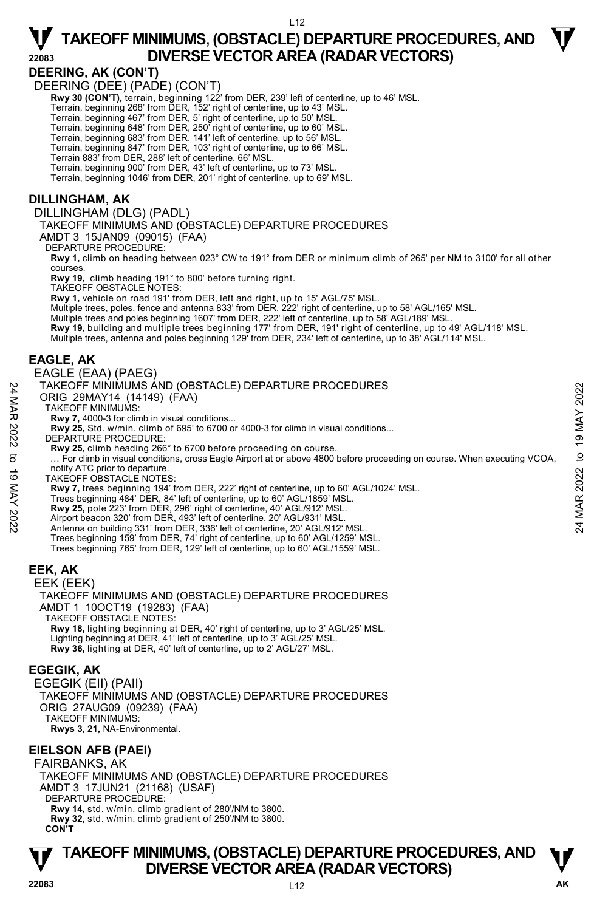#### **DEERING, AK (CON'T)**

DEERING (DEE) (PADE) (CON'T)

- Rwy 30 (CON'T), terrain, beginning 122' from DER, 239' left of centerline, up to 46' MSL.
- Terrain, beginning 268' from DER, 152' right of centerline, up to 43' MSL.
- Terrain, beginning 467' from DER, 5' right of centerline, up to 50' MSL.

Terrain, beginning 648' from DER, 250' right of centerline, up to 60' MSL.<br>Terrain, beginning 683' from DER, 141' left of centerline, up to 56' MSL.<br>Terrain, beginning 847' from DER, 103' right of centerline, up to 66' MSL

Terrain 883' from DER, 288' left of centerline, 66' MSL.

Terrain, beginning 900' from DER, 43' left of centerline, up to 73' MSL.

Terrain, beginning 1046' from DER, 201' right of centerline, up to 69' MSL.

#### **DILLINGHAM, AK**

DILLINGHAM (DLG) (PADL) TAKEOFF MINIMUMS AND (OBSTACLE) DEPARTURE PROCEDURES

AMDT 3 15JAN09 (09015) (FAA)

DEPARTURE PROCEDURE:

**Rwy 1,** climb on heading between 023° CW to 191° from DER or minimum climb of 265' per NM to 3100' for all other courses.

**Rwy 19,** climb heading 191° to 800' before turning right.

TAKEOFF OBSTACLE NOTES:

**Rwy 1,** vehicle on road 191' from DER, left and right, up to 15' AGL/75' MSL.

Multiple trees, poles, fence and antenna 833' from DER, 222' right of centerline, up to 58' AGL/165' MSL.

Multiple trees and poles beginning 1607' from DER, 222' left of centerline, up to 58' AGL/189' MSL.

**Rwy 19,** building and multiple trees beginning 177' from DER, 191' right of centerline, up to 49' AGL/118' MSL.<br>Multiple trees, antenna and poles beginning 129' from DER, 234' left of centerline, up to 38' AGL/114' MSL.

#### **EAGLE, AK**

#### EAGLE (EAA) (PAEG)

TAKEOFF MINIMUMS AND (OBSTACLE) DEPARTURE PROCEDURES

ORIG 29MAY14 (14149) (FAA)

TAKEOFF MINIMUMS:

**Rwy 7,** 4000-3 for climb in visual conditions...

**Rwy 25,** Std. w/min. climb of 695' to 6700 or 4000-3 for climb in visual conditions...

DEPARTURE PROCEDURE:

**Rwy 25,** climb heading 266° to 6700 before proceeding on course.

 … For climb in visual conditions, cross Eagle Airport at or above 4800 before proceeding on course. When executing VCOA, notify ATC prior to departure. TAKEOFF MINIMUMS AND (OBSTACLE) DEPARTURE PROCEDURES<br>
ORIG 29MAY14 (14149) (FAA)<br>
TAKEOFF MINIMUMS:<br>
TAKEOFF MINIMUMS:<br>
Rwy 25, Std. w/min. climb of 695' to 6700 or 4000-3 for climb in visual conditions...<br>
DEPARTURE PROC

TAKEOFF OBSTACLE NOTES:

**Rwy 7,** trees beginning 194' from DER, 222' right of centerline, up to 60' AGL/1024' MSL.

Trees beginning 484' DER, 84' left of centerline, up to 60' AGL/1859' MSL.

**Rwy 25,** pole 223' from DER, 296' right of centerline, 40' AGL/912' MSL.

Airport beacon 320' from DER, 493' left of centerline, 20' AGL/931' MSL.

Antenna on building 331' from DER, 336' left of centerline, 20' AGL/912' MSL.

Trees beginning 159' from DER, 74' right of centerline, up to 60' AGL/1259' MSL.

Trees beginning 765' from DER, 129' left of centerline, up to 60' AGL/1559' MSL.

#### **EEK, AK**

EEK (EEK) TAKEOFF MINIMUMS AND (OBSTACLE) DEPARTURE PROCEDURES AMDT 1 10OCT19 (19283) (FAA) TAKEOFF OBSTACLE NOTES: **Rwy 18,** lighting beginning at DER, 40' right of centerline, up to 3' AGL/25' MSL. Lighting beginning at DER, 41' left of centerline, up to 3' AGL/25' MSL. **Rwy 36,** lighting at DER, 40' left of centerline, up to 2' AGL/27' MSL.

#### **EGEGIK, AK**

EGEGIK (EII) (PAII) TAKEOFF MINIMUMS AND (OBSTACLE) DEPARTURE PROCEDURES ORIG 27AUG09 (09239) (FAA) TAKEOFF MINIMUMS: **Rwys 3, 21,** NA-Environmental.

#### **EIELSON AFB (PAEI)**

FAIRBANKS, AK TAKEOFF MINIMUMS AND (OBSTACLE) DEPARTURE PROCEDURES AMDT 3 17JUN21 (21168) (USAF) DEPARTURE PROCEDURE: **Rwy 14,** std. w/min. climb gradient of 280'/NM to 3800. **Rwy 32,** std. w/min. climb gradient of 250'/NM to 3800. **CON'T**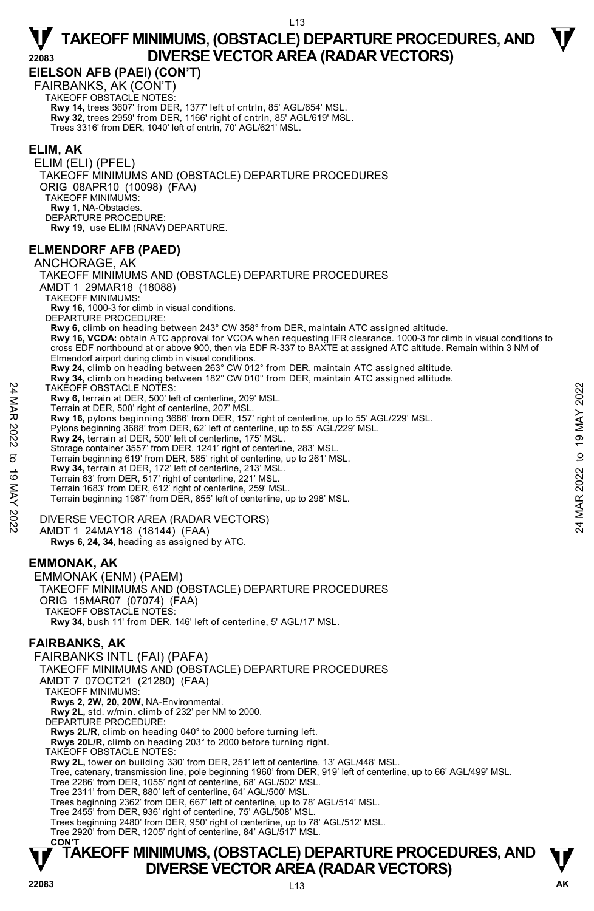**EIELSON AFB (PAEI) (CON'T)** 

FAIRBANKS, AK (CON'T) TAKEOFF OBSTACLE NOTES: **Rwy 14,** trees 3607' from DER, 1377' left of cntrln, 85' AGL/654' MSL. **Rwy 32,** trees 2959' from DER, 1166' right of cntrln, 85' AGL/619' MSL. Trees 3316' from DER, 1040' left of cntrln, 70' AGL/621' MSL.

#### **ELIM, AK**

ELIM (ELI) (PFEL) TAKEOFF MINIMUMS AND (OBSTACLE) DEPARTURE PROCEDURES ORIG 08APR10 (10098) (FAA) TAKEOFF MINIMUMS: **Rwy 1,** NA-Obstacles. DEPARTURE PROCEDURE: **Rwy 19,** use ELIM (RNAV) DEPARTURE.

#### **ELMENDORF AFB (PAED)**

ANCHORAGE, AK TAKEOFF MINIMUMS AND (OBSTACLE) DEPARTURE PROCEDURES AMDT 1 29MAR18 (18088) TAKEOFF MINIMUMS: **Rwy 16,** 1000-3 for climb in visual conditions. DEPARTURE PROCEDURE: **Rwy 6,** climb on heading between 243° CW 358° from DER, maintain ATC assigned altitude. **Rwy 16, VCOA:** obtain ATC approval for VCOA when requesting IFR clearance. 1000-3 for climb in visual conditions to cross EDF northbound at or above 900, then via EDF R-337 to BAXTE at assigned ATC altitude. Remain within 3 NM of Elmendorf airport during climb in visual conditions. **Rwy 24,** climb on heading between 263° CW 012° from DER, maintain ATC assigned altitude. **Rwy 34,** climb on heading between 182° CW 010° from DER, maintain ATC assigned altitude. TAKEOFF OBSTACLE NOTES: **Rwy 6,** terrain at DER, 500' left of centerline, 209' MSL. Terrain at DER, 500' right of centerline, 207' MSL. **Rwy 16,** pylons beginning 3686' from DER, 157' right of centerline, up to 55' AGL/229' MSL. Pylons beginning 3688' from DER, 62' left of centerline, up to 55' AGL/229' MSL. **Rwy 24,** terrain at DER, 500' left of centerline, 175' MSL. Storage container 3557' from DER, 1241' right of centerline, 283' MSL. Terrain beginning 619' from DER, 585' right of centerline, up to 261' MSL. **Rwy 34,** terrain at DER, 172' left of centerline, 213' MSL. Terrain 63' from DER, 517' right of centerline, 221' MSL. Terrain 1683' from DER, 612' right of centerline, 259' MSL. Terrain beginning 1987' from DER, 855' left of centerline, up to 298' MSL. DIVERSE VECTOR AREA (RADAR VECTORS) AMDT 1 24MAY18 (18144) (FAA) **Rwys 6, 24, 34,** heading as assigned by ATC. **EMMONAK, AK**  EMMONAK (ENM) (PAEM) TAKEOFF MINIMUMS AND (OBSTACLE) DEPARTURE PROCEDURES ORIG 15MAR07 (07074) (FAA) TAKEOFF OBSTACLE NOTES: **Rwy 34,** bush 11' from DER, 146' left of centerline, 5' AGL/17' MSL. **FAIRBANKS, AK**  FAIRBANKS INTL (FAI) (PAFA) TAKEOFF OBSTACLE NOTES:<br> **EVALUATE ANCE AND THE SUPPER CONSTANT CONDUCTS**<br>
Terrain at DER, 500' right of centerline, 207' MSL.<br>
Terrain at DER, 500' right of centerline, 207' MSL.<br>
Pylons beginning 3688' from DER, 157' ri

#### **T T TAKEOFF MINIMUMS, (OBSTACLE) DEPARTURE PROCEDURES, AND**  TAKEOFF MINIMUMS AND (OBSTACLE) DEPARTURE PROCEDURES AMDT 7 07OCT21 (21280) (FAA) TAKEOFF MINIMUMS: **Rwys 2, 2W, 20, 20W,** NA-Environmental. **Rwy 2L,** std. w/min. climb of 232' per NM to 2000. DEPARTURE PROCEDURE **Rwys 2L/R,** climb on heading 040° to 2000 before turning left. **Rwys 20L/R,** climb on heading 203° to 2000 before turning right. TAKEOFF OBSTACLE NOTES: **Rwy 2L,** tower on building 330' from DER, 251' left of centerline, 13' AGL/448' MSL. Tree, catenary, transmission line, pole beginning 1960' from DER, 919' left of centerline, up to 66' AGL/499' MSL. Tree 2286' from DER, 1055' right of centerline, 68' AGL/502' MSL. Tree 2311' from DER, 880' left of centerline, 64' AGL/500' MSL. Trees beginning 2362' from DER, 667' left of centerline, up to 78' AGL/514' MSL. Tree 2455' from DER, 936' right of centerline, 75' AGL/508' MSL. Trees beginning 2480' from DER, 950' right of centerline, up to 78' AGL/512' MSL. Tree 2920' from DER, 1205' right of centerline, 84' AGL/517' MSL. **CON'T**

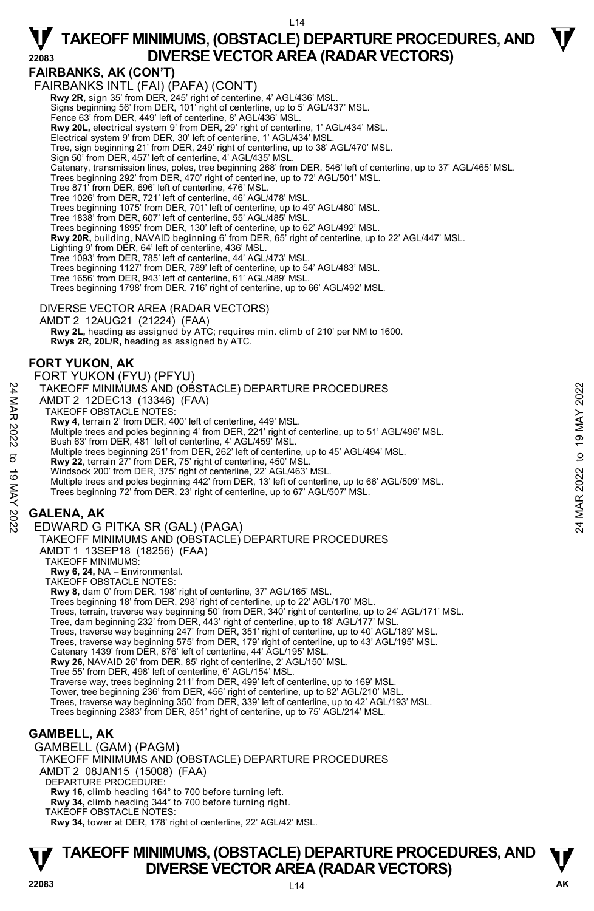#### **FAIRBANKS, AK (CON'T)**

FAIRBANKS INTL (FAI) (PAFA) (CON'T)  **Rwy 2R,** sign 35' from DER, 245' right of centerline, 4' AGL/436' MSL. Signs beginning 56' from DER, 101' right of centerline, up to 5' AGL/437' MSL. Fence 63' from DER, 449' left of centerline, 8' AGL/436' MSL. **Rwy 20L,** electrical system 9' from DER, 29' right of centerline, 1' AGL/434' MSL.<br>Electrical system 9' from DER, 30' left of centerline, 1' AGL/434' MSL. Tree, sign beginning 21' from DER, 249' right of centerline, up to 38' AGL/470' MSL. Sign 50' from DER, 457' left of centerline, 4' AGL/435' MSL. Catenary, transmission lines, poles, tree beginning 268' from DER, 546' left of centerline, up to 37' AGL/465' MSL. Trees beginning 292' from DER, 470' right of centerline, up to 72' AGL/501' MSL. Tree 871' from DER, 696' left of centerline, 476' MSL. Tree 1026' from DER, 721' left of centerline, 46' AGL/478' MSL. Trees beginning 1075' from DER, 701' left of centerline, up to 49' AGL/480' MSL. Tree 1838' from DER, 607' left of centerline, 55' AGL/485' MSL. Trees beginning 1895' from DER, 130' left of centerline, up to 62' AGL/492' MSL. **Rwy 20R,** building, NAVAID beginning 6' from DER, 65' right of centerline, up to 22' AGL/447' MSL.<br>Lighting 9' from DER, 64' left of centerline, 436' MSL. Tree 1093' from DER, 785' left of centerline, 44' AGL/473' MSL. Trees beginning 1127' from DER, 789' left of centerline, up to 54' AGL/483' MSL. Tree 1656' from DER, 943' left of centerline, 61' AGL/489' MSL. Trees beginning 1798' from DER, 716' right of centerline, up to 66' AGL/492' MSL. DIVERSE VECTOR AREA (RADAR VECTORS) AMDT 2 12AUG21 (21224) (FAA) **Rwy 2L,** heading as assigned by ATC; requires min. climb of 210' per NM to 1600. **Rwys 2R, 20L/R,** heading as assigned by ATC. **FORT YUKON, AK**  FORT YUKON (FYU) (PFYU) TAKEOFF MINIMUMS AND (OBSTACLE) DEPARTURE PROCEDURES AMDT 2 12DEC13 (13346) (FAA) TAKEOFF OBSTACLE NOTES: **Rwy 4**, terrain 2' from DER, 400' left of centerline, 449' MSL. Multiple trees and poles beginning 4' from DER, 221' right of centerline, up to 51' AGL/496' MSL. Bush 63' from DER, 481' left of centerline, 4' AGL/459' MSL. Multiple trees beginning 251' from DER, 262' left of centerline, up to 45' AGL/494' MSL.<br>**Rwy 22,** terrain 27' from DER, 75' right of centerline, 450' MSL. Windsock 200' from DER, 375' right of centerline, 22' AGL/463' MSL. Multiple trees and poles beginning 442' from DER, 13' left of centerline, up to 66' AGL/509' MSL.<br>Trees beginning 72' from DER, 23' right of centerline, up to 67' AGL/507' MSL. **GALENA, AK**  EDWARD G PITKA SR (GAL) (PAGA) TAKEOFF MINIMUMS AND (OBSTACLE) DEPARTURE PROCEDURES AMDT 1 13SEP18 (18256) (FAA) TAKEOFF MINIMUMS: **Rwy 6, 24,** NA – Environmental. TAKEOFF OBSTACLE NOTES: **Rwy 8,** dam 0' from DER, 198' right of centerline, 37' AGL/165' MSL. Trees beginning 18' from DER, 298' right of centerline, up to 22' AGL/170' MSL. Trees, terrain, traverse way beginning 50' from DER, 340' right of centerline, up to 24' AGL/171' MSL. Tree, dam beginning 232' from DER, 443' right of centerline, up to 18' AGL/177' MSL.<br>Trees, traverse way beginning 247' from DER, 351' right of centerline, up to 40' AGL/189' MSL. Trees, traverse way beginning 575' from DER, 179' right of centerline, up to 43' AGL/195' MSL. Catenary 1439' from DER, 876' left of centerline, 44' AGL/195' MSL. **Rwy 26,** NAVAID 26' from DER, 85' right of centerline, 2' AGL/150' MSL. Tree 55' from DER, 498' left of centerline, 6' AGL/154' MSL. Traverse way, trees beginning 211' from DER, 499' left of centerline, up to 169' MSL. Tower, tree beginning 236' from DER, 456' right of centerline, up to 82' AGL/210' MSL Trees, traverse way beginning 350' from DER, 339' left of centerline, up to 42' AGL/193' MSL. Trees beginning 2383' from DER, 851' right of centerline, up to 75' AGL/214' MSL. **GAMBELL, AK**  GAMBELL (GAM) (PAGM) TAKEOFF MINIMUMS AND (OBSTACLE) DEPARTURE PROCEDURES AMDT 2 08JAN15 (15008) (FAA) DEPARTURE PROCEDURE: **Rwy 16,** climb heading 164° to 700 before turning left. **Rwy 34,** climb heading 344° to 700 before turning right. TAKEOFF MINIMUMS AND (OBSTACLE) DEPARTURE PROCEDURES<br>
AMDT 2 12DEC13 (13346) (FAA)<br>
TAKEOFF OBSTACLE NOTES:<br>
RWY 4, terrain 2' from DER, 400' left of centerline, 449' MSL.<br>
Multiple trees and poles beginning 4' from DER,

### **TAKEOFF MINIMUMS, (OBSTACLE) DEPARTURE PROCEDURES, AND <b>W**<br>DIVERSE VECTOR AREA (RADAR VECTORS) **DIVERSE VECTOR AREA (RADAR VECTORS)**

TAKEOFF OBSTACLE NOTES:

**Rwy 34,** tower at DER, 178' right of centerline, 22' AGL/42' MSL.

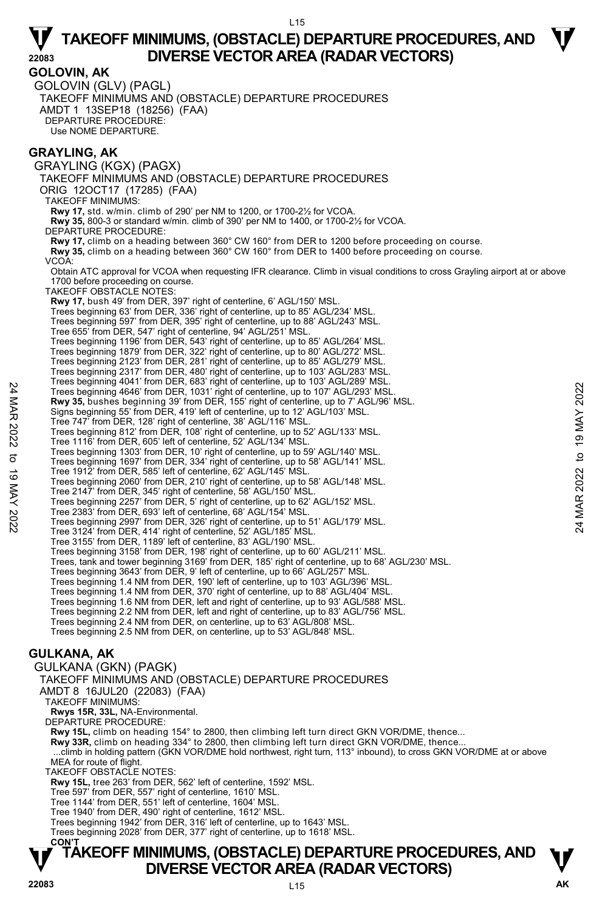**GOLOVIN, AK**  GOLOVIN (GLV) (PAGL) TAKEOFF MINIMUMS AND (OBSTACLE) DEPARTURE PROCEDURES AMDT 1 13SEP18 (18256) (FAA) DEPARTURE PROCEDURE: Use NOME DEPARTURE.

#### **GRAYLING, AK**

GRAYLING (KGX) (PAGX) TAKEOFF MINIMUMS AND (OBSTACLE) DEPARTURE PROCEDURES ORIG 12OCT17 (17285) (FAA) TAKEOFF MINIMUMS: **Rwy 17,** std. w/min. climb of 290' per NM to 1200, or 1700-2½ for VCOA. **Rwy 35,** 800-3 or standard w/min. climb of 390' per NM to 1400, or 1700-2½ for VCOA. DEPARTURE PROCEDURE: **Rwy 17,** climb on a heading between 360° CW 160° from DER to 1200 before proceeding on course. **Rwy 35,** climb on a heading between 360° CW 160° from DER to 1400 before proceeding on course. VCOA: Obtain ATC approval for VCOA when requesting IFR clearance. Climb in visual conditions to cross Grayling airport at or above 1700 before proceeding on course. TAKEOFF OBSTACLE NOTES: **Rwy 17,** bush 49' from DER, 397' right of centerline, 6' AGL/150' MSL. Trees beginning 63' from DER, 336' right of centerline, up to 85' AGL/234' MSL Trees beginning 597' from DER, 395' right of centerline, up to 88' AGL/243' MSL. Tree 655' from DER, 547' right of centerline, 94' AGL/251' MSL. Trees beginning 1196' from DER, 543' right of centerline, up to 85' AGL/264' MSL. Trees beginning 1879' from DER, 322' right of centerline, up to 80' AGL/272' MSL. Trees beginning 2123' from DER, 281' right of centerline, up to 85' AGL/279' MSL. Trees beginning 2317' from DER, 480' right of centerline, up to 103' AGL/283' MSL.<br>Trees beginning 4041' from DER, 683' right of centerline, up to 103' AGL/289' MSL.<br>Trees beginning 4646' from DER, 1031' right of centerlin **Rwy 35,** bushes beginning 39' from DER, 155' right of centerline, up to 7' AGL/96' MSL. Signs beginning 55' from DER, 419' left of centerline, up to 12' AGL/103' MSL. Tree 747' from DER, 128' right of centerline, 38' AGL/116' MSL. Trees beginning 812' from DER, 108' right of centerline, up to 52' AGL/133' MSL. Tree 1116' from DER, 605' left of centerline, 52' AGL/134' MSL. Trees beginning 1303' from DER, 10' right of centerline, up to 59' AGL/140' MSL. Trees beginning 1697' from DER, 334' right of centerline, up to 58' AGL/141' MSL. Tree 1912' from DER, 585' left of centerline, 62' AGL/145' MSL. Trees beginning 2060' from DER, 210' right of centerline, up to 58' AGL/148' MSL. Tree 2147' from DER, 345' right of centerline, 58' AGL/150' MSL. Trees beginning 2257' from DER, 5' right of centerline, up to 62' AGL/152' MSL. Tree 2383' from DER, 693' left of centerline, 68' AGL/154' MSL. Trees beginning 2997' from DER, 326' right of centerline, up to 51' AGL/179' MSL. Tree 3124' from DER, 414' right of centerline, 52' AGL/185' MSL. Tree 3155' from DER, 1189' left of centerline, 83' AGL/190' MSL. Trees beginning 3158' from DER, 198' right of centerline, up to 60' AGL/211' MSL.<br>Trees, tank and tower beginning 3169' from DER, 185' right of centerline, up to 68' AGL/230' MSL. Trees beginning 3643' from DER, 9' left of centerline, up to 66' AGL/257' MSL. Trees beginning 1.4 NM from DER, 190' left of centerline, up to 103' AGL/396' MSI Trees beginning 1.4 NM from DER, 370' right of centerline, up to 88' AGL/404' MSL. Trees beginning 1.6 NM from DER, left and right of centerline, up to 93' AGL/588' MSL. Trees beginning 2.2 NM from DER, left and right of centerline, up to 83' AGL/756' MSL. Trees beginning 2.4 NM from DER, on centerline, up to 63' AGL/808' MSL. Trees beginning 2.5 NM from DER, on centerline, up to 53' AGL/848' MSL. **GULKANA, AK**  GULKANA (GKN) (PAGK) TAKEOFF MINIMUMS AND (OBSTACLE) DEPARTURE PROCEDURES AMDT 8 16JUL20 (22083) (FAA) TAKEOFF MINIMUMS: Trees beginning 4646' from DER, 1031' right of centerline, up to 107' AGL/293' MSL.<br> **24 Mary 35**, bushes beginning 59' from DER, 155' right of centerline, up to 17' AGL/293' MSL.<br>
Signs beginning 55' from DER, 149' left o

**Rwys 15R, 33L,** NA-Environmental. DEPARTURE PROCEDURE:

**Rwy 15L,** climb on heading 154° to 2800, then climbing left turn direct GKN VOR/DME, thence...

**Rwy 33R,** climb on heading 334° to 2800, then climbing left turn direct GKN VOR/DME, thence...

 ...climb in holding pattern (GKN VOR/DME hold northwest, right turn, 113° inbound), to cross GKN VOR/DME at or above MEA for route of flight.

TAKEOFF OBSTACLE NOTES:

**Rwy 15L,** tree 263' from DER, 562' left of centerline, 1592' MSL.

Tree 597' from DER, 557' right of centerline, 1610' MSL. Tree 1144' from DER, 551' left of centerline, 1604' MSL.

Tree 1940' from DER, 490' right of centerline, 1612' MSL.

Trees beginning 1942' from DER, 316' left of centerline, up to 1643' MSL.

Trees beginning 2028' from DER, 377' right of centerline, up to 1618' MSL.

#### **T T TAKEOFF MINIMUMS, (OBSTACLE) DEPARTURE PROCEDURES, AND DIVERSE VECTOR AREA (RADAR VECTORS) CON'T**

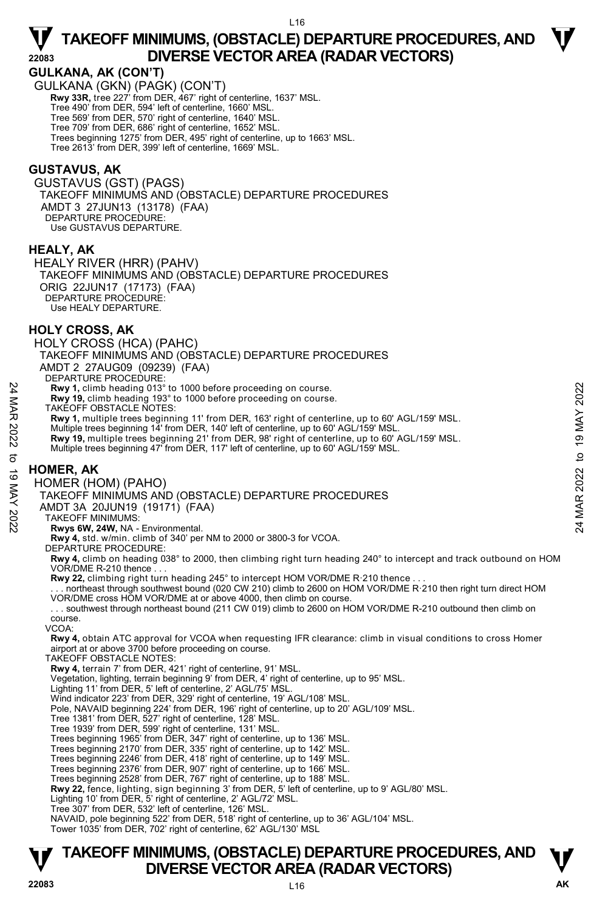#### **GULKANA, AK (CON'T)**

GULKANA (GKN) (PAGK) (CON'T)  **Rwy 33R,** tree 227' from DER, 467' right of centerline, 1637' MSL. Tree 490' from DER, 594' left of centerline, 1660' MSL. Tree 569' from DER, 570' right of centerline, 1640' MSL. Tree 709' from DER, 686' right of centerline, 1652' MSL. Trees beginning 1275' from DER, 495' right of centerline, up to 1663' MSL. Tree 2613' from DER, 399' left of centerline, 1669' MSL.

#### **GUSTAVUS, AK**

GUSTAVUS (GST) (PAGS) TAKEOFF MINIMUMS AND (OBSTACLE) DEPARTURE PROCEDURES AMDT 3 27JUN13 (13178) (FAA) DEPARTURE PROCEDURE: Use GUSTAVUS DEPARTURE.

#### **HEALY, AK**

HEALY RIVER (HRR) (PAHV) TAKEOFF MINIMUMS AND (OBSTACLE) DEPARTURE PROCEDURES ORIG 22JUN17 (17173) (FAA) DEPARTURE PROCEDURE: Use HEALY DEPARTURE.

#### **HOLY CROSS, AK**

HOLY CROSS (HCA) (PAHC)

TAKEOFF MINIMUMS AND (OBSTACLE) DEPARTURE PROCEDURES

AMDT 2 27AUG09 (09239) (FAA)

DEPARTURE PROCEDURE

**Rwy 1,** climb heading 013° to 1000 before proceeding on course.

**Rwy 19,** climb heading 193° to 1000 before proceeding on course.

TAKEOFF OBSTACLE NOTES:

**Rwy 1,** multiple trees beginning 11' from DER, 163' right of centerline, up to 60' AGL/159' MSL. **Rwy 1,** climb heading 013° to 1000 before proceeding on course.<br> **Rwy 19**, climb heading 193° to 1000 before proceeding on course.<br>
TAKEOFF OBSTACLE NOTES:<br>
Multiple trees beginning 11' from DER, 163' right of centerline

Multiple trees beginning 14' from DER, 140' left of centerline, up to 60' AGL/159' MSL.

**Rwy 19,** multiple trees beginning 21' from DER, 98' right of centerline, up to 60' AGL/159' MSL.

Multiple trees beginning 47' from DER, 117' left of centerline, up to 60' AGL/159' MSL.

#### **HOMER, AK**

HOMER (HOM) (PAHO)

TAKEOFF MINIMUMS AND (OBSTACLE) DEPARTURE PROCEDURES

AMDT 3A 20JUN19 (19171) (FAA)

TAKEOFF MINIMUMS:

**Rwys 6W, 24W,** NA - Environmental. **Rwy 4,** std. w/min. climb of 340' per NM to 2000 or 3800-3 for VCOA.

DEPARTURE PROCEDURE:

**Rwy 4,** climb on heading 038° to 2000, then climbing right turn heading 240° to intercept and track outbound on HOM VOR/DME R-210 thence...

Rwy 22, climbing right turn heading 245° to intercept HOM VOR/DME R·210 thence

. . . northeast through southwest bound (020 CW 210) climb to 2600 on HOM VOR/DME R·210 then right turn direct HOM VOR/DME cross HOM VOR/DME at or above 4000, then climb on course.

. . . southwest through northeast bound (211 CW 019) climb to 2600 on HOM VOR/DME R-210 outbound then climb on course.

VCOA:

**Rwy 4,** obtain ATC approval for VCOA when requesting IFR clearance: climb in visual conditions to cross Homer airport at or above 3700 before proceeding on course.

TAKEOFF OBSTACLE NOTES:

**Rwy 4,** terrain 7' from DER, 421' right of centerline, 91' MSL.

Vegetation, lighting, terrain beginning 9' from DER, 4' right of centerline, up to 95' MSL.

Lighting 11' from DER, 5' left of centerline, 2' AGL/75' MSL.

Wind indicator 223' from DER, 329' right of centerline, 19' AGL/108' MSL.

Pole, NAVAID beginning 224' from DER, 196' right of centerline, up to 20' AGL/109' MSL.

Tree 1381' from DER, 527' right of centerline, 128' MSL. Tree 1939' from DER, 599' right of centerline, 131' MSL.

Trees beginning 1965' from DER, 347' right of centerline, up to 136' MSL.

Trees beginning 2170' from DER, 335' right of centerline, up to 142' MSL. Trees beginning 2246' from DER, 418' right of centerline, up to 149' MSL.

Trees beginning 2376' from DER, 907' right of centerline, up to 166' MSL.

Trees beginning 2528' from DER, 767' right of centerline, up to 188' MSL.

**Rwy 22,** fence, lighting, sign beginning 3' from DER, 5' left of centerline, up to 9' AGL/80' MSL.<br>Lighting 10' from DER, 5' right of centerline, 2' AGL/72' MSL.

Tree 307' from DER, 532' left of centerline, 126' MSL.

NAVAID, pole beginning 522' from DER, 518' right of centerline, up to 36' AGL/104' MSL. Tower 1035' from DER, 702' right of centerline, 62' AGL/130' MSL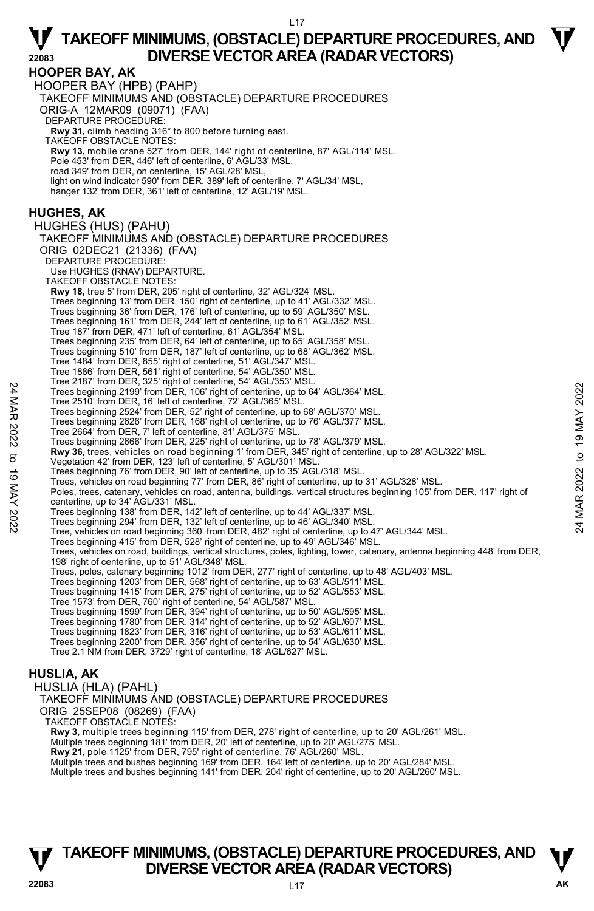**HOOPER BAY, AK**  HOOPER BAY (HPB) (PAHP) TAKEOFF MINIMUMS AND (OBSTACLE) DEPARTURE PROCEDURES ORIG-A 12MAR09 (09071) (FAA) DEPARTURE PROCEDURE: **Rwy 31,** climb heading 316° to 800 before turning east. TAKEOFF OBSTACLE NOTES: **Rwy 13,** mobile crane 527' from DER, 144' right of centerline, 87' AGL/114' MSL. Pole 453' from DER, 446' left of centerline, 6' AGL/33' MSL. road 349' from DER, on centerline, 15' AGL/28' MSL, light on wind indicator 590' from DER, 389' left of centerline, 7' AGL/34' MSL, hanger 132' from DER, 361' left of centerline, 12' AGL/19' MSL. **HUGHES, AK**  HUGHES (HUS) (PAHU) TAKEOFF MINIMUMS AND (OBSTACLE) DEPARTURE PROCEDURES ORIG 02DEC21 (21336) (FAA) DEPARTURE PROCEDURE Use HUGHES (RNAV) DEPARTURE. TAKEOFF OBSTACLE NOTES: **Rwy 18,** tree 5' from DER, 205' right of centerline, 32' AGL/324' MSL. Trees beginning 13' from DER, 150' right of centerline, up to 41' AGL/332' MSL. Trees beginning 36' from DER, 176' left of centerline, up to 59' AGL/350' MSL. Trees beginning 161' from DER, 244' left of centerline, up to 61' AGL/352' MSL. Tree 187' from DER, 471' left of centerline, 61' AGL/354' MSL. Trees beginning 235' from DER, 64' left of centerline, up to 65' AGL/358' MSL. Trees beginning 510' from DER, 187' left of centerline, up to 68' AGL/362' MSL. Tree 1484' from DER, 855' right of centerline, 51' AGL/347' MSL. Tree 1886' from DER, 561' right of centerline, 54' AGL/350' MSL. Tree 2187' from DER, 325' right of centerline, 54' AGL/353' MSL. Trees beginning 2199' from DER, 106' right of centerline, up to 64' AGL/364' MSL. Tree 2510' from DER, 16' left of centerline, 72' AGL/365' MSL. Trees beginning 2524' from DER, 52' right of centerline, up to 68' AGL/370' MSL. Trees beginning 2626' from DER, 168' right of centerline, up to 76' AGL/377' MSL. Tree 2664' from DER, 7' left of centerline, 81' AGL/375' MSL. Trees beginning 2666' from DER, 225' right of centerline, up to 78' AGL/379' MSL. **Rwy 36,** trees, vehicles on road beginning 1' from DER, 345' right of centerline, up to 28' AGL/322' MSL.<br>Vegetation 42' from DER, 123' left of centerline, 5' AGL/301' MSL. Trees beginning 76' from DER, 90' left of centerline, up to 35' AGL/318' MSL. Trees, vehicles on road beginning 77' from DER, 86' right of centerline, up to 31' AGL/328' MSL. Poles, trees, catenary, vehicles on road, antenna, buildings, vertical structures beginning 105' from DER, 117' right of centerline, up to 34' AGL/331' MSL. Trees beginning 138' from DER, 142' left of centerline, up to 44' AGL/337' MSL. Trees beginning 294' from DER, 132' left of centerline, up to 46' AGL/340' MSL. Tree, vehicles on road beginning 360' from DER, 482' right of centerline, up to 47' AGL/344' MSL. Trees beginning 415' from DER, 528' right of centerline, up to 49' AGL/346' MSL. Trees, vehicles on road, buildings, vertical structures, poles, lighting, tower, catenary, antenna beginning 448' from DER,<br>198' right of centerline, up to 51' AGL/348' MSL. Trees, poles, catenary beginning 1012' from DER, 277' right of centerline, up to 48' AGL/403' MSL.<br>Trees beginning 1203' from DER, 568' right of centerline, up to 63' AGL/511' MSL.<br>Trees beginning 1415' from DER, 275' righ Tree 1573' from DER, 760' right of centerline, 54' AGL/587' MSL. Trees beginning 1599' from DER, 394' right of centerline, up to 50' AGL/595' MSL. Trees beginning 1780' from DER, 314' right of centerline, up to 52' AGL/607' MSL. Trees beginning 1823' from DER, 316' right of centerline, up to 53' AGL/611' MSL. Trees beginning 2200' from DER, 356' right of centerline, up to 54' AGL/630' MSL. Tree 2.1 NM from DER, 3729' right of centerline, 18' AGL/627' MSL. **HUSLIA, AK**  Tree Soletining 2199' from DER, 10° indications, 34° Hotel (10° 44' AGL/364' MSL.<br>
Tree 2510' from DER, 16' left of centerline, up to 64' AGL/364' MSL.<br>
Tree Soletining 2524' from DER, 10° indications, up to 8' AGL/370' MS

#### HUSLIA (HLA) (PAHL) TAKEOFF MINIMUMS AND (OBSTACLE) DEPARTURE PROCEDURES ORIG 25SEP08 (08269) (FAA) TAKEOFF OBSTACLE NOTES: **Rwy 3,** multiple trees beginning 115' from DER, 278' right of centerline, up to 20' AGL/261' MSL. Multiple trees beginning 181' from DER, 20' left of centerline, up to 20' AGL/275' MSL. **Rwy 21,** pole 1125' from DER, 795' right of centerline, 76' AGL/260' MSL.<br>Multiple trees and bushes beginning 169' from DER, 164' left of centerline, up to 20' AGL/284' MSL. Multiple trees and bushes beginning 141' from DER, 204' right of centerline, up to 20' AGL/260' MSL.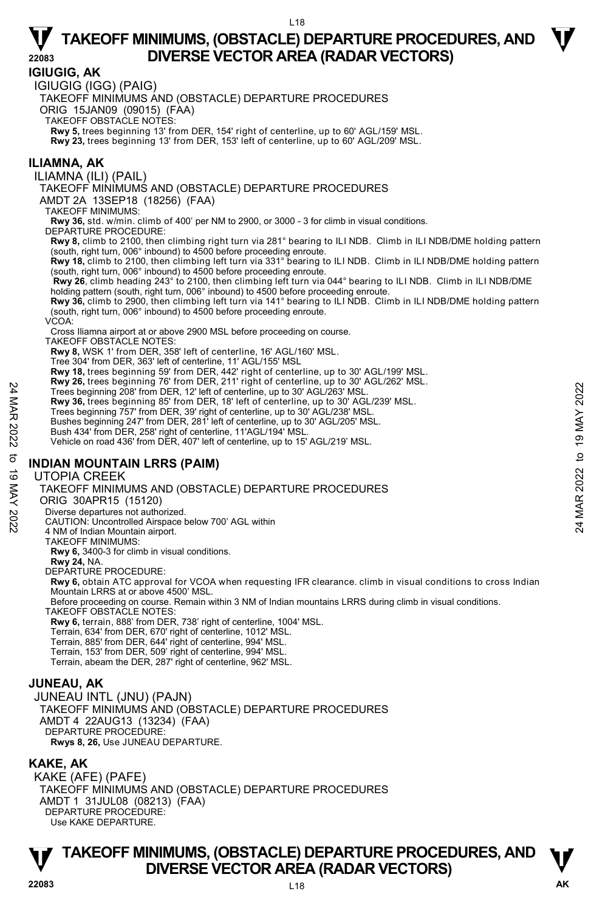#### **IGIUGIG, AK**

IGIUGIG (IGG) (PAIG)

TAKEOFF MINIMUMS AND (OBSTACLE) DEPARTURE PROCEDURES

ORIG 15JAN09 (09015) (FAA)

TAKEOFF OBSTACLE NOTES:

**Rwy 5,** trees beginning 13' from DER, 154' right of centerline, up to 60' AGL/159' MSL. **Rwy 23,** trees beginning 13' from DER, 153' left of centerline, up to 60' AGL/209' MSL.

#### **ILIAMNA, AK**

ILIAMNA (ILI) (PAIL)

TAKEOFF MINIMUMS AND (OBSTACLE) DEPARTURE PROCEDURES

AMDT 2A 13SEP18 (18256) (FAA)

TAKEOFF MINIMUMS:

**Rwy 36,** std. w/min. climb of 400' per NM to 2900, or 3000 - 3 for climb in visual conditions. DEPARTURE PROCEDURE:

**Rwy 8,** climb to 2100, then climbing right turn via 281° bearing to ILI NDB. Climb in ILI NDB/DME holding pattern (south, right turn, 006° inbound) to 4500 before proceeding enroute.

**Rwy 18,** climb to 2100, then climbing left turn via 331° bearing to ILI NDB. Climb in ILI NDB/DME holding pattern (south, right turn, 006° inbound) to 4500 before proceeding enroute.

**Rwy 26**, climb heading 243° to 2100, then climbing left turn via 044° bearing to ILI NDB. Climb in ILI NDB/DME holding pattern (south, right turn, 006° inbound) to 4500 before proceeding enroute.

**Rwy 36,** climb to 2900, then climbing left turn via 141° bearing to ILI NDB. Climb in ILI NDB/DME holding pattern (south, right turn, 006° inbound) to 4500 before proceeding enroute.

VCOA:

Cross Iliamna airport at or above 2900 MSL before proceeding on course.

TAKEOFF OBSTACLE NOTES:

**Rwy 8,** WSK 1' from DER, 358' left of centerline, 16' AGL/160' MSL.

Tree 304' from DER, 363' left of centerline, 11' AGL/155' MSL

**Rwy 18,** trees beginning 59' from DER, 442' right of centerline, up to 30' AGL/199' MSL. **Rwy 26,** trees beginning 76' from DER, 211' right of centerline, up to 30' AGL/262' MSL.

Trees beginning 208' from DER, 12' left of centerline, up to 30' AGL/263' MSL.

**Rwy 36,** trees beginning 85' from DER, 18' left of centerline, up to 30' AGL/239' MSL.

Trees beginning 757' from DER, 39' right of centerline, up to 30' AGL/238' MSL. Bushes beginning 247' from DER, 281' left of centerline, up to 30' AGL/205' MSL.

Bush 434' from DER, 258' right of centerline, 11'AGL/194' MSL.

Vehicle on road 436' from DER, 407' left of centerline, up to 15' AGL/219' MSL.

#### **INDIAN MOUNTAIN LRRS (PAIM)**

#### UTOPIA CREEK

TAKEOFF MINIMUMS AND (OBSTACLE) DEPARTURE PROCEDURES Press beginning 208 from DER, 12' left of centerline, up to 30' AGL/263' MSL.<br>
Trees beginning 208 from DER, 12' left of centerline, up to 30' AGL/239' MSL.<br>
Rwy 36, trees beginning 757' from DER, 18' left of centerline,

#### ORIG 30APR15 (15120)

- Diverse departures not authorized.
- CAUTION: Uncontrolled Airspace below 700' AGL within
- 4 NM of Indian Mountain airport.
- TAKEOFF MINIMUMS:

**Rwy 6,** 3400-3 for climb in visual conditions.

**Rwy 24,** NA.

DEPARTURE PROCEDURE:

**Rwy 6,** obtain ATC approval for VCOA when requesting IFR clearance. climb in visual conditions to cross Indian Mountain LRRS at or above 4500' MSL.

Before proceeding on course. Remain within 3 NM of Indian mountains LRRS during climb in visual conditions.

TAKEOFF OBSTACLE NOTES:

**Rwy 6,** terrain, 888' from DER, 738' right of centerline, 1004' MSL. Terrain, 634' from DER, 670' right of centerline, 1012' MSL.

Terrain, 885' from DER, 644' right of centerline, 994' MSL.

Terrain, 153' from DER, 509' right of centerline, 994' MSL.

Terrain, abeam the DER, 287' right of centerline, 962' MSL.

#### **JUNEAU, AK**

JUNEAU INTL (JNU) (PAJN) TAKEOFF MINIMUMS AND (OBSTACLE) DEPARTURE PROCEDURES AMDT 4 22AUG13 (13234) (FAA) DEPARTURE PROCEDURE **Rwys 8, 26,** Use JUNEAU DEPARTURE.

#### **KAKE, AK**

KAKE (AFE) (PAFE) TAKEOFF MINIMUMS AND (OBSTACLE) DEPARTURE PROCEDURES AMDT 1 31JUL08 (08213) (FAA) DEPARTURE PROCEDURE: Use KAKE DEPARTURE.

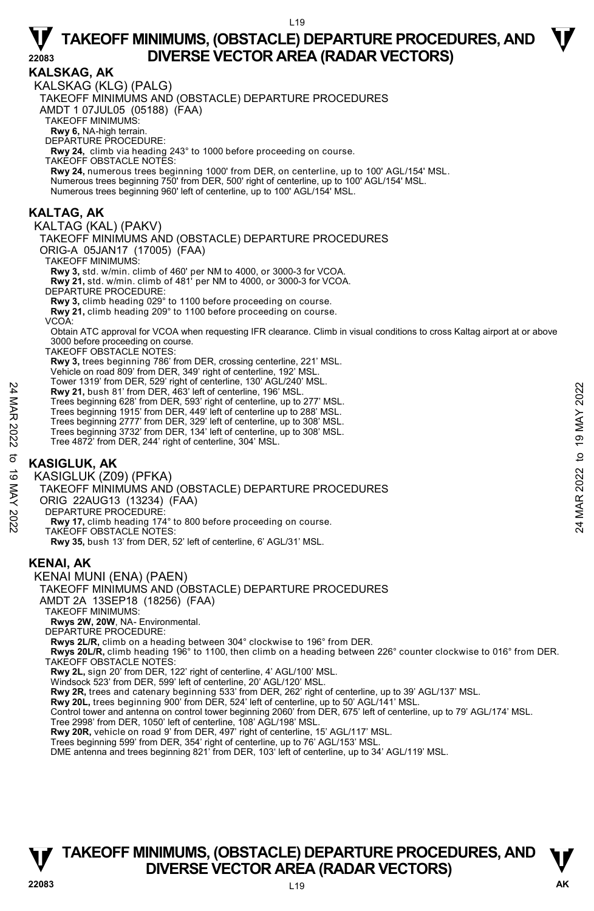**KALSKAG, AK**  KALSKAG (KLG) (PALG) TAKEOFF MINIMUMS AND (OBSTACLE) DEPARTURE PROCEDURES AMDT 1 07JUL05 (05188) (FAA) TAKEOFF MINIMUMS: **Rwy 6,** NA-high terrain. DEPARTURE PROCEDURE: **Rwy 24,** climb via heading 243° to 1000 before proceeding on course. TAKEOFF OBSTACLE NOTES: **Rwy 24,** numerous trees beginning 1000' from DER, on centerline, up to 100' AGL/154' MSL.<br>Numerous trees beginning 750' from DER, 500' right of centerline, up to 100' AGL/154' MSL. Numerous trees beginning 960' left of centerline, up to 100' AGL/154' MSL. **KALTAG, AK**  KALTAG (KAL) (PAKV) TAKEOFF MINIMUMS AND (OBSTACLE) DEPARTURE PROCEDURES ORIG-A 05JAN17 (17005) (FAA) TAKEOFF MINIMUMS: **Rwy 3,** std. w/min. climb of 460' per NM to 4000, or 3000-3 for VCOA. **Rwy 21,** std. w/min. climb of 481' per NM to 4000, or 3000-3 for VCOA. DEPARTURE PROCEDURE **Rwy 3,** climb heading 029° to 1100 before proceeding on course. **Rwy 21,** climb heading 209° to 1100 before proceeding on course. VCOA: Obtain ATC approval for VCOA when requesting IFR clearance. Climb in visual conditions to cross Kaltag airport at or above 3000 before proceeding on course. TAKEOFF OBSTACLE NOTES: **Rwy 3,** trees beginning 786' from DER, crossing centerline, 221' MSL. Vehicle on road 809' from DER, 349' right of centerline, 192' MSL. Tower 1319' from DER, 529' right of centerline, 130' AGL/240' MSL. **Rwy 21,** bush 81' from DER, 463' left of centerline, 196' MSL. Trees beginning 628' from DER, 593' right of centerline, up to 277' MSL. Trees beginning 1915' from DER, 449' left of centerline up to 288' MSL. Trees beginning 2777' from DER, 329' left of centerline, up to 308' MSL. Trees beginning 3732' from DER, 134' left of centerline, up to 308' MSL. Tree 4872' from DER, 244' right of centerline, 304' MSL. **KASIGLUK, AK**  KASIGLUK (Z09) (PFKA) TAKEOFF MINIMUMS AND (OBSTACLE) DEPARTURE PROCEDURES ORIG 22AUG13 (13234) (FAA) DEPARTURE PROCEDURE: **Rwy 17,** climb heading 174° to 800 before proceeding on course. TAKEOFF OBSTACLE NOTES: **Rwy 35,** bush 13' from DER, 52' left of centerline, 6' AGL/31' MSL. **KENAI, AK**  KENAI MUNI (ENA) (PAEN) TAKEOFF MINIMUMS AND (OBSTACLE) DEPARTURE PROCEDURES AMDT 2A 13SEP18 (18256) (FAA) TAKEOFF MINIMUMS: **Rwys 2W, 20W**, NA- Environmental. DEPARTURE PROCEDURE: **Rwys 2L/R,** climb on a heading between 304° clockwise to 196° from DER. **Rwys 20L/R,** climb heading 196° to 1100, then climb on a heading between 226° counter clockwise to 016° from DER. TAKEOFF OBSTACLE NOTES: **Rwy 2L,** sign 20' from DER, 122' right of centerline, 4' AGL/100' MSL. Windsock 523' from DER, 599' left of centerline, 20' AGL/120' MSL. **Rwy 2R,** trees and catenary beginning 533' from DER, 262' right of centerline, up to 39' AGL/137' MSL. Rwy 20L, trees beginning 900' from DER, 524' left of centerline, up to 50' AGL/141' MSL. Control tower and antenna on control tower beginning 2060' from DER, 675' left of centerline, up to 79' AGL/174' MSL. Tree 2998' from DER, 1050' left of centerline, 108' AGL/198' MSL.<br>**Rwy 20R,** vehicle on road 9' from DER, 497' right of centerline, 15' AGL/117' MSL. Trees beginning 599' from DER, 354' right of centerline, up to 76' AGL/153' MSL. DME antenna and trees beginning 821' from DER, 103' left of centerline, up to 34' AGL/119' MSL. 24 March 1919 March 2022 to 19 March 2022 to 19 March 2022<br>
224 March 2022 from DER, 463' left of centerline, 196 MSL.<br>
Trees beginning 1915 from DER, 463' left of centerline, up to 277' MSL.<br>
Trees beginning 1971' from D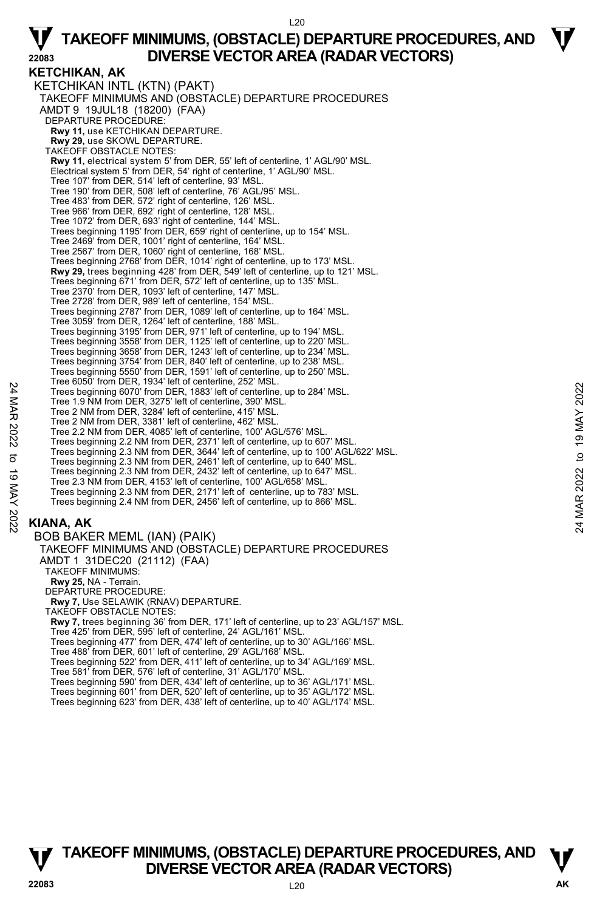**KETCHIKAN, AK**  KETCHIKAN INTL (KTN) (PAKT) TAKEOFF MINIMUMS AND (OBSTACLE) DEPARTURE PROCEDURES AMDT 9 19JUL18 (18200) (FAA) DEPARTURE PROCEDURE: **Rwy 11,** use KETCHIKAN DEPARTURE. **Rwy 29,** use SKOWL DEPARTURE. TAKEOFF OBSTACLE NOTES: **Rwy 11,** electrical system 5' from DER, 55' left of centerline, 1' AGL/90' MSL. Electrical system 5' from DER, 54' right of centerline, 1' AGL/90' MSL. Tree 107' from DER, 514' left of centerline, 93' MSL. Tree 190' from DER, 508' left of centerline, 76' AGL/95' MSL. Tree 483' from DER, 572' right of centerline, 126' MSL. Tree 966' from DER, 692' right of centerline, 128' MSL. Tree 1072' from DER, 693' right of centerline, 144' MSL. Trees beginning 1195' from DER, 659' right of centerline, up to 154' MSL. Tree 2469' from DER, 1001' right of centerline, 164' MSL. Tree 2567' from DER, 1060' right of centerline, 168' MSL. Trees beginning 2768' from DER, 1014' right of centerline, up to 173' MSL. **Rwy 29,** trees beginning 428' from DER, 549' left of centerline, up to 121' MSL. Trees beginning 671' from DER, 572' left of centerline, up to 135' MSL. Tree 2370' from DER, 1093' left of centerline, 147' MSL. Tree 2728' from DER, 989' left of centerline, 154' MSL. Trees beginning 2787' from DER, 1089' left of centerline, up to 164' MSL. Tree 3059' from DER, 1264' left of centerline, 188' MSL. Trees beginning 3195' from DER, 971' left of centerline, up to 194' MSL. Trees beginning 3558' from DER, 1125' left of centerline, up to 220' MSL. Trees beginning 3658' from DER, 1243' left of centerline, up to 234' MSL. Trees beginning 3754' from DER, 840' left of centerline, up to 238' MSL. Trees beginning 5550' from DER, 1591' left of centerline, up to 250' MSL. Tree 6050' from DER, 1934' left of centerline, 252' MSL. Trees beginning 6070' from DER, 1883' left of centerline, up to 284' MSL. Tree 1.9 NM from DER, 3275' left of centerline, 390' MSL. Tree 2 NM from DER, 3284' left of centerline, 415' MSL. Tree 2 NM from DER, 3381' left of centerline, 462' MSL. Tree 2.2 NM from DER, 4085' left of centerline, 100' AGL/576' MSL. Trees beginning 2.2 NM from DER, 2371' left of centerline, up to 607' MSL. Trees beginning 2.3 NM from DER, 3644' left of centerline, up to 100' AGL/622' MSL.<br>Trees beginning 2.3 NM from DER, 2461' left of centerline, up to 640' MSL.<br>Trees beginning 2.3 NM from DER, 2432' left of centerline, up t Tree 2.3 NM from DER, 4153' left of centerline, 100' AGL/658' MSL. Trees beginning 2.3 NM from DER, 2171' left of centerline, up to 783' MSL. Trees beginning 2.4 NM from DER, 2456' left of centerline, up to 866' MSL. BOB BAKER MEML (IAN) (PAIK) TAKEOFF MINIMUMS AND (OBSTACLE) DEPARTURE PROCEDURES AMDT 1 31DEC20 (21112) (FAA) TAKEOFF MINIMUMS: **Rwy 25,** NA - Terrain. DEPARTURE PROCEDURE: **Rwy 7,** Use SELAWIK (RNAV) DEPARTURE. TAKEOFF OBSTACLE NOTES: **Rwy 7,** trees beginning 36' from DER, 171' left of centerline, up to 23' AGL/157' MSL.<br>Tree 425' from DER, 595' left of centerline, 24' AGL/161' MSL. Trees beginning 477' from DER, 474' left of centerline, up to 30' AGL/166' MSL. Tree 488' from DER, 601' left of centerline, 29' AGL/168' MSL. Tree boom in Eart, 1933 The different and the set of centerline, up to 284' MSL.<br>
Tree 1.9 NM from DER, 3275' left of centerline, 462' MSL.<br>
Tree 2 NM from DER, 3284' left of centerline, 462' MSL.<br>
Tree 2 NM from DER, 3284

### **KIANA, AK**

Trees beginning 522' from DER, 411' left of centerline, up to 34' AGL/169' MSL. Tree 581' from DER, 576' left of centerline, 31' AGL/170' MSL. Trees beginning 590' from DER, 434' left of centerline, up to 36' AGL/171' MSL. Trees beginning 601' from DER, 520' left of centerline, up to 35' AGL/172' MSL. Trees beginning 623' from DER, 438' left of centerline, up to 40' AGL/174' MSL.

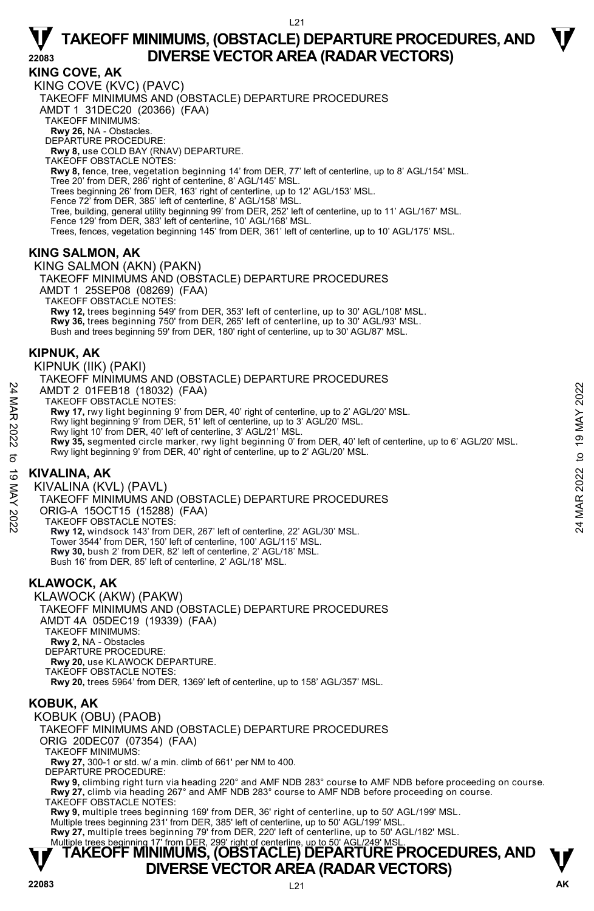#### **KING COVE, AK**

KING COVE (KVC) (PAVC) TAKEOFF MINIMUMS AND (OBSTACLE) DEPARTURE PROCEDURES AMDT 1 31DEC20 (20366) (FAA) TAKEOFF MINIMUMS: **Rwy 26,** NA - Obstacles. DEPARTURE PROCEDURE: **Rwy 8,** use COLD BAY (RNAV) DEPARTURE. TAKEOFF OBSTACLE NOTES: **Rwy 8,** fence, tree, vegetation beginning 14' from DER, 77' left of centerline, up to 8' AGL/154' MSL.<br>Tree 20' from DER, 286' right of centerline, 8' AGL/145' MSL. Trees beginning 26' from DER, 163' right of centerline, up to 12' AGL/153' MSL. Fence 72' from DER, 385' left of centerline, 8' AGL/158' MSL. Tree, building, general utility beginning 99' from DER, 252' left of centerline, up to 11' AGL/167' MSL. Fence 129' from DER, 383' left of centerline, 10' AGL/168' MSL. Trees, fences, vegetation beginning 145' from DER, 361' left of centerline, up to 10' AGL/175' MSL.

### **KING SALMON, AK**

KING SALMON (AKN) (PAKN) TAKEOFF MINIMUMS AND (OBSTACLE) DEPARTURE PROCEDURES AMDT 1 25SEP08 (08269) (FAA) TAKEOFF OBSTACLE NOTES: **Rwy 12,** trees beginning 549' from DER, 353' left of centerline, up to 30' AGL/108' MSL.<br>**Rwy 36,** trees beginning 750' from DER, 265' left of centerline, up to 30' AGL/93' MSL. Bush and trees beginning 59' from DER, 180' right of centerline, up to 30' AGL/87' MSL.

#### **KIPNUK, AK**

KIPNUK (IIK) (PAKI)

TAKEOFF MINIMUMS AND (OBSTACLE) DEPARTURE PROCEDURES

AMDT 2 01FEB18 (18032) (FAA)

TAKEOFF OBSTACLE NOTES:

**Rwy 17,** rwy light beginning 9' from DER, 40' right of centerline, up to 2' AGL/20' MSL.

Rwy light beginning 9' from DER, 51' left of centerline, up to 3' AGL/20' MSL.

Rwy light 10' from DER, 40' left of centerline, 3' AGL/21' MSL.

**Rwy 35,** segmented circle marker, rwy light beginning 0' from DER, 40' left of centerline, up to 6' AGL/20' MSL. Rwy light beginning 9' from DER, 40' right of centerline, up to 2' AGL/20' MSL. 24 MMDT 2 01FEB18 (18032) (FAA)<br>
24 MMDT 2 01FEB18 (18032) (FAA)<br>
TAKEOFF OBSTACLE NOTES:<br>
Rwy 11ght beginning 9' from DER, 40' right of centerline, up to 2' AGL/20' MSL.<br>
Rwy 11ght beginning 9' from DER, 40' left of cent

#### **KIVALINA, AK**

KIVALINA (KVL) (PAVL)

TAKEOFF MINIMUMS AND (OBSTACLE) DEPARTURE PROCEDURES

ORIG-A 15OCT15 (15288) (FAA)

TAKEOFF OBSTACLE NOTES:

**Rwy 12,** windsock 143' from DER, 267' left of centerline, 22' AGL/30' MSL. Tower 3544' from DER, 150' left of centerline, 100' AGL/115' MSL. **Rwy 30,** bush 2' from DER, 82' left of centerline, 2' AGL/18' MSL. Bush 16' from DER, 85' left of centerline, 2' AGL/18' MSL.

#### **KLAWOCK, AK**

KLAWOCK (AKW) (PAKW) TAKEOFF MINIMUMS AND (OBSTACLE) DEPARTURE PROCEDURES AMDT 4A 05DEC19 (19339) (FAA) TAKEOFF MINIMUMS: **Rwy 2,** NA - Obstacles DEPARTURE PROCEDURE **Rwy 20,** use KLAWOCK DEPARTURE. TAKEOFF OBSTACLE NOTES: **Rwy 20,** trees 5964' from DER, 1369' left of centerline, up to 158' AGL/357' MSL.

#### **KOBUK, AK**

KOBUK (OBU) (PAOB)

TAKEOFF MINIMUMS AND (OBSTACLE) DEPARTURE PROCEDURES

ORIG 20DEC07 (07354) (FAA)

TAKEOFF MINIMUMS:

**Rwy 27,** 300-1 or std. w/ a min. climb of 661' per NM to 400.

DEPARTURE PROCEDURE:

**Rwy 9,** climbing right turn via heading 220° and AMF NDB 283° course to AMF NDB before proceeding on course. **Rwy 27,** climb via heading 267° and AMF NDB 283° course to AMF NDB before proceeding on course. TAKEOFF OBSTACLE NOTES:

**Rwy 9,** multiple trees beginning 169' from DER, 36' right of centerline, up to 50' AGL/199' MSL. Multiple trees beginning 231' from DER, 385' left of centerline, up to 50' AGL/199' MSL.

**Rwy 27,** multiple trees beginning 79' from DER, 220' left of centerline, up to 50' AGL/182' MSL.<br>Multiple trees beginning 17' from DER, 299' right of centerline, up to 50' AGL/249' MSL.

### **TAKEOFF MINIMUMS, (OBSTACLE) DEPARTURE PROCEDURES, AND**  $\Psi$ **DIVERSE VECTOR AREA (RADAR VECTORS)**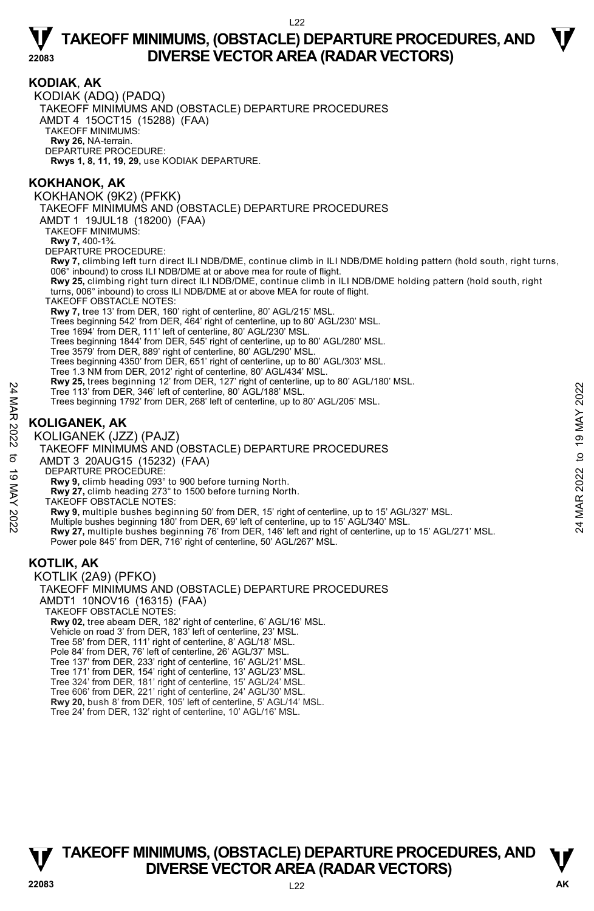

Tree 324' from DER, 181' right of centerline, 15' AGL/24' MSL. Tree 606' from DER, 221' right of centerline, 24' AGL/30' MSL.

**Rwy 20,** bush 8' from DER, 105' left of centerline, 5' AGL/14' MSL.

Tree 24' from DER, 132' right of centerline, 10' AGL/16' MSL.

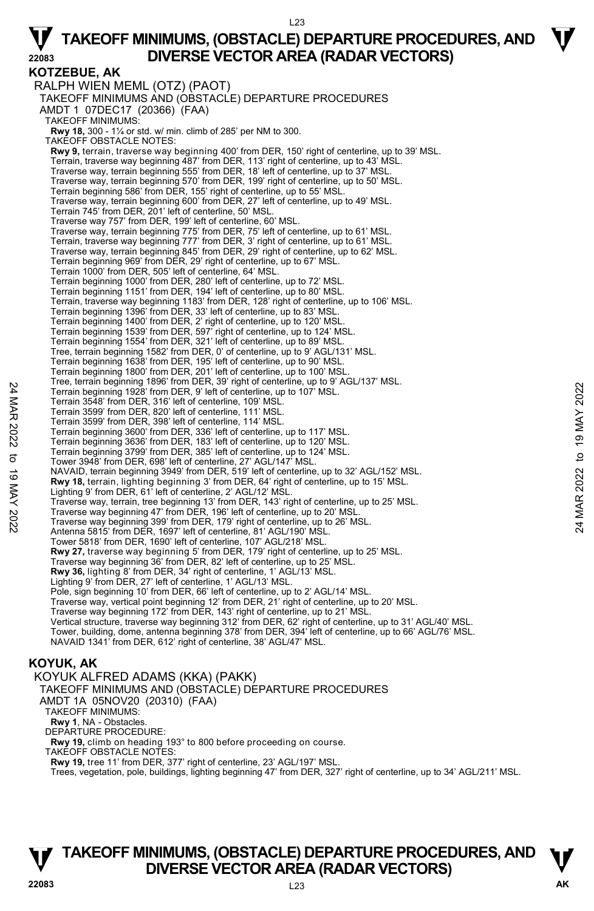#### L23

### **TAKEOFF MINIMUMS, (OBSTACLE) DEPARTURE PROCEDURES, AND**  $\Psi$ **22083 DIVERSE VECTOR AREA (RADAR VECTORS)**

**KOTZEBUE, AK**  RALPH WIEN MEML (OTZ) (PAOT) TAKEOFF MINIMUMS AND (OBSTACLE) DEPARTURE PROCEDURES AMDT 1 07DEC17 (20366) (FAA) TAKEOFF MINIMUMS: **Rwy 18,** 300 - 1¼ or std. w/ min. climb of 285' per NM to 300. TAKEOFF OBSTACLE NOTES: **Rwy 9,** terrain, traverse way beginning 400' from DER, 150' right of centerline, up to 39' MSL. Terrain, traverse way beginning 487' from DER, 113' right of centerline, up to 43' MSL. Traverse way, terrain beginning 555' from DER, 18' left of centerline, up to 37' MSL.<br>Traverse way, terrain beginning 570' from DER, 199' right of centerline, up to 50' MSL. Terrain beginning 586' from DER, 155' right of centerline, up to 55' MSL. Traverse way, terrain beginning 600' from DER, 27' left of centerline, up to 49' MSL. Terrain 745' from DER, 201' left of centerline, 50' MSL. Traverse way 757' from DER, 199' left of centerline, 60' MSL. Traverse way, terrain beginning 775' from DER, 75' left of centerline, up to 61' MSL.<br>Terrain, traverse way beginning 777' from DER, 3' right of centerline, up to 61' MSL.<br>Traverse way, terrain beginning 845' from DER, 29' Terrain beginning 969' from DER, 29' right of centerline, up to 67' MSL. Terrain 1000' from DER, 505' left of centerline, 64' MSL. Terrain beginning 1000' from DER, 280' left of centerline, up to 72' MSL. Terrain beginning 1151' from DER, 194' left of centerline, up to 80' MSL. Terrain, traverse way beginning 1183' from DER, 128' right of centerline, up to 106' MSL. Terrain beginning 1396' from DER, 33' left of centerline, up to 83' MSL. Terrain beginning 1400' from DER, 2' right of centerline, up to 120' MSL. Terrain beginning 1539' from DER, 597' right of centerline, up to 124' MSL. Terrain beginning 1554' from DER, 321' left of centerline, up to 89' MSL. Tree, terrain beginning 1582' from DER, 0' of centerline, up to 9' AGL/131' MSL. Terrain beginning 1638' from DER, 195' left of centerline, up to 90' MSL. Terrain beginning 1800' from DER, 201' left of centerline, up to 100' MSL. Tree, terrain beginning 1896' from DER, 39' right of centerline, up to 9' AGL/137' MSL. Terrain beginning 1928' from DER, 9' left of centerline, up to 107' MSL. Terrain 3548' from DER, 316' left of centerline, 109' MSL. Terrain 3599' from DER, 820' left of centerline, 111' MSL. Terrain 3599' from DER, 398' left of centerline, 114' MSL. Terrain beginning 3600' from DER, 336' left of centerline, up to 117' MSL. Terrain beginning 3636' from DER, 183' left of centerline, up to 120' MSL. Terrain beginning 3799' from DER, 385' left of centerline, up to 124' MSL. Tower 3948' from DER, 698' left of centerline, 27' AGL/147' MSL. NAVAID, terrain beginning 3949' from DER, 519' left of centerline, up to 32' AGL/152' MSL. **Rwy 18,** terrain, lighting beginning 3' from DER, 64' right of centerline, up to 15' MSL.<br>Lighting 9' from DER, 61' left of centerline, 2' AGL/12' MSL. Traverse way, terrain, tree beginning 13' from DER, 143' right of centerline, up to 25' MSL. Traverse way beginning 47' from DER, 196' left of centerline, up to 20' MSL. Traverse way beginning 399' from DER, 179' right of centerline, up to 26' MSL. Antenna 5815' from DER, 1697' left of centerline, 81' AGL/190' MSL. Tower 5818' from DER, 1690' left of centerline, 107' AGL/218' MSL. **Rwy 27,** traverse way beginning 5' from DER, 179' right of centerline, up to 25' MSL.<br>Traverse way beginning 36' from DER, 82' left of centerline, up to 25' MSL. **Rwy 36,** lighting 8' from DER, 34' right of centerline, 1' AGL/13' MSL. Lighting 9' from DER, 27' left of centerline, 1' AGL/13' MSL. Pole, sign beginning 10' from DER, 66' left of centerline, up to 2' AGL/14' MSL. Traverse way, vertical point beginning 12' from DER, 21' right of centerline, up to 20' MSL. Traverse way beginning 172' from DER, 143' right of centerline, up to 21' MSL. Vertical structure, traverse way beginning 312' from DER, 62' right of centerline, up to 31' AGL/40' MSL. Tower, building, dome, antenna beginning 378' from DER, 394' left of centerline, up to 66' AGL/76' MSL. NAVAID 1341' from DER, 612' right of centerline, 38' AGL/47' MSL. **KOYUK, AK**  KOYUK ALFRED ADAMS (KKA) (PAKK) 1 Terrain beginning 1939 from DER, 9 ignt of centerline, up to 107 MSL.<br>
Terrain 3599 from DER, 316' left of centerline, 119 MSL.<br>
Terrain 3599 from DER, 320' left of centerline, 114' MSL.<br>
Terrain 3599 from DER, 320' lef

TAKEOFF MINIMUMS AND (OBSTACLE) DEPARTURE PROCEDURES AMDT 1A 05NOV20 (20310) (FAA) TAKEOFF MINIMUMS: **Rwy 1**, NA - Obstacles. DEPARTURE PROCEDURE: **Rwy 19,** climb on heading 193° to 800 before proceeding on course. TAKEOFF OBSTACLE NOTES: **Rwy 19,** tree 11' from DER, 377' right of centerline, 23' AGL/197' MSL. Trees, vegetation, pole, buildings, lighting beginning 47' from DER, 327' right of centerline, up to 34' AGL/211' MSL.

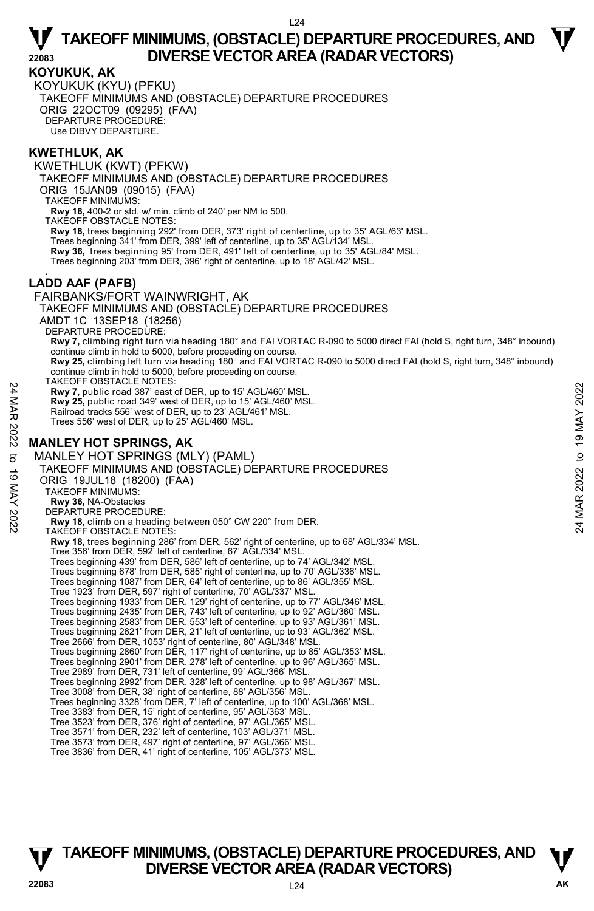**KOYUKUK, AK** 

KOYUKUK (KYU) (PFKU) TAKEOFF MINIMUMS AND (OBSTACLE) DEPARTURE PROCEDURES ORIG 22OCT09 (09295) (FAA) DEPARTURE PROCEDURE: Use DIBVY DEPARTURE.

#### **KWETHLUK, AK**

KWETHLUK (KWT) (PFKW) TAKEOFF MINIMUMS AND (OBSTACLE) DEPARTURE PROCEDURES ORIG 15JAN09 (09015) (FAA) TAKEOFF MINIMUMS: **Rwy 18,** 400-2 or std. w/ min. climb of 240' per NM to 500. TAKEOFF OBSTACLE NOTES: **Rwy 18,** trees beginning 292' from DER, 373' right of centerline, up to 35' AGL/63' MSL. Trees beginning 341' from DER, 399' left of centerline, up to 35' AGL/134' MSL. **Rwy 36,** trees beginning 95' from DER, 491' left of centerline, up to 35' AGL/84' MSL. Trees beginning 203' from DER, 396' right of centerline, up to 18' AGL/42' MSL. . **LADD AAF (PAFB)**  FAIRBANKS/FORT WAINWRIGHT, AK TAKEOFF MINIMUMS AND (OBSTACLE) DEPARTURE PROCEDURES AMDT 1C 13SEP18 (18256) DEPARTURE PROCEDURE: Rwy 7, climbing right turn via heading 180° and FAI VORTAC R-090 to 5000 direct FAI (hold S, right turn, 348° inbound) continue climb in hold to 5000, before proceeding on course. **Rwy 25,** climbing left turn via heading 180° and FAI VORTAC R-090 to 5000 direct FAI (hold S, right turn, 348° inbound) continue climb in hold to 5000, before proceeding on course. TAKEOFF OBSTACLE NOTES: **Rwy 7,** public road 387' east of DER, up to 15' AGL/460' MSL. **Rwy 25,** public road 349' west of DER, up to 15' AGL/460' MSL. Railroad tracks 556' west of DER, up to 23' AGL/461' MSL. Trees 556' west of DER, up to 25' AGL/460' MSL. **MANLEY HOT SPRINGS, AK**  MANLEY HOT SPRINGS (MLY) (PAML) TAKEOFF MINIMUMS AND (OBSTACLE) DEPARTURE PROCEDURES ORIG 19JUL18 (18200) (FAA) TAKEOFF MINIMUMS: **Rwy 36,** NA-Obstacles DEPARTURE PROCEDURE: **Rwy 18,** climb on a heading between 050° CW 220° from DER. TAKEOFF OBSTACLE NOTES: **Rwy 18,** trees beginning 286' from DER, 562' right of centerline, up to 68' AGL/334' MSL. Tree 356' from DER, 592' left of centerline, 67' AGL/334' MSL. Trees beginning 439' from DER, 586' left of centerline, up to 74' AGL/342' MSL. Trees beginning 678' from DER, 585' right of centerline, up to 70' AGL/336' MSL. Trees beginning 1087' from DER, 64' left of centerline, up to 86' AGL/355' MSL. Tree 1923' from DER, 597' right of centerline, 70' AGL/337' MSL. Trees beginning 1933' from DER, 129' right of centerline, up to 77' AGL/346' MSL. Trees beginning 2435' from DER, 743' left of centerline, up to 92' AGL/360' MSL. Trees beginning 2583' from DER, 553' left of centerline, up to 93' AGL/361' MSL. Trees beginning 2621' from DER, 21' left of centerline, up to 93' AGL/362' MSL. Tree 2666' from DER, 1053' right of centerline, 80' AGL/348' MSL. Trees beginning 2860' from DER, 117' right of centerline, up to 85' AGL/353' MSL. Trees beginning 2901' from DER, 278' left of centerline, up to 96' AGL/365' MSL. Tree 2989' from DER, 731' left of centerline, 99' AGL/366' MSL. Trees beginning 2992' from DER, 328' left of centerline, up to 98' AGL/367' MSL. Tree 3008' from DER, 38' right of centerline, 88' AGL/356' MSL. Trees beginning 3328' from DER, 7' left of centerline, up to 100' AGL/368' MSL. Tree 3383' from DER, 15' right of centerline, 95' AGL/363' MSL. Tree 3523' from DER, 376' right of centerline, 97' AGL/365' MSL. Tree 3571' from DER, 232' left of centerline, 103' AGL/371' MSL. Tree 3573' from DER, 497' right of centerline, 97' AGL/366' MSL. Tree 3836' from DER, 41' right of centerline, 105' AGL/373' MSL. **EXECUTE SETTLE AND SETTLE AND SETTLE AND SETTLE AND SETTLE AND SETTLE AND SETTLE AND SETTLE S SO WELL THES 556' west of DER, up to 15' AGL/460' MSL.<br>
Railroad and west of DER, up to 15' AGL/460' MSL.<br>
Trees 556' west of**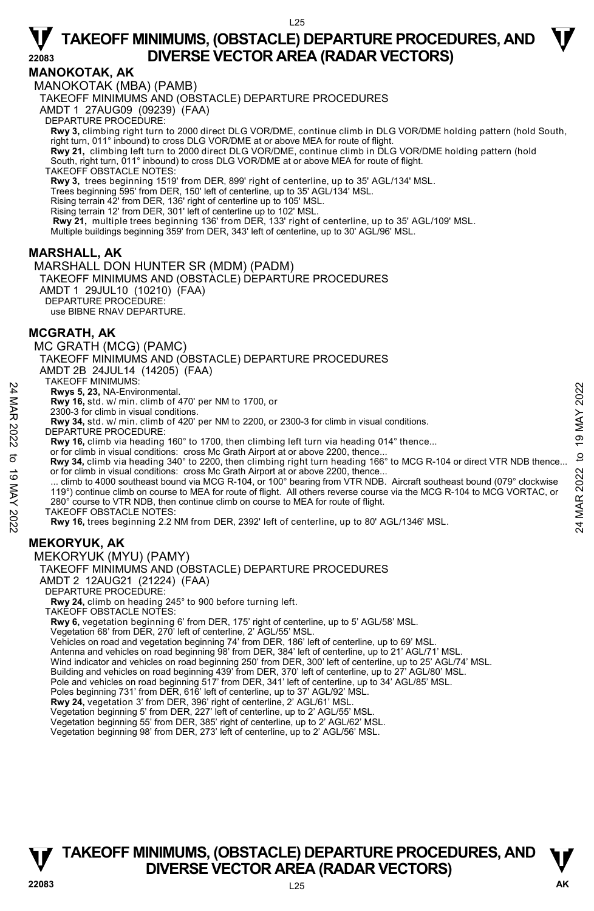#### **MANOKOTAK, AK**

MANOKOTAK (MBA) (PAMB)

TAKEOFF MINIMUMS AND (OBSTACLE) DEPARTURE PROCEDURES

AMDT 1 27AUG09 (09239) (FAA)

DEPARTURE PROCEDURE:

- **Rwy 3,** climbing right turn to 2000 direct DLG VOR/DME, continue climb in DLG VOR/DME holding pattern (hold South, right turn, 011° inbound) to cross DLG VOR/DME at or above MEA for route of flight.
- **Rwy 21,** climbing left turn to 2000 direct DLG VOR/DME, continue climb in DLG VOR/DME holding pattern (hold South, right turn, 011° inbound) to cross DLG VOR/DME at or above MEA for route of flight.

TAKEOFF OBSTACLE NOTES:

**Rwy 3,** trees beginning 1519' from DER, 899' right of centerline, up to 35' AGL/134' MSL.

Trees beginning 595' from DER, 150' left of centerline, up to 35' AGL/134' MSL.

Rising terrain 42' from DER, 136' right of centerline up to 105' MSL.

Rising terrain 12' from DER, 301' left of centerline up to 102' MSL.

**Rwy 21,** multiple trees beginning 136' from DER, 133' right of centerline, up to 35' AGL/109' MSL.

Multiple buildings beginning 359' from DER, 343' left of centerline, up to 30' AGL/96' MSL.

#### **MARSHALL, AK**

MARSHALL DON HUNTER SR (MDM) (PADM) TAKEOFF MINIMUMS AND (OBSTACLE) DEPARTURE PROCEDURES AMDT 1 29JUL10 (10210) (FAA) DEPARTURE PROCEDURE: use BIBNE RNAV DEPARTURE.

#### **MCGRATH, AK**

MC GRATH (MCG) (PAMC)

TAKEOFF MINIMUMS AND (OBSTACLE) DEPARTURE PROCEDURES

AMDT 2B 24JUL14 (14205) (FAA)

TAKEOFF MINIMUMS:

**Rwys 5, 23,** NA-Environmental.

**Rwy 16,** std. w/ min. climb of 470' per NM to 1700, or

 2300-3 for climb in visual conditions. **Rwy 34,** std. w/ min. climb of 420' per NM to 2200, or 2300-3 for climb in visual conditions.

DEPARTURE PROCEDURE:

**Rwy 16,** climb via heading 160° to 1700, then climbing left turn via heading 014° thence...

or for climb in visual conditions: cross Mc Grath Airport at or above 2200, thence **Rwy 34,** climb via heading 340° to 2200, then climbing right turn heading 166° to MCG R-104 or direct VTR NDB thence... or for climb in visual conditions: cross Mc Grath Airport at or above 2200, thence.

climb to 4000 southeast bound via MCG R-104, or 100° bearing from VTR NDB. Aircraft southeast bound (079° clockwise 119°) continue climb on course to MEA for route of flight. All others reverse course via the MCG R-104 to MCG VORTAC, or 280° course to VTR NDB, then continue climb on course to MEA for route of flight. **EXECUTE TRIMEDION THE SET CALL AT A THANGE AND THE SET CALL AND THE SET CALL AND THE SET CALL AND THE SET CALL AND THE SET CALL AND THE SET CALL AND THE SET CALL AND THE SET CALL AND THE SET CALL AND THE SET CALL AND THE** 

TAKEOFF OBSTACLE NOTES:

**Rwy 16,** trees beginning 2.2 NM from DER, 2392' left of centerline, up to 80' AGL/1346' MSL.

#### **MEKORYUK, AK**

MEKORYUK (MYU) (PAMY)

TAKEOFF MINIMUMS AND (OBSTACLE) DEPARTURE PROCEDURES

AMDT 2 12AUG21 (21224) (FAA)

DEPARTURE PROCEDURE:

**Rwy 24,** climb on heading 245° to 900 before turning left.

TAKEOFF OBSTACLE NOTES:

**Rwy 6,** vegetation beginning 6' from DER, 175' right of centerline, up to 5' AGL/58' MSL.<br>Vegetation 68' from DER, 270' left of centerline, 2' AGL/55' MSL.

Vehicles on road and vegetation beginning 74' from DER, 186' left of centerline, up to 69' MSL.

Antenna and vehicles on road beginning 98' from DER, 384' left of centerline, up to 21' AGL/71' MSL

Wind indicator and vehicles on road beginning 250' from DER, 300' left of centerline, up to 25' AGL/74' MSL.

Building and vehicles on road beginning 439' from DER, 370' left of centerline, up to 27' AGL/80' MSL.

Pole and vehicles on road beginning 517' from DER, 341' left of centerline, up to 34' AGL/85' MSL.<br>Poles beginning 731' from DER, 616' left of centerline, up to 37' AGL/92' MSL.

**Rwy 24,** vegetation 3' from DER, 396' right of centerline, 2' AGL/61' MSL.

Vegetation beginning 5' from DER, 227' left of centerline, up to 2' AGL/55' MSL.

Vegetation beginning 55' from DER, 385' right of centerline, up to 2' AGL/62' MSL. Vegetation beginning 98' from DER, 273' left of centerline, up to 2' AGL/56' MSL.

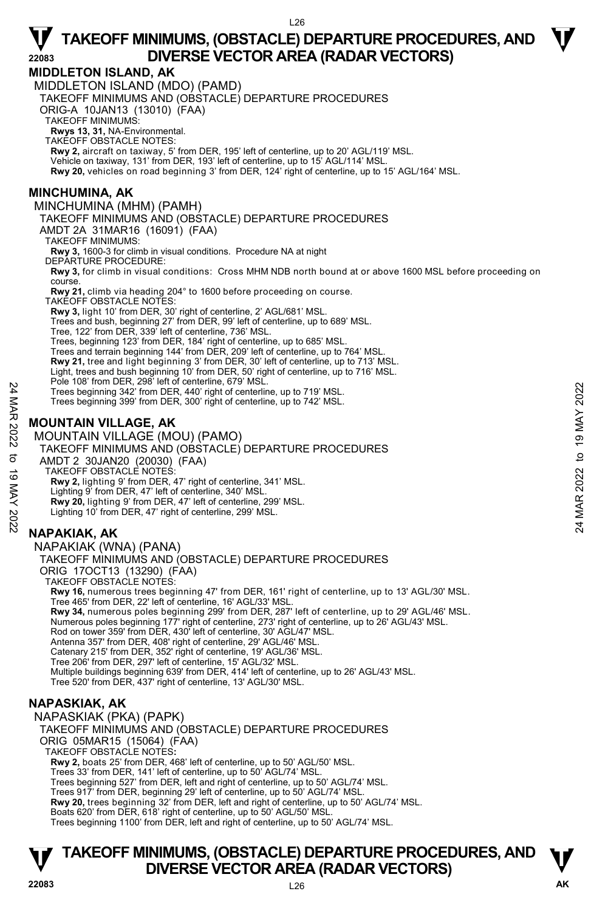#### **MIDDLETON ISLAND, AK**

MIDDLETON ISLAND (MDO) (PAMD)

TAKEOFF MINIMUMS AND (OBSTACLE) DEPARTURE PROCEDURES

ORIG-A 10JAN13 (13010) (FAA)

TAKEOFF MINIMUMS:

**Rwys 13, 31,** NA-Environmental. TAKEOFF OBSTACLE NOTES:

**Rwy 2,** aircraft on taxiway, 5' from DER, 195' left of centerline, up to 20' AGL/119' MSL.

Vehicle on taxiway, 131' from DER, 193' left of centerline, up to 15' AGL/114' MSL.

**Rwy 20,** vehicles on road beginning 3' from DER, 124' right of centerline, up to 15' AGL/164' MSL.

#### **MINCHUMINA, AK**

MINCHUMINA (MHM) (PAMH) TAKEOFF MINIMUMS AND (OBSTACLE) DEPARTURE PROCEDURES AMDT 2A 31MAR16 (16091) (FAA) TAKEOFF MINIMUMS: **Rwy 3,** 1600-3 for climb in visual conditions. Procedure NA at night DEPARTURE PROCEDURE: **Rwy 3,** for climb in visual conditions: Cross MHM NDB north bound at or above 1600 MSL before proceeding on course. **Rwy 21,** climb via heading 204° to 1600 before proceeding on course. TAKEOFF OBSTACLE NOTES: **Rwy 3,** light 10' from DER, 30' right of centerline, 2' AGL/681' MSL. Trees and bush, beginning 27' from DER, 99' left of centerline, up to 689' MSL. Tree, 122' from DER, 339' left of centerline, 736' MSL. Trees, beginning 123' from DER, 184' right of centerline, up to 685' MSL. Trees and terrain beginning 144' from DER, 209' left of centerline, up to 764' MSL. **Rwy 21,** tree and light beginning 3' from DER, 30' left of centerline, up to 713' MSL. Light, trees and bush beginning 10' from DER, 50' right of centerline, up to 716' MSL. Pole 108' from DER, 298' left of centerline, 679' MSL. Trees beginning 342' from DER, 440' right of centerline, up to 719' MSL. Trees beginning 399' from DER, 300' right of centerline, up to 742' MSL. **MOUNTAIN VILLAGE, AK**  MOUNTAIN VILLAGE (MOU) (PAMO) TAKEOFF MINIMUMS AND (OBSTACLE) DEPARTURE PROCEDURES AMDT 2 30JAN20 (20030) (FAA) TAKEOFF OBSTACLE NOTES: **Rwy 2,** lighting 9' from DER, 47' right of centerline, 341' MSL. Lighting 9' from DER, 47' left of centerline, 340' MSL. **Rwy 20,** lighting 9' from DER, 47' left of centerline, 299' MSL. Lighting 10' from DER, 47' right of centerline, 299' MSL. **NAPAKIAK, AK**  NAPAKIAK (WNA) (PANA) TAKEOFF MINIMUMS AND (OBSTACLE) DEPARTURE PROCEDURES ORIG 17OCT13 (13290) (FAA) TAKEOFF OBSTACLE NOTES: **Rwy 16,** numerous trees beginning 47' from DER, 161' right of centerline, up to 13' AGL/30' MSL. Tree 465' from DER, 22' left of centerline, 16' AGL/33' MSL. **Rwy 34,** numerous poles beginning 299' from DER, 287' left of centerline, up to 29' AGL/46' MSL. Numerous poles beginning 177' right of centerline, 273' right of centerline, up to 26' AGL/43' MSL. Rod on tower 359' from DER, 430' left of centerline, 30' AGL/47' MSL. Antenna 357' from DER, 408' right of centerline, 29' AGL/46' MSL. Catenary 215' from DER, 352' right of centerline, 19' AGL/36' MSL. Tree 206' from DER, 297' left of centerline, 15' AGL/32' MSL. Multiple buildings beginning 639' from DER, 414' left of centerline, up to 26' AGL/43' MSL. Tree 520' from DER, 437' right of centerline, 13' AGL/30' MSL. **NAPASKIAK, AK**  Trees beginning 342' from DER, 40' ight of centerline, up to 719' MSL.<br>
Trees beginning 342' from DER, 440' right of centerline, up to 742' MSL.<br>
Trees beginning 399' from DER, 300' right of centerline, up to 742' MSL.<br>
MO

NAPASKIAK (PKA) (PAPK) TAKEOFF MINIMUMS AND (OBSTACLE) DEPARTURE PROCEDURES ORIG 05MAR15 (15064) (FAA) TAKEOFF OBSTACLE NOTES**: Rwy 2,** boats 25' from DER, 468' left of centerline, up to 50' AGL/50' MSL. Trees 33' from DER, 141' left of centerline, up to 50' AGL/74' MSL. Trees beginning 527' from DER, left and right of centerline, up to 50' AGL/74' MSL. Trees 917' from DER, beginning 29' left of centerline, up to 50' AGL/74' MSL. **Rwy 20,** trees beginning 32' from DER, left and right of centerline, up to 50' AGL/74' MSL.

Boats 620' from DER, 618' right of centerline, up to 50' AGL/50' MSL.

Trees beginning 1100' from DER, left and right of centerline, up to 50' AGL/74' MSL.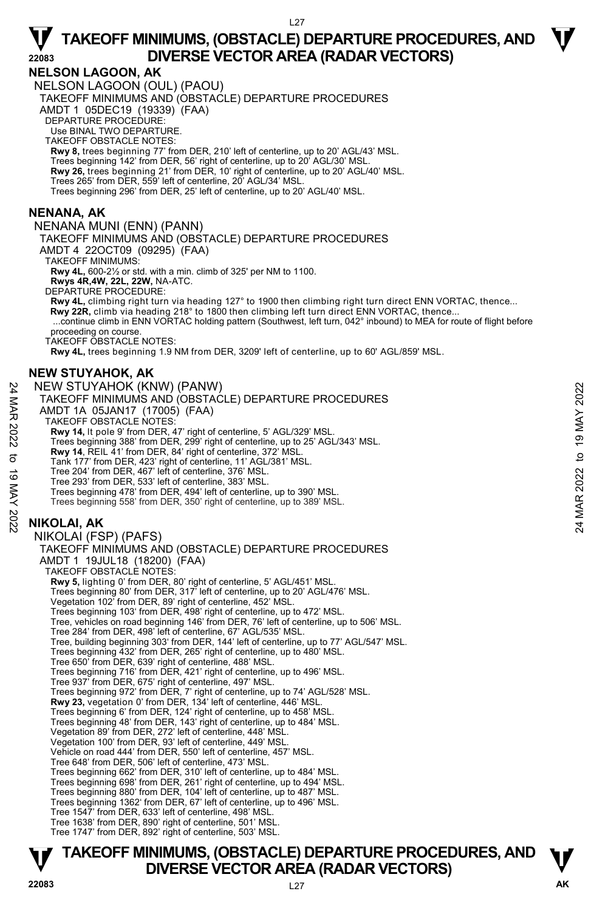#### **NELSON LAGOON, AK**

NELSON LAGOON (OUL) (PAOU) TAKEOFF MINIMUMS AND (OBSTACLE) DEPARTURE PROCEDURES AMDT 1 05DEC19 (19339) (FAA)

DEPARTURE PROCEDURE:

Use BINAL TWO DEPARTURE

TAKEOFF OBSTACLE NOTES:

**Rwy 8,** trees beginning 77' from DER, 210' left of centerline, up to 20' AGL/43' MSL. Trees beginning 142' from DER, 56' right of centerline, up to 20' AGL/30' MSL. **Rwy 26,** trees beginning 21' from DER, 10' right of centerline, up to 20' AGL/40' MSL.<br>Trees 265' from DER, 559' left of centerline, 20' AGL/34' MSL. Trees beginning 296' from DER, 25' left of centerline, up to 20' AGL/40' MSL.

#### **NENANA, AK**

NENANA MUNI (ENN) (PANN) TAKEOFF MINIMUMS AND (OBSTACLE) DEPARTURE PROCEDURES AMDT 4 22OCT09 (09295) (FAA) TAKEOFF MINIMUMS: **Rwy 4L,** 600-2½ or std. with a min. climb of 325' per NM to 1100. **Rwys 4R,4W, 22L, 22W,** NA-ATC. DEPARTURE PROCEDURE: **Rwy 4L,** climbing right turn via heading 127° to 1900 then climbing right turn direct ENN VORTAC, thence...

 **Rwy 22R,** climb via heading 218° to 1800 then climbing left turn direct ENN VORTAC, thence... ...continue climb in ENN VORTAC holding pattern (Southwest, left turn, 042° inbound) to MEA for route of flight before proceeding on course.

TAKEOFF OBSTACLE NOTES:

**Rwy 4L,** trees beginning 1.9 NM from DER, 3209' left of centerline, up to 60' AGL/859' MSL.

#### **NEW STUYAHOK, AK**

NEW STUYAHOK (KNW) (PANW)

TAKEOFF MINIMUMS AND (OBSTACLE) DEPARTURE PROCEDURES NEW STUYAHOK (KNW) (PANW)<br>  $\geq$  TAKEOFF MINIMUMS AND (OBSTACLE) DEPARTURE PROCEDURES<br>
AMDT 1A 05JAN17 (17005) (FAA)<br>
TAKEOFF OBSTACLE NOTES:<br>
Rwy 14, it pole 9 from DER, 47 right of centerline, 5' AGL/329' MSL.<br>
Tee 2021

AMDT 1A 05JAN17 (17005) (FAA)

TAKEOFF OBSTACLE NOTES:

**Rwy 14,** lt pole 9' from DER, 47' right of centerline, 5' AGL/329' MSL.

- Trees beginning 388' from DER, 299' right of centerline, up to 25' AGL/343' MSL.
- **Rwy 14**, REIL 41' from DER, 84' right of centerline, 372' MSL.
- Tank 177' from DER, 423' right of centerline, 11' AGL/381' MSL.
- Tree 204' from DER, 467' left of centerline, 376' MSL.
- Tree 293' from DER, 533' left of centerline, 383' MSL.
- Trees beginning 478' from DER, 494' left of centerline, up to 390' MSL.
- Trees beginning 558' from DER, 350' right of centerline, up to 389' MSL.

### **NIKOLAI, AK**

NIKOLAI (FSP) (PAFS) TAKEOFF MINIMUMS AND (OBSTACLE) DEPARTURE PROCEDURES AMDT 1 19JUL18 (18200) (FAA) TAKEOFF OBSTACLE NOTES: **Rwy 5,** lighting 0' from DER, 80' right of centerline, 5' AGL/451' MSL.<br>Trees beginning 80' from DER, 317' left of centerline, up to 20' AGL/476' MSL. Vegetation 102' from DER, 89' right of centerline, 452' MSL. Trees beginning 103' from DER, 498' right of centerline, up to 472' MSL. Tree, vehicles on road beginning 146' from DER, 76' left of centerline, up to 506' MSL. Tree 284' from DER, 498' left of centerline, 67' AGL/535' MSL. Tree, building beginning 303' from DER, 144' left of centerline, up to 77' AGL/547' MSL. Trees beginning 432' from DER, 265' right of centerline, up to 480' MSL. Tree 650' from DER, 639' right of centerline, 488' MSL. Trees beginning 716' from DER, 421' right of centerline, up to 496' MSL. Tree 937' from DER, 675' right of centerline, 497' MSL. Trees beginning 972' from DER, 7' right of centerline, up to 74' AGL/528' MSL. **Rwy 23,** vegetation 0' from DER, 134' left of centerline, 446' MSL. Trees beginning 6' from DER, 124' right of centerline, up to 458' MSL. Trees beginning 48' from DER, 143' right of centerline, up to 484' MSL. Vegetation 89' from DER, 272' left of centerline, 448' MSL. Vegetation 100' from DER, 93' left of centerline, 449' MSL. Vehicle on road 444' from DER, 550' left of centerline, 457' MSL. Tree 648' from DER, 506' left of centerline, 473' MSL. Trees beginning 662' from DER, 310' left of centerline, up to 484' MSL. Trees beginning 698' from DER, 261' right of centerline, up to 494' MSL. Trees beginning 880' from DER, 104' left of centerline, up to 487' MSL. Trees beginning 1362' from DER, 67' left of centerline, up to 496' MSL. Tree 1547' from DER, 633' left of centerline, 498' MSL. Tree 1638' from DER, 890' right of centerline, 501' MSL. Tree 1747' from DER, 892' right of centerline, 503' MSL.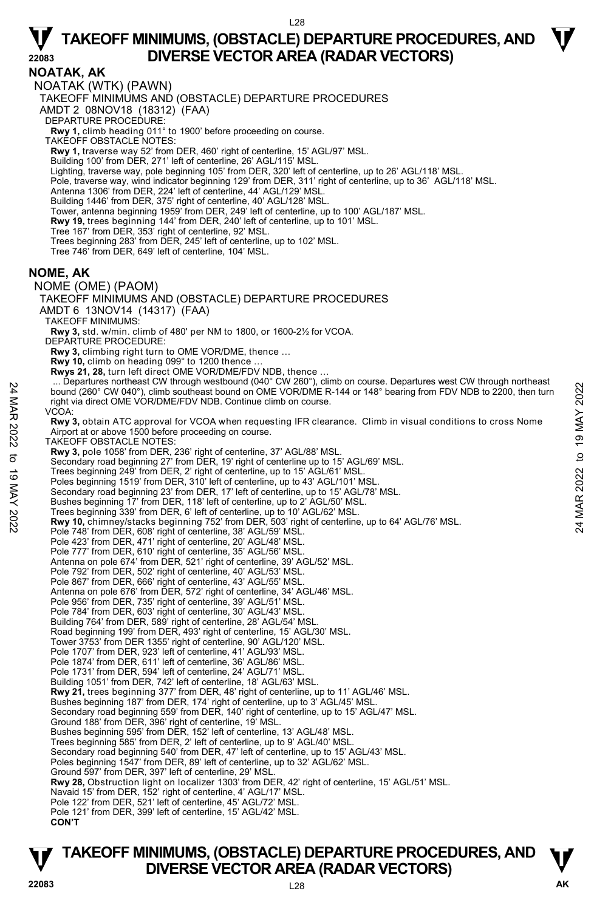**NOATAK, AK**  NOATAK (WTK) (PAWN) TAKEOFF MINIMUMS AND (OBSTACLE) DEPARTURE PROCEDURES AMDT 2 08NOV18 (18312) (FAA) DEPARTURE PROCEDURE: **Rwy 1,** climb heading 011° to 1900' before proceeding on course. TAKEOFF OBSTACLE NOTES: **Rwy 1,** traverse way 52' from DER, 460' right of centerline, 15' AGL/97' MSL. Building 100' from DER, 271' left of centerline, 26' AGL/115' MSL. Lighting, traverse way, pole beginning 105' from DER, 320' left of centerline, up to 26' AGL/118' MSL. Pole, traverse way, wind indicator beginning 129' from DER, 311' right of centerline, up to 36' AGL/118' MSL. Antenna 1306' from DER, 224' left of centerline, 44' AGL/129' MSL. Building 1446' from DER, 375' right of centerline, 40' AGL/128' MSL. Tower, antenna beginning 1959' from DER, 249' left of centerline, up to 100' AGL/187' MSL. **Rwy 19,** trees beginning 144' from DER, 240' left of centerline, up to 101' MSL. Tree 167' from DER, 353' right of centerline, 92' MSL. Trees beginning 283' from DER, 245' left of centerline, up to 102' MSL. Tree 746' from DER, 649' left of centerline, 104' MSL. **NOME, AK**  NOME (OME) (PAOM) TAKEOFF MINIMUMS AND (OBSTACLE) DEPARTURE PROCEDURES AMDT 6 13NOV14 (14317) (FAA) TAKEOFF MINIMUMS: **Rwy 3,** std. w/min. climb of 480' per NM to 1800, or 1600-2½ for VCOA. DEPARTURE PROCEDURE: **Rwy 3,** climbing right turn to OME VOR/DME, thence … **Rwy 10,** climb on heading 099° to 1200 thence … **Rwys 21, 28,** turn left direct OME VOR/DME/FDV NDB, thence … Departures northeast CW through westbound (040° CW 260°), climb on course. Departures west CW through northeast bound (260° CW 040°), climb southeast bound on OME VOR/DME R-144 or 148° bearing from FDV NDB to 2200, then turn right via direct OME VOR/DME/FDV NDB. Continue climb on course. VCOA: **Rwy 3,** obtain ATC approval for VCOA when requesting IFR clearance. Climb in visual conditions to cross Nome Airport at or above 1500 before proceeding on course. TAKEOFF OBSTACLE NOTES: **Rwy 3,** pole 1058' from DER, 236' right of centerline, 37' AGL/88' MSL.<br>Secondary road beginning 27' from DER, 19' right of centerline up to 15' AGL/69' MSL. Trees beginning 249' from DER, 2' right of centerline, up to 15' AGL/61' MSL. Poles beginning 1519' from DER, 310' left of centerline, up to 43' AGL/101' MSI Secondary road beginning 23' from DER, 17' left of centerline, up to 15' AGL/78' MSL. Bushes beginning 17' from DER, 118' left of centerline, up to 2' AGL/50' MSL. Trees beginning 339' from DER, 6' left of centerline, up to 10' AGL/62' MSL.<br>**Rwy 10,** chimney/stacks beginning 752' from DER, 503' right of centerline, up to 64' AGL/76' MSL. Pole 748' from DER, 608' right of centerline, 38' AGL/59' MSL. Pole 423' from DER, 471' right of centerline, 20' AGL/48' MSL. Pole 777' from DER, 610' right of centerline, 35' AGL/56' MSL. Antenna on pole 674' from DER, 521' right of centerline, 39' AGL/52' MSL. Pole 792' from DER, 502' right of centerline, 40' AGL/53' MSL. Pole 867' from DER, 666' right of centerline, 43' AGL/55' MSL Antenna on pole 676' from DER, 572' right of centerline, 34' AGL/46' MSL. Pole 956' from DER, 735' right of centerline, 39' AGL/51' MSL. Pole 784' from DER, 603' right of centerline, 30' AGL/43' MSL Building 764' from DER, 589' right of centerline, 28' AGL/54' MSL. Road beginning 199' from DER, 493' right of centerline, 15' AGL/30' MSL. Tower 3753' from DER 1355' right of centerline, 90' AGL/120' MSL. Pole 1707' from DER, 923' left of centerline, 41' AGL/93' MSL. Pole 1874' from DER, 611' left of centerline, 36' AGL/86' MSL. Pole 1731' from DER, 594' left of centerline, 24' AGL/71' MSL. Building 1051' from DER, 742' left of centerline, 18' AGL/63' MSL.<br>**Rwy 21,** trees beginning 377' from DER, 48' right of centerline, up to 11' AGL/46' MSL. Bushes beginning 187' from DER, 174' right of centerline, up to 3' AGL/45' MSL. Secondary road beginning 559' from DER, 140' right of centerline, up to 15' AGL/47' MSL. Ground 188' from DER, 396' right of centerline, 19' MSL. Bushes beginning 595' from DER, 152' left of centerline, 13' AGL/48' MSL. Trees beginning 585' from DER, 2' left of centerline, up to 9' AGL/40' MSL. Secondary road beginning 540' from DER, 47' left of centerline, up to 15' AGL/43' MSL. Poles beginning 1547' from DER, 89' left of centerline, up to 32' AGL/62' MSL. Ground 597' from DER, 397' left of centerline, 29' MSL. **Rwy 28,** Obstruction light on localizer 1303' from DER, 42' right of centerline, 15' AGL/51' MSL. Navaid 15' from DER, 152' right of centerline, 4' AGL/17' MSL. Pole 122' from DER, 521' left of centerline, 45' AGL/72' MSL. Pole 121' from DER, 399' left of centerline, 15' AGL/42' MSL. 24 Marchines included to the Content of the Content of the Content of the Content of the Content of the Content<br>
24 Marchines Continue climb on course.<br>
24 Marchines (VCOA) when requesting IFR clearance. Climb in visual c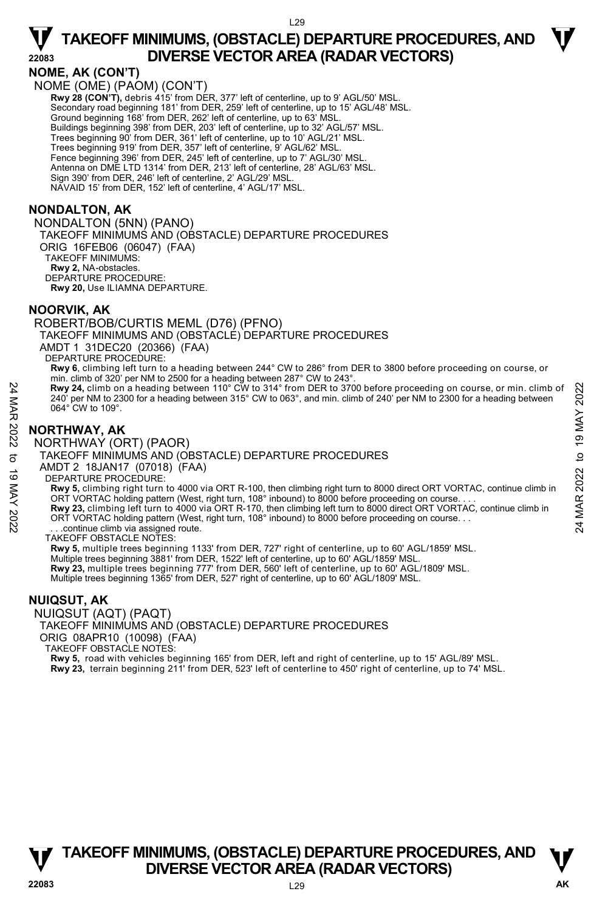#### **NOME, AK (CON'T)**

NOME (OME) (PAOM) (CON'T) **Rwy 28 (CON'T), debris 415' from DER, 377' left of centerline, up to 9' AGL/50' MSL** Secondary road beginning 181' from DER, 259' left of centerline, up to 15' AGL/48' MSL. Ground beginning 168' from DER, 262' left of centerline, up to 63' MSL. Buildings beginning 398' from DER, 203' left of centerline, up to 32' AGL/57' MSL.<br>Trees beginning 90' from DER, 361' left of centerline, up to 10' AGL/21' MSL.<br>Trees beginning 919' from DER, 357' left of centerline, 9' AG Fence beginning 396' from DER, 245' left of centerline, up to 7' AGL/30' MSL. Antenna on DME LTD 1314' from DER, 213' left of centerline, 28' AGL/63' MSL. Sign 390' from DER, 246' left of centerline, 2' AGL/29' MSL. NAVAID 15' from DER, 152' left of centerline, 4' AGL/17' MSL.

#### **NONDALTON, AK**

NONDALTON (5NN) (PANO) TAKEOFF MINIMUMS AND (OBSTACLE) DEPARTURE PROCEDURES ORIG 16FEB06 (06047) (FAA) TAKEOFF MINIMUMS: **Rwy 2,** NA-obstacles. DEPARTURE PROCEDURE: **Rwy 20,** Use ILIAMNA DEPARTURE.

#### **NOORVIK, AK**

ROBERT/BOB/CURTIS MEML (D76) (PFNO) TAKEOFF MINIMUMS AND (OBSTACLE) DEPARTURE PROCEDURES AMDT 1 31DEC20 (20366) (FAA) DEPARTURE PROCEDURE:

**Rwy 6**, climbing left turn to a heading between 244° CW to 286° from DER to 3800 before proceeding on course, or min. climb of 320' per NM to 2500 for a heading between 287° CW to 243°. **Rwy 24,** climb on a heading between 110° CW to 314° from DER to 3700 before proceeding on course, or min. climb of

240' per NM to 2300 for a heading between 315° CW to 063°, and min. climb of 240' per NM to 2300 for a heading between 064° CW to 109°. **24 Rwy 24,** climb on a heading between 110° CW to 314° from DER to 3700 before proceeding on course, or min. climb of<br>
240' per NM to 2300 for a heading between<br>
26  $^{240}$  CW to 193<sup>9</sup>. CW to 198<sup>9</sup>, and min. climb of 2

#### **NORTHWAY, AK**

NORTHWAY (ORT) (PAOR)

TAKEOFF MINIMUMS AND (OBSTACLE) DEPARTURE PROCEDURES

AMDT 2 18JAN17 (07018) (FAA)

DEPARTURE PROCEDURE:

**Rwy 5,** climbing right turn to 4000 via ORT R-100, then climbing right turn to 8000 direct ORT VORTAC, continue climb in ORT VORTAC holding pattern (West, right turn, 108° inbound) to 8000 before proceeding on course. .

**Rwy 23,** climbing left turn to 4000 via ORT R-170, then climbing left turn to 8000 direct ORT VORTAC, continue climb in ORT VORTAC holding pattern (West, right turn, 108° inbound) to 8000 before proceeding on course. . .

 . . .continue climb via assigned route. TAKEOFF OBSTACLE NOTES:

**Rwy 5,** multiple trees beginning 1133' from DER, 727' right of centerline, up to 60' AGL/1859' MSL.

Multiple trees beginning 3881' from DER, 1522' left of centerline, up to 60' AGL/1859' MSL. **Rwy 23,** multiple trees beginning 777' from DER, 560' left of centerline, up to 60' AGL/1809' MSL. Multiple trees beginning 1365' from DER, 527' right of centerline, up to 60' AGL/1809' MSL.

#### **NUIQSUT, AK**

NUIQSUT (AQT) (PAQT)

TAKEOFF MINIMUMS AND (OBSTACLE) DEPARTURE PROCEDURES ORIG 08APR10 (10098) (FAA) TAKEOFF OBSTACLE NOTES:

**Rwy 5,** road with vehicles beginning 165' from DER, left and right of centerline, up to 15' AGL/89' MSL. **Rwy 23,** terrain beginning 211' from DER, 523' left of centerline to 450' right of centerline, up to 74' MSL.



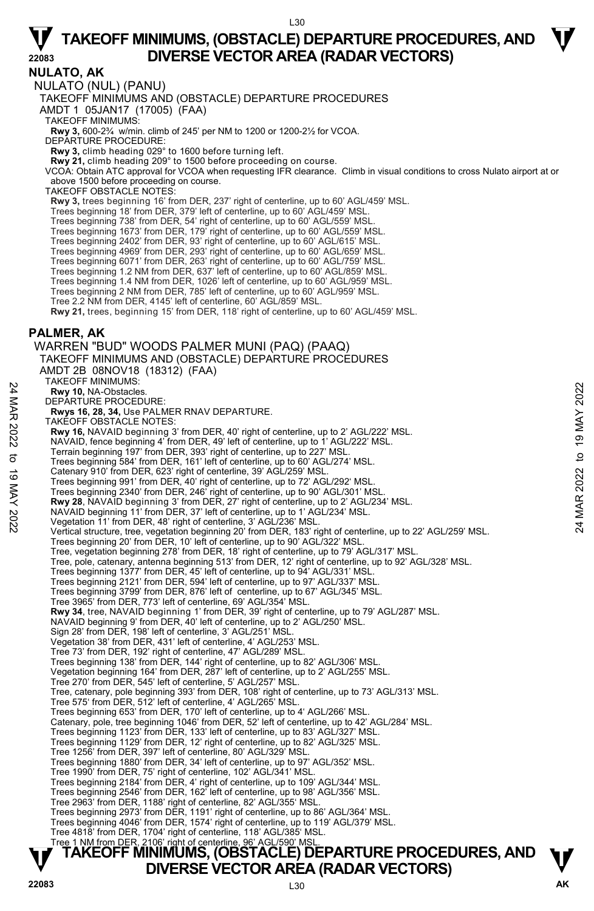**NULATO, AK**  NULATO (NUL) (PANU) TAKEOFF MINIMUMS AND (OBSTACLE) DEPARTURE PROCEDURES AMDT 1 05JAN17 (17005) (FAA) TAKEOFF MINIMUMS: **Rwy 3,** 600-2¾ w/min. climb of 245' per NM to 1200 or 1200-2½ for VCOA. DEPARTURE PROCEDURE: **Rwy 3,** climb heading 029° to 1600 before turning left. **Rwy 21,** climb heading 209° to 1500 before proceeding on course. VCOA: Obtain ATC approval for VCOA when requesting IFR clearance. Climb in visual conditions to cross Nulato airport at or above 1500 before proceeding on course. TAKEOFF OBSTACLE NOTES: **Rwy 3,** trees beginning 16' from DER, 237' right of centerline, up to 60' AGL/459' MSL. Trees beginning 18' from DER, 379' left of centerline, up to 60' AGL/459' MSL. Trees beginning 738' from DER, 54' right of centerline, up to 60' AGL/559' MSL. Trees beginning 1673' from DER, 179' right of centerline, up to 60' AGL/559' MSL.<br>Trees beginning 2402' from DER, 93' right of centerline, up to 60' AGL/615' MSL.<br>Trees beginning 4969' from DER, 293' right of centerline, u Trees beginning 6071' from DER, 263' right of centerline, up to 60' AGL/759' MSL. Trees beginning 1.2 NM from DER, 637' left of centerline, up to 60' AGL/859' MSL. Trees beginning 1.4 NM from DER, 1026' left of centerline, up to 60' AGL/959' MSL. Trees beginning 2 NM from DER, 785' left of centerline, up to 60' AGL/959' MSL. Tree 2.2 NM from DER, 4145' left of centerline, 60' AGL/859' MSL. **Rwy 21,** trees, beginning 15' from DER, 118' right of centerline, up to 60' AGL/459' MSL. **PALMER, AK**  WARREN "BUD" WOODS PALMER MUNI (PAQ) (PAAQ) TAKEOFF MINIMUMS AND (OBSTACLE) DEPARTURE PROCEDURES AMDT 2B 08NOV18 (18312) (FAA) TAKEOFF MINIMUMS: **Rwy 10,** NA-Obstacles. DEPARTURE PROCEDURE: **Rwys 16, 28, 34,** Use PALMER RNAV DEPARTURE. TAKEOFF OBSTACLE NOTES: **Rwy 16,** NAVAID beginning 3' from DER, 40' right of centerline, up to 2' AGL/222' MSL. NAVAID, fence beginning 4' from DER, 49' left of centerline, up to 1' AGL/222' MSL. Terrain beginning 197' from DER, 393' right of centerline, up to 227' MSL. Trees beginning 584' from DER, 161' left of centerline, up to 60' AGL/274' MSL. Catenary 910' from DER, 623' right of centerline, 39' AGL/259' MSL. Trees beginning 991' from DER, 40' right of centerline, up to 72' AGL/292' MSL. Trees beginning 2340' from DER, 246' right of centerline, up to 90' AGL/301' MSL. **Rwy 28**, NAVAID beginning 3' from DER, 27' right of centerline, up to 2' AGL/234' MSL. NAVAID beginning 11' from DER, 37' left of centerline, up to 1' AGL/234' MSL. Vegetation 11' from DER, 48' right of centerline, 3' AGL/236' MSL. Vertical structure, tree, vegetation beginning 20' from DER, 183' right of centerline, up to 22' AGL/259' MSL. Trees beginning 20' from DER, 10' left of centerline, up to 90' AGL/322' MSL. Tree, vegetation beginning 278' from DER, 18' right of centerline, up to 79' AGL/317' MSL. Tree, pole, catenary, antenna beginning 513' from DER, 12' right of centerline, up to 92' AGL/328' MSL. Trees beginning 1377' from DER, 45' left of centerline, up to 94' AGL/331' MSL. Trees beginning 2121' from DER, 594' left of centerline, up to 97' AGL/337' MSL. Trees beginning 3799' from DER, 876' left of centerline, up to 67' AGL/345' MSL. Tree 3965' from DER, 773' left of centerline, 69' AGL/354' MSL. **Rwy 34**, tree, NAVAID beginning 1' from DER, 39' right of centerline, up to 79' AGL/287' MSL. NAVAID beginning 9' from DER, 40' left of centerline, up to 2' AGL/250' MSL. Sign 28' from DER, 198' left of centerline, 3' AGL/251' MSL. Vegetation 38' from DER, 431' left of centerline, 4' AGL/253' MSL. Tree 73' from DER, 192' right of centerline, 47' AGL/289' MSL. Trees beginning 138' from DER, 144' right of centerline, up to 82' AGL/306' MSL. Vegetation beginning 164' from DER, 287' left of centerline, up to 2' AGL/255' MSL. Tree 270' from DER, 545' left of centerline, 5' AGL/257' MSL. Tree, catenary, pole beginning 393' from DER, 108' right of centerline, up to 73' AGL/313' MSL. Tree 575' from DER, 512' left of centerline, 4' AGL/265' MSL. Trees beginning 653' from DER, 170' left of centerline, up to 4' AGL/266' MSL. Catenary, pole, tree beginning 1046' from DER, 52' left of centerline, up to 42' AGL/284' MSL.<br>Trees beginning 1123' from DER, 133' left of centerline, up to 83' AGL/327' MSL. Trees beginning 1129' from DER, 12' right of centerline, up to 82' AGL/325' MSL. Tree 1256' from DER, 397' left of centerline, 80' AGL/329' MSL. Trees beginning 1880' from DER, 34' left of centerline, up to 97' AGL/352' MSL. Tree 1990' from DER, 75' right of centerline, 102' AGL/341' MSL. Trees beginning 2184' from DER, 4' right of centerline, up to 109' AGL/344' MSL. Trees beginning 2546' from DER, 162' left of centerline, up to 98' AGL/356' MSL. Tree 2963' from DER, 1188' right of centerline, 82' AGL/355' MSL. Trees beginning 2973' from DER, 1191' right of centerline, up to 86' AGL/364' MSL. Trees beginning 4046' from DER, 1574' right of centerline, up to 119' AGL/379' MSL. Tree 4818' from DER, 1704' right of centerline, 118' AGL/385' MSL. Tree 1 NM from DER, 2106' right of centerline, 96' AGL/590' MSL. 24 MAR 2021 The State Particle Control of Control of Control of California Control of California Control of Control of Control of Control of Control of Control of Control of Control of Control of Control of Control of Con

### **TAKEOFF MINIMUMS, (OBSTACLE) DEPARTURE PROCEDURES, AND**  $\Psi$ **DIVERSE VECTOR AREA (RADAR VECTORS)**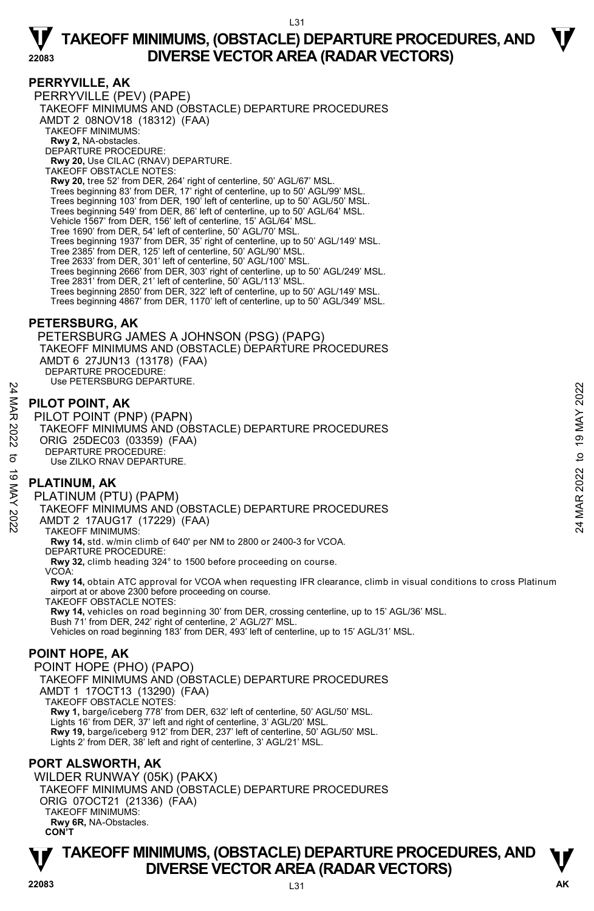#### **PERRYVILLE, AK**

PERRYVILLE (PEV) (PAPE) TAKEOFF MINIMUMS AND (OBSTACLE) DEPARTURE PROCEDURES AMDT 2 08NOV18 (18312) (FAA) TAKEOFF MINIMUMS: **Rwy 2,** NA-obstacles. DEPARTURE PROCEDURE: **Rwy 20,** Use CILAC (RNAV) DEPARTURE. TAKEOFF OBSTACLE NOTES: **Rwy 20,** tree 52' from DER, 264' right of centerline, 50' AGL/67' MSL. Trees beginning 83' from DER, 17' right of centerline, up to 50' AGL/99' MSL. Trees beginning 103' from DER, 190' left of centerline, up to 50' AGL/50' MSL. Trees beginning 549' from DER, 86' left of centerline, up to 50' AGL/64' MSL. Vehicle 1567' from DER, 156' left of centerline, 15' AGL/64' MSL. Tree 1690' from DER, 54' left of centerline, 50' AGL/70' MSL. Trees beginning 1937' from DER, 35' right of centerline, up to 50' AGL/149' MSL. Tree 2385' from DER, 125' left of centerline, 50' AGL/90' MSL. Tree 2633' from DER, 301' left of centerline, 50' AGL/100' MSL. Trees beginning 2666' from DER, 303' right of centerline, up to 50' AGL/249' MSL. Tree 2831' from DER, 21' left of centerline, 50' AGL/113' MSL. Trees beginning 2850' from DER, 322' left of centerline, up to 50' AGL/149' MSL. Trees beginning 4867' from DER, 1170' left of centerline, up to 50' AGL/349' MSL.

#### **PETERSBURG, AK**

 PETERSBURG JAMES A JOHNSON (PSG) (PAPG) TAKEOFF MINIMUMS AND (OBSTACLE) DEPARTURE PROCEDURES AMDT 6 27JUN13 (13178) (FAA) DEPARTURE PROCEDURE: Use PETERSBURG DEPARTURE.

#### **PILOT POINT, AK**

PILOT POINT (PNP) (PAPN) TAKEOFF MINIMUMS AND (OBSTACLE) DEPARTURE PROCEDURES ORIG 25DEC03 (03359) (FAA) DEPARTURE PROCEDURE Use ZILKO RNAV DEPARTURE. **PILOT POINT, AK<br>
PILOT POINT (PNP) (PAPN)**<br>
TAKEOFF MINIMUMS AND (OBSTACLE) DEPARTURE PROCEDURES<br>
ORIG 25DEC03 (03359) (FAA)<br>
DEPARTURE PROCEDURE:<br>
ORIG 2022<br>
DEPARTURE PROCEDURE:<br>
Use ZILKO RNAV DEPARTURE.<br> **PLATINUM, A** 

#### **PLATINUM, AK**

PLATINUM (PTU) (PAPM)

TAKEOFF MINIMUMS AND (OBSTACLE) DEPARTURE PROCEDURES

AMDT 2 17AUG17 (17229) (FAA)

TAKEOFF MINIMUMS:

**Rwy 14,** std. w/min climb of 640' per NM to 2800 or 2400-3 for VCOA.

- DEPARTURE PROCEDURE
- **Rwy 32,** climb heading 324° to 1500 before proceeding on course.
- VCOA:

**Rwy 14,** obtain ATC approval for VCOA when requesting IFR clearance, climb in visual conditions to cross Platinum airport at or above 2300 before proceeding on course.

TAKEOFF OBSTACLE NOTES:

**Rwy 14,** vehicles on road beginning 30' from DER, crossing centerline, up to 15' AGL/36' MSL. Bush 71' from DER, 242' right of centerline, 2' AGL/27' MSL. Vehicles on road beginning 183' from DER, 493' left of centerline, up to 15' AGL/31' MSL.

#### **POINT HOPE, AK**

POINT HOPE (PHO) (PAPO) TAKEOFF MINIMUMS AND (OBSTACLE) DEPARTURE PROCEDURES AMDT 1 17OCT13 (13290) (FAA) TAKEOFF OBSTACLE NOTES: **Rwy 1,** barge/iceberg 778' from DER, 632' left of centerline, 50' AGL/50' MSL. Lights 16' from DER, 37' left and right of centerline, 3' AGL/20' MSL.<br>**Rwy 19,** barge/iceberg 912' from DER, 237' left of centerline, 50' AGL/50' MSL. Lights 2' from DER, 38' left and right of centerline, 3' AGL/21' MSL.

#### **PORT ALSWORTH, AK**

WILDER RUNWAY (05K) (PAKX) TAKEOFF MINIMUMS AND (OBSTACLE) DEPARTURE PROCEDURES ORIG 07OCT21 (21336) (FAA) TAKEOFF MINIMUMS:  **Rwy 6R,** NA-Obstacles. **CON'T**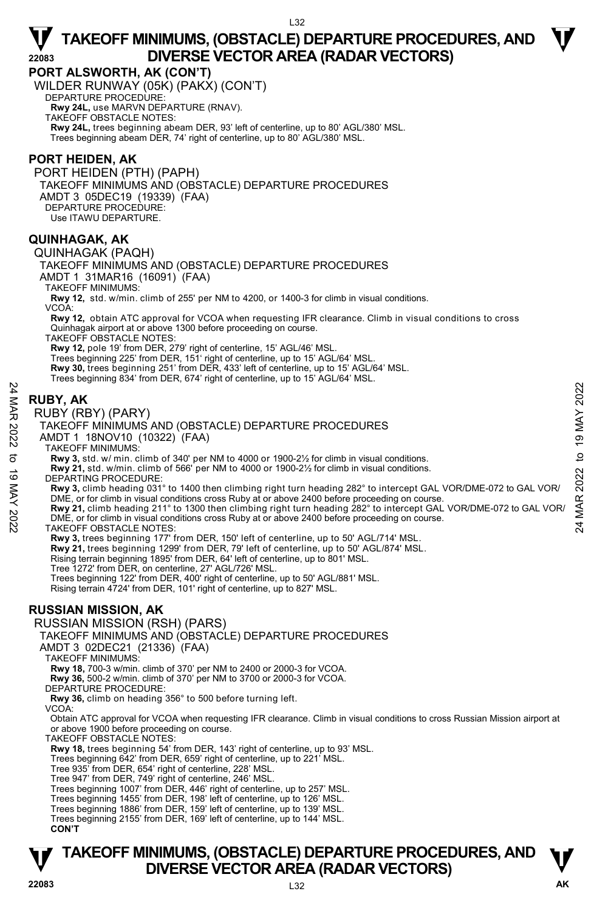**PORT ALSWORTH, AK (CON'T)** 

WILDER RUNWAY (05K) (PAKX) (CON'T) DEPARTURE PROCEDURE:

**Rwy 24L,** use MARVN DEPARTURE (RNAV).

TAKEOFF OBSTACLE NOTES:

**Rwy 24L,** trees beginning abeam DER, 93' left of centerline, up to 80' AGL/380' MSL. Trees beginning abeam DER, 74' right of centerline, up to 80' AGL/380' MSL.

#### **PORT HEIDEN, AK**

PORT HEIDEN (PTH) (PAPH) TAKEOFF MINIMUMS AND (OBSTACLE) DEPARTURE PROCEDURES AMDT 3 05DEC19 (19339) (FAA) DEPARTURE PROCEDURE: Use ITAWU DEPARTURE.

#### **QUINHAGAK, AK**

QUINHAGAK (PAQH)

TAKEOFF MINIMUMS AND (OBSTACLE) DEPARTURE PROCEDURES

AMDT 1 31MAR16 (16091) (FAA)

TAKEOFF MINIMUMS:

**Rwy 12,** std. w/min. climb of 255' per NM to 4200, or 1400-3 for climb in visual conditions. VCOA:

**Rwy 12,** obtain ATC approval for VCOA when requesting IFR clearance. Climb in visual conditions to cross Quinhagak airport at or above 1300 before proceeding on course.

TAKEOFF OBSTACLE NOTES:

**Rwy 12,** pole 19' from DER, 279' right of centerline, 15' AGL/46' MSL.<br>Trees beginning 225' from DER, 151' right of centerline, up to 15' AGL/64' MSL.

**Rwy 30,** trees beginning 251' from DER, 433' left of centerline, up to 15' AGL/64' MSL.

Trees beginning 834' from DER, 674' right of centerline, up to 15' AGL/64' MSL.

#### **RUBY, AK**

RUBY (RBY) (PARY)

TAKEOFF MINIMUMS AND (OBSTACLE) DEPARTURE PROCEDURES

AMDT 1 18NOV10 (10322) (FAA)

TAKEOFF MINIMUMS:

**Rwy 3,** std. w/ min. climb of 340' per NM to 4000 or 1900-2½ for climb in visual conditions.

**Rwy 21,** std. w/min. climb of 566' per NM to 4000 or 1900-2½ for climb in visual conditions.

DEPARTING PROCEDURE:

**Rwy 3,** climb heading 031° to 1400 then climbing right turn heading 282° to intercept GAL VOR/DME-072 to GAL VOR/ DME, or for climb in visual conditions cross Ruby at or above 2400 before proceeding on course.

**Rwy 21,** climb heading 211° to 1300 then climbing right turn heading 282° to intercept GAL VOR/DME-072 to GAL VOR/ DME, or for climb in visual conditions cross Ruby at or above 2400 before proceeding on course. **24**<br> **24 RUBY, AK**<br> **24 RUBY (RBY) (PARY)**<br>
TAKEOFF MINIMUMS AND (OBSTACLE) DEPARTURE PROCEDURES<br>
AMDT 1 18NOV10 (10322) (FAA)<br>
TAKEOFF MINIMUMS:<br> **24 AMDT 1 18NOV10 (10322)** (FAA)<br>
TAKEOFF MINIMUMS:<br> **24 AMDT 1 18NOV1** 

TAKEOFF OBSTACLE NOTES:

**Rwy 3,** trees beginning 177' from DER, 150' left of centerline, up to 50' AGL/714' MSL.

**Rwy 21,** trees beginning 1299' from DER, 79' left of centerline, up to 50' AGL/874' MSL.

Rising terrain beginning 1895' from DER, 64' left of centerline, up to 801' MSL.

Tree 1272' from DER, on centerline, 27' AGL/726' MSL.

Trees beginning 122' from DER, 400' right of centerline, up to 50' AGL/881' MSL. Rising terrain 4724' from DER, 101' right of centerline, up to 827' MSL.

#### **RUSSIAN MISSION, AK**

RUSSIAN MISSION (RSH) (PARS)

TAKEOFF MINIMUMS AND (OBSTACLE) DEPARTURE PROCEDURES

AMDT 3 02DEC21 (21336) (FAA)

TAKEOFF MINIMUMS:

**Rwy 18,** 700-3 w/min. climb of 370' per NM to 2400 or 2000-3 for VCOA.

**Rwy 36,** 500-2 w/min. climb of 370' per NM to 3700 or 2000-3 for VCOA.

DEPARTURE PROCEDURE

 **Rwy 36,** climb on heading 356° to 500 before turning left.

VCOA:

 Obtain ATC approval for VCOA when requesting IFR clearance. Climb in visual conditions to cross Russian Mission airport at or above 1900 before proceeding on course.

TAKEOFF OBSTACLE NOTES:

**Rwy 18,** trees beginning 54' from DER, 143' right of centerline, up to 93' MSL.

Trees beginning 642' from DER, 659' right of centerline, up to 221' MSL.

Tree 935' from DER, 654' right of centerline, 228' MSL.

Tree 947' from DER, 749' right of centerline, 246' MSL.

Trees beginning 1007' from DER, 446' right of centerline, up to 257' MSL. Trees beginning 1455' from DER, 198' left of centerline, up to 126' MSL.

Trees beginning 1886' from DER, 159' left of centerline, up to 139' MSL.

Trees beginning 2155' from DER, 169' left of centerline, up to 144' MSL.

**CON'T** 

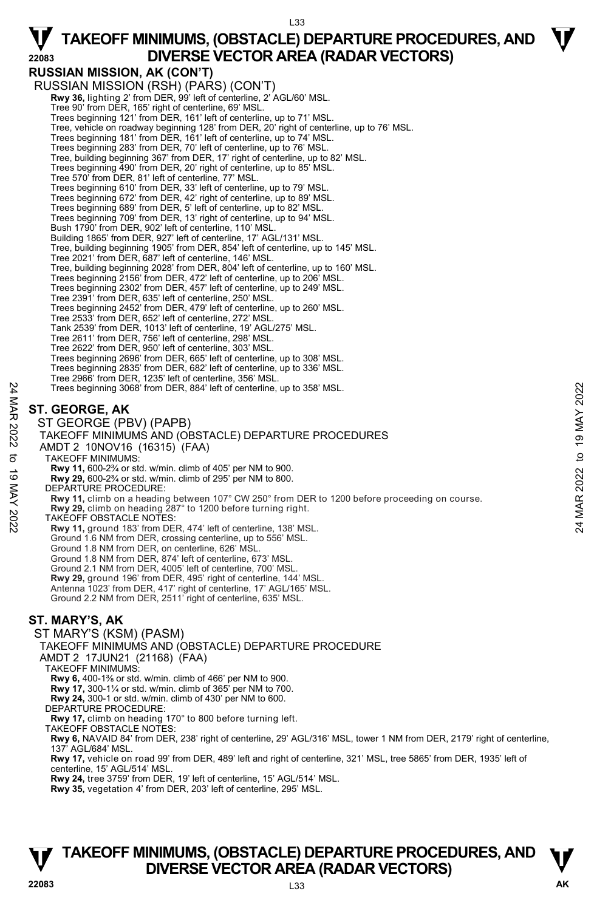### **RUSSIAN MISSION, AK (CON'T)**

RUSSIAN MISSION (RSH) (PARS) (CON'T) **Rwy 36,** lighting 2' from DER, 99' left of centerline, 2' AGL/60' MSL. Tree 90' from DER, 165' right of centerline, 69' MSL. Trees beginning 121' from DER, 161' left of centerline, up to 71' MSL. Tree, vehicle on roadway beginning 128' from DER, 20' right of centerline, up to 76' MSL. Trees beginning 181' from DER, 161' left of centerline, up to 74' MSL. Trees beginning 283' from DER, 70' left of centerline, up to 76' MSL. Tree, building beginning 367' from DER, 17' right of centerline, up to 82' MSL. Trees beginning 490' from DER, 20' right of centerline, up to 85' MSL. Tree 570' from DER, 81' left of centerline, 77' MSL. Trees beginning 610' from DER, 33' left of centerline, up to 79' MSL. Trees beginning 672' from DER, 42' right of centerline, up to 89' MSL. Trees beginning 689' from DER, 5' left of centerline, up to 82' MSL. Trees beginning 709' from DER, 13' right of centerline, up to 94' MSL. Bush 1790' from DER, 902' left of centerline, 110' MSL. Building 1865' from DER, 927' left of centerline, 17' AGL/131' MSL. Tree, building beginning 1905' from DER, 854' left of centerline, up to 145' MSL. Tree 2021' from DER, 687' left of centerline, 146' MSL. Tree, building beginning 2028' from DER, 804' left of centerline, up to 160' MSL. Trees beginning 2156' from DER, 472' left of centerline, up to 206' MSL. Trees beginning 2302' from DER, 457' left of centerline, up to 249' MSL. Tree 2391' from DER, 635' left of centerline, 250' MSL. Trees beginning 2452' from DER, 479' left of centerline, up to 260' MSL. Tree 2533' from DER, 652' left of centerline, 272' MSL. Tank 2539' from DER, 1013' left of centerline, 19' AGL/275' MSL. Tree 2611' from DER, 756' left of centerline, 298' MSL. Tree 2622' from DER, 950' left of centerline, 303' MSL. Trees beginning 2696' from DER, 665' left of centerline, up to 308' MSL. Trees beginning 2835' from DER, 682' left of centerline, up to 336' MSL. Tree 2966' from DER, 1235' left of centerline, 356' MSL. Trees beginning 3068' from DER, 884' left of centerline, up to 358' MSL. **ST. GEORGE, AK**  ST GEORGE (PBV) (PAPB) TAKEOFF MINIMUMS AND (OBSTACLE) DEPARTURE PROCEDURES AMDT 2 10NOV16 (16315) (FAA) TAKEOFF MINIMUMS: **Rwy 11,** 600-2¾ or std. w/min. climb of 405' per NM to 900. **Rwy 29,** 600-2¾ or std. w/min. climb of 295' per NM to 800. DEPARTURE PROCEDURE: **Rwy 11,** climb on a heading between 107° CW 250° from DER to 1200 before proceeding on course. **Rwy 29,** climb on heading 287° to 1200 before turning right. TAKEOFF OBSTACLE NOTES: **Rwy 11,** ground 183' from DER, 474' left of centerline, 138' MSL. Ground 1.6 NM from DER, crossing centerline, up to 556' MSL. Ground 1.8 NM from DER, on centerline, 626' MSL. Ground 1.8 NM from DER, 874' left of centerline, 673' MSL. Ground 2.1 NM from DER, 4005' left of centerline, 700' MSL. **Rwy 29,** ground 196' from DER, 495' right of centerline, 144' MSL. Antenna 1023' from DER, 417' right of centerline, 17' AGL/165' MSL. Ground 2.2 NM from DER, 2511' right of centerline, 635' MSL. Trees beginning 3068' from DER, 884' left of centerline, up to 358' MSL.<br>
27 **ST. GEORGE, AK**<br>
27 **ST GEORGE (PBV) (PAPB)**<br>
27 **TAKEOFF MINIMUMS:** AND (OBSTACLE) DEPARTURE PROCEDURES<br>
27 **AMDT** 2 10NOV16 (16315) (FAA)<br>
37

#### **ST. MARY'S, AK**

ST MARY'S (KSM) (PASM) TAKEOFF MINIMUMS AND (OBSTACLE) DEPARTURE PROCEDURE AMDT 2 17JUN21 (21168) (FAA) TAKEOFF MINIMUMS: **Rwy 6,** 400-1⅜ or std. w/min. climb of 466' per NM to 900. **Rwy 17,** 300-1¼ or std. w/min. climb of 365' per NM to 700. **Rwy 24,** 300-1 or std. w/min. climb of 430' per NM to 600. DEPARTURE PROCEDURE: **Rwy 17,** climb on heading 170° to 800 before turning left. TAKEOFF OBSTACLE NOTES:  **Rwy 6,** NAVAID 84' from DER, 238' right of centerline, 29' AGL/316' MSL, tower 1 NM from DER, 2179' right of centerline, 137' AGL/684' MSL. **Rwy 17,** vehicle on road 99' from DER, 489' left and right of centerline, 321' MSL, tree 5865' from DER, 1935' left of centerline, 15' AGL/514' MSL.

**Rwy 24,** tree 3759' from DER, 19' left of centerline, 15' AGL/514' MSL. **Rwy 35,** vegetation 4' from DER, 203' left of centerline, 295' MSL.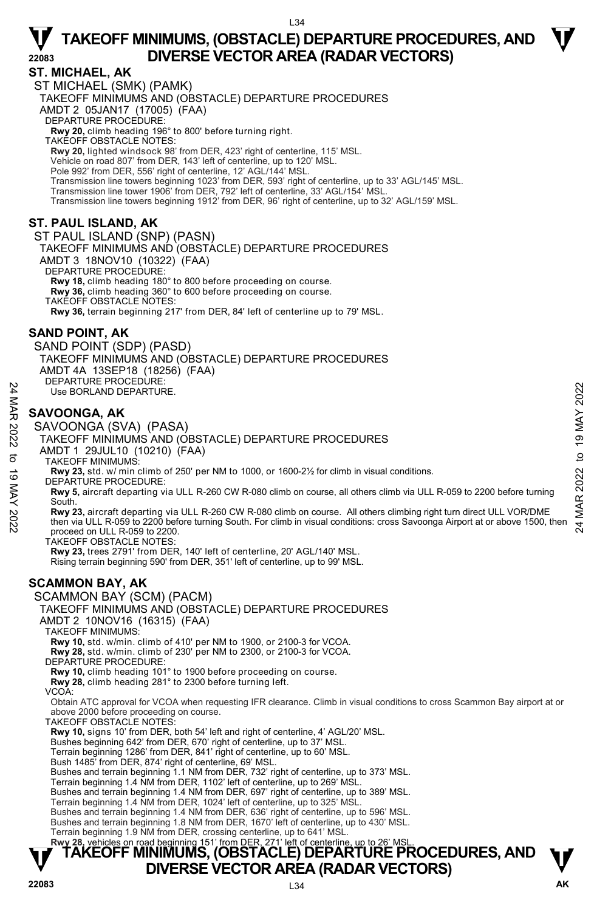#### **ST. MICHAEL, AK**

ST MICHAEL (SMK) (PAMK) TAKEOFF MINIMUMS AND (OBSTACLE) DEPARTURE PROCEDURES AMDT 2 05JAN17 (17005) (FAA) DEPARTURE PROCEDURE: **Rwy 20,** climb heading 196° to 800' before turning right. TAKEOFF OBSTACLE NOTES: **Rwy 20,** lighted windsock 98' from DER, 423' right of centerline, 115' MSL. Vehicle on road 807' from DER, 143' left of centerline, up to 120' MSL. Pole 992' from DER, 556' right of centerline, 12' AGL/144' MSL. Transmission line towers beginning 1023' from DER, 593' right of centerline, up to 33' AGL/145' MSL. Transmission line tower 1906' from DER, 792' left of centerline, 33' AGL/154' MSL. Transmission line towers beginning 1912' from DER, 96' right of centerline, up to 32' AGL/159' MSL.

#### **ST. PAUL ISLAND, AK**

ST PAUL ISLAND (SNP) (PASN) TAKEOFF MINIMUMS AND (OBSTACLE) DEPARTURE PROCEDURES AMDT 3 18NOV10 (10322) (FAA) DEPARTURE PROCEDURE **Rwy 18,** climb heading 180° to 800 before proceeding on course. **Rwy 36,** climb heading 360° to 600 before proceeding on course. TAKEOFF OBSTACLE NOTES: **Rwy 36,** terrain beginning 217' from DER, 84' left of centerline up to 79' MSL.

#### **SAND POINT, AK**

SAND POINT (SDP) (PASD) TAKEOFF MINIMUMS AND (OBSTACLE) DEPARTURE PROCEDURES AMDT 4A 13SEP18 (18256) (FAA) DEPARTURE PROCEDURE: Use BORLAND DEPARTURE.

#### **SAVOONGA, AK**

SAVOONGA (SVA) (PASA)

TAKEOFF MINIMUMS AND (OBSTACLE) DEPARTURE PROCEDURES AMDT 1 29JUL10 (10210) (FAA) TAKEOFF MINIMUMS: **Rwy 23,** std. w/ min climb of 250' per NM to 1000, or 1600-2½ for climb in visual conditions. DEPARTURE PROCEDURE: **Rwy 5,** aircraft departing via ULL R-260 CW R-080 climb on course, all others climb via ULL R-059 to 2200 before turning South. Note The View BORLAND DEPARTURE.<br>
SAVOONGA, AK<br>
SAVOONGA, AK<br>
SAVOONGA (SVA) (PASA)<br>
TAKEOFF MINIMUMS AND (OBSTACLE) DEPARTURE PROCEDURES<br>
TAKEOFF MINIMUMS:<br>
TAKEOFF MINIMUMS:<br>
TAKEOFF MINIMUMS:<br>
TAKEOFF MINIMUMS:<br>
TAKEO proceed on ULL R-059 to 2200. TAKEOFF OBSTACLE NOTES: **Rwy 23,** trees 2791' from DER, 140' left of centerline, 20' AGL/140' MSL. Rising terrain beginning 590' from DER, 351' left of centerline, up to 99' MSL. **SCAMMON BAY, AK**  SCAMMON BAY (SCM) (PACM) TAKEOFF MINIMUMS AND (OBSTACLE) DEPARTURE PROCEDURES AMDT 2 10NOV16 (16315) (FAA) TAKEOFF MINIMUMS: **Rwy 10,** std. w/min. climb of 410' per NM to 1900, or 2100-3 for VCOA. **Rwy 28,** std. w/min. climb of 230' per NM to 2300, or 2100-3 for VCOA. DEPARTURE PROCEDURE: **Rwy 10,** climb heading 101° to 1900 before proceeding on course. **Rwy 28,** climb heading 281° to 2300 before turning left. VCOA: Obtain ATC approval for VCOA when requesting IFR clearance. Climb in visual conditions to cross Scammon Bay airport at or above 2000 before proceeding on course. TAKEOFF OBSTACLE NOTES: **Rwy 10,** signs 10' from DER, both 54' left and right of centerline, 4' AGL/20' MSL. Bushes beginning 642' from DER, 670' right of centerline, up to 37' MSL.

Terrain beginning 1286' from DER, 841' right of centerline, up to 60' MSL. Bush 1485' from DER, 874' right of centerline, 69' MSL.

Bushes and terrain beginning 1.1 NM from DER, 732' right of centerline, up to 373' MSL.

Terrain beginning 1.4 NM from DER, 1102' left of centerline, up to 269' MSL.

Bushes and terrain beginning 1.4 NM from DER, 697' right of centerline, up to 389' MSL.

Terrain beginning 1.4 NM from DER, 1024' left of centerline, up to 325' MSL.

Bushes and terrain beginning 1.4 NM from DER, 636' right of centerline, up to 596' MSL.

Bushes and terrain beginning 1.8 NM from DER, 1670' left of centerline, up to 430' MSL.

Terrain beginning 1.9 NM from DER, crossing centerline, up to 641' MSL.<br>**Rwy 28,** vehicles on road beginning 151' from DER, 271' left of centerline, up to 26' MSL.

### **TAKEOFF MINIMUMS, (OBSTACLE) DEPARTURE PROCEDURES, AND**  $\Psi$ **DIVERSE VECTOR AREA (RADAR VECTORS)**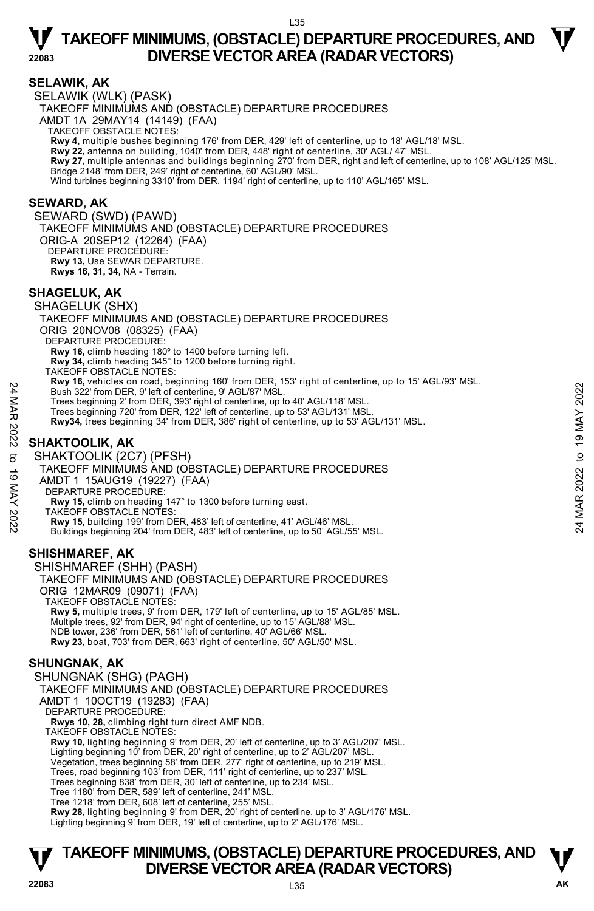#### **SELAWIK, AK**

SELAWIK (WLK) (PASK) TAKEOFF MINIMUMS AND (OBSTACLE) DEPARTURE PROCEDURES AMDT 1A 29MAY14 (14149) (FAA) TAKEOFF OBSTACLE NOTES: **Rwy 4,** multiple bushes beginning 176' from DER, 429' left of centerline, up to 18' AGL/18' MSL.<br>**Rwy 22,** antenna on building, 1040' from DER, 448' right of centerline, 30' AGL/ 47' MSL. **Rwy 27,** multiple antennas and buildings beginning 270' from DER, right and left of centerline, up to 108' AGL/125' MSL. Bridge 2148' from DER, 249' right of centerline, 60' AGL/90' MSL. Wind turbines beginning 3310' from DER, 1194' right of centerline, up to 110' AGL/165' MSL.

#### **SEWARD, AK**

SEWARD (SWD) (PAWD) TAKEOFF MINIMUMS AND (OBSTACLE) DEPARTURE PROCEDURES ORIG-A 20SEP12 (12264) (FAA) DEPARTURE PROCEDURE: **Rwy 13,** Use SEWAR DEPARTURE. **Rwys 16, 31, 34,** NA - Terrain.

#### **SHAGELUK, AK**

SHAGELUK (SHX) TAKEOFF MINIMUMS AND (OBSTACLE) DEPARTURE PROCEDURES ORIG 20NOV08 (08325) (FAA) DEPARTURE PROCEDURE: **Rwy 16,** climb heading 180º to 1400 before turning left. **Rwy 34,** climb heading 345° to 1200 before turning right. TAKEOFF OBSTACLE NOTES: **Rwy 16,** vehicles on road, beginning 160' from DER, 153' right of centerline, up to 15' AGL/93' MSL. Bush 322' from DER, 9' left of centerline, 9' AGL/87' MSL. Trees beginning 2' from DER, 393' right of centerline, up to 40' AGL/118' MSL. Trees beginning 720' from DER, 122' left of centerline, up to 53' AGL/131' MSL. **Rwy34,** trees beginning 34' from DER, 386' right of centerline, up to 53' AGL/131' MSL. SHAKTOOLIK (2C7) (PFSH) Bush 322 from DER, 91 if of centerline, 91 of Dacking the U.S. Associated and the Bush 322 from DER, 393 right of centerline, up to 40' AGL/118' MSL.<br>
Trees beginning 720' from DER, 122' left of centerline, up to 53' AGL/

#### **SHAKTOOLIK, AK**

TAKEOFF MINIMUMS AND (OBSTACLE) DEPARTURE PROCEDURES AMDT 1 15AUG19 (19227) (FAA) DEPARTURE PROCEDURE: **Rwy 15,** climb on heading 147° to 1300 before turning east. TAKEOFF OBSTACLE NOTES: **Rwy 15,** building 199' from DER, 483' left of centerline, 41' AGL/46' MSL. Buildings beginning 204' from DER, 483' left of centerline, up to 50' AGL/55' MSL. **SHISHMAREF, AK**  SHISHMAREF (SHH) (PASH) TAKEOFF MINIMUMS AND (OBSTACLE) DEPARTURE PROCEDURES ORIG 12MAR09 (09071) (FAA) TAKEOFF OBSTACLE NOTES: **Rwy 5,** multiple trees, 9' from DER, 179' left of centerline, up to 15' AGL/85' MSL.

Multiple trees, 92' from DER, 94' right of centerline, up to 15' AGL/88' MSL. NDB tower, 236' from DER, 561' left of centerline, 40' AGL/66' MSL. **Rwy 23,** boat, 703' from DER, 663' right of centerline, 50' AGL/50' MSL.

#### **SHUNGNAK, AK**

SHUNGNAK (SHG) (PAGH) TAKEOFF MINIMUMS AND (OBSTACLE) DEPARTURE PROCEDURES AMDT 1 10OCT19 (19283) (FAA) DEPARTURE PROCEDURE: **Rwys 10, 28,** climbing right turn direct AMF NDB. TAKEOFF OBSTACLE NOTES: **Rwy 10,** lighting beginning 9' from DER, 20' left of centerline, up to 3' AGL/207' MSL. Lighting beginning 10' from DER, 20' right of centerline, up to 2' AGL/207' MSL. Vegetation, trees beginning 58' from DER, 277' right of centerline, up to 219' MSL. Trees, road beginning 103' from DER, 111' right of centerline, up to 237' MSL. Trees beginning 838' from DER, 30' left of centerline, up to 234' MSL. Tree 1180' from DER, 589' left of centerline, 241' MSL. Tree 1218' from DER, 608' left of centerline, 255' MSL.

**Rwy 28,** lighting beginning 9' from DER, 20' right of centerline, up to 3' AGL/176' MSL.

Lighting beginning 9' from DER, 19' left of centerline, up to 2' AGL/176' MSL.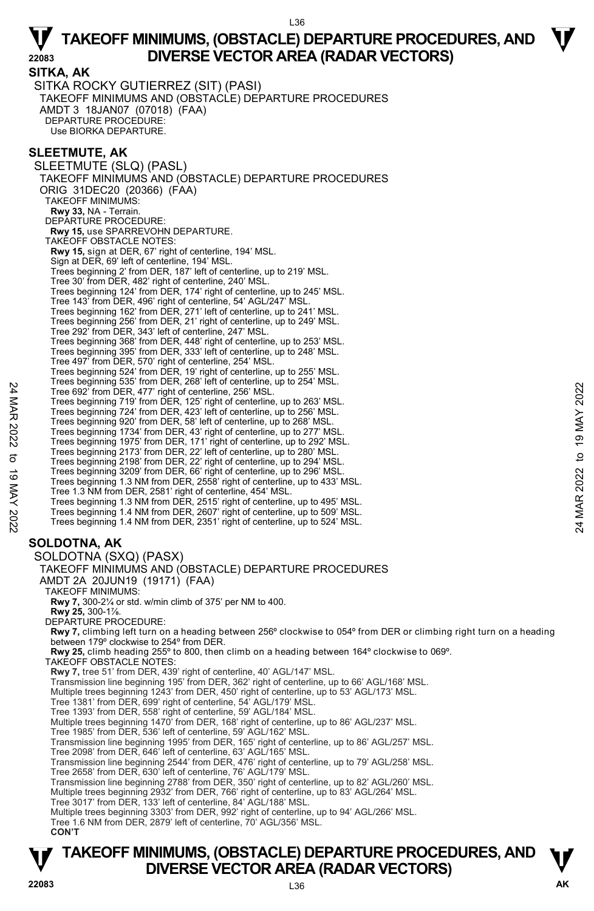**SITKA, AK**  SITKA ROCKY GUTIERREZ (SIT) (PASI) TAKEOFF MINIMUMS AND (OBSTACLE) DEPARTURE PROCEDURES AMDT 3 18JAN07 (07018) (FAA) DEPARTURE PROCEDURE: Use BIORKA DEPARTURE.

#### **SLEETMUTE, AK**

SLEETMUTE (SLQ) (PASL) TAKEOFF MINIMUMS AND (OBSTACLE) DEPARTURE PROCEDURES ORIG 31DEC20 (20366) (FAA) TAKEOFF MINIMUMS: **Rwy 33,** NA - Terrain. DEPARTURE PROCEDURE: **Rwy 15,** use SPARREVOHN DEPARTURE. TAKEOFF OBSTACLE NOTES: **Rwy 15,** sign at DER, 67' right of centerline, 194' MSL. Sign at DER, 69' left of centerline, 194' MSL. Trees beginning 2' from DER, 187' left of centerline, up to 219' MSL. Tree 30' from DER, 482' right of centerline, 240' MSL. Trees beginning 124' from DER, 174' right of centerline, up to 245' MSL. Tree 143' from DER, 496' right of centerline, 54' AGL/247' MSL. Trees beginning 162' from DER, 271' left of centerline, up to 241' MSL. Trees beginning 256' from DER, 21' right of centerline, up to 249' MSL. Tree 292' from DER, 343' left of centerline, 247' MSL. Trees beginning 368' from DER, 448' right of centerline, up to 253' MSL. Trees beginning 395' from DER, 333' left of centerline, up to 248' MSL. Tree 497' from DER, 570' right of centerline, 254' MSL. Trees beginning 524' from DER, 19' right of centerline, up to 255' MSL. Trees beginning 535' from DER, 268' left of centerline, up to 254' MSL. Tree 692' from DER, 477' right of centerline, 256' MSL. Trees beginning 719' from DER, 125' right of centerline, up to 263' MSL. Trees beginning 724' from DER, 423' left of centerline, up to 256' MSL. Trees beginning 920' from DER, 58' left of centerline, up to 268' MSL. Trees beginning 1734' from DER, 43' right of centerline, up to 277' MSL. Trees beginning 1975' from DER, 171' right of centerline, up to 292' MSL. Trees beginning 2173' from DER, 22' left of centerline, up to 280' MSL.<br>Trees beginning 2198' from DER, 22' right of centerline, up to 296' MSL.<br>Trees beginning 3209' from DER, 66' right of centerline, up to 296' MSL. Trees beginning 1.3 NM from DER, 2558' right of centerline, up to 433' MSL. Tree 1.3 NM from DER, 2581' right of centerline, 454' MSL. Trees beginning 1.3 NM from DER, 2515' right of centerline, up to 495' MSL. Trees beginning 1.4 NM from DER, 2607' right of centerline, up to 509' MSL. Trees beginning 1.4 NM from DER, 2351' right of centerline, up to 524' MSL. **SOLDOTNA, AK**  SOLDOTNA (SXQ) (PASX) TAKEOFF MINIMUMS AND (OBSTACLE) DEPARTURE PROCEDURES AMDT 2A 20JUN19 (19171) (FAA) TAKEOFF MINIMUMS: **Rwy 7,** 300-2¼ or std. w/min climb of 375' per NM to 400. Tree S92' from DER, 477 right of centerine, up to 234 MSL.<br>Tree S92' from DER, 477 right of centerline, 256' MSL.<br>Trees beginning 724' from DER, 42' fight of centerline, up to 263' MSL.<br>Trees beginning 724' from DER, 43' l

**Rwy 25,** 300-1⅞.

DEPARTURE PROCEDURE:

**Rwy 7,** climbing left turn on a heading between 256º clockwise to 054º from DER or climbing right turn on a heading between 179º clockwise to 254º from DER.

**Rwy 25,** climb heading 255º to 800, then climb on a heading between 164º clockwise to 069º. TAKEOFF OBSTACLE NOTES:

**Rwy 7,** tree 51' from DER, 439' right of centerline, 40' AGL/147' MSL.

Transmission line beginning 195' from DER, 362' right of centerline, up to 66' AGL/168' MSL. Multiple trees beginning 1243' from DER, 450' right of centerline, up to 53' AGL/173' MSL.

Tree 1381' from DER, 699' right of centerline, 54' AGL/179' MSL.

Tree 1393' from DER, 558' right of centerline, 59' AGL/184' MSL.

Multiple trees beginning 1470' from DER, 168' right of centerline, up to 86' AGL/237' MSL. Tree 1985' from DER, 536' left of centerline, 59' AGL/162' MSL.

Transmission line beginning 1995' from DER, 165' right of centerline, up to 86' AGL/257' MSL.

Tree 2098' from DER, 646' left of centerline, 63' AGL/165' MSL.

Transmission line beginning 2544' from DER, 476' right of centerline, up to 79' AGL/258' MSL. Tree 2658' from DER, 630' left of centerline, 76' AGL/179' MSL.

Transmission line beginning 2788' from DER, 350' right of centerline, up to 82' AGL/260' MSL.

Multiple trees beginning 2932' from DER, 766' right of centerline, up to 83' AGL/264' MSL. Tree 3017' from DER, 133' left of centerline, 84' AGL/188' MSL.

Multiple trees beginning 3303' from DER, 992' right of centerline, up to 94' AGL/266' MSL.

Tree 1.6 NM from DER, 2879' left of centerline, 70' AGL/356' MSL.

**CON'T** 

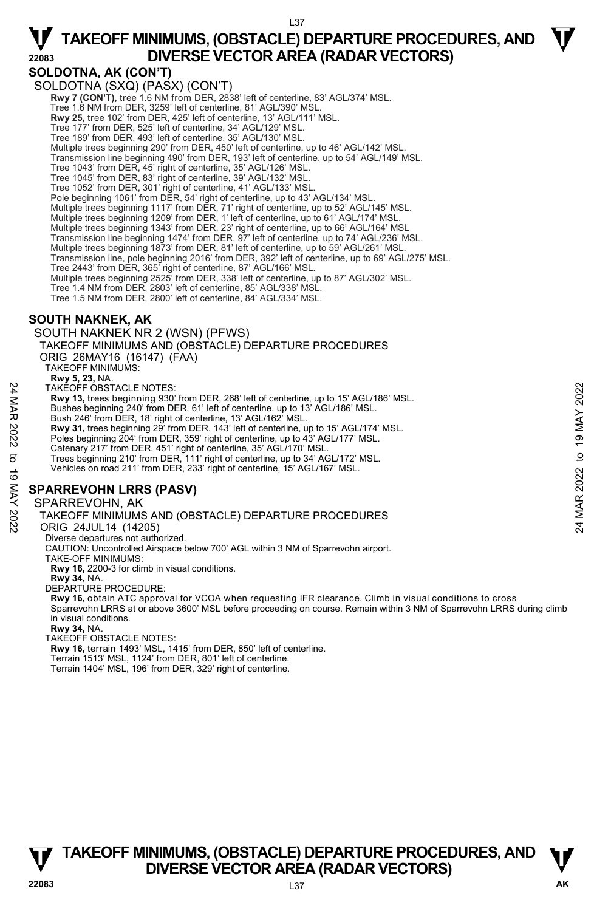#### **SOLDOTNA, AK (CON'T)**

SOLDOTNA (SXQ) (PASX) (CON'T) **Rwy 7 (CON'T),** tree 1.6 NM from DER, 2838' left of centerline, 83' AGL/374' MSL. Tree 1.6 NM from DER, 3259' left of centerline, 81' AGL/390' MSL. **Rwy 25,** tree 102' from DER, 425' left of centerline, 13' AGL/111' MSL. Tree 177' from DER, 525' left of centerline, 34' AGL/129' MSL. Tree 189' from DER, 493' left of centerline, 35' AGL/130' MSL. Multiple trees beginning 290' from DER, 450' left of centerline, up to 46' AGL/142' MSL. Transmission line beginning 490' from DER, 193' left of centerline, up to 54' AGL/149' MSL. Tree 1043' from DER, 45' right of centerline, 35' AGL/126' MSL. Tree 1045' from DER, 83' right of centerline, 39' AGL/132' MSL. Tree 1052' from DER, 301' right of centerline, 41' AGL/133' MSL. Pole beginning 1061' from DER, 54' right of centerline, up to 43' AGL/134' MSL. Multiple trees beginning 1117' from DER, 71' right of centerline, up to 52' AGL/145' MSL.<br>Multiple trees beginning 1209' from DER, 1' left of centerline, up to 61' AGL/174' MSL. Multiple trees beginning 1343' from DER, 23' right of centerline, up to 66' AGL/164' MSL Transmission line beginning 1474' from DER, 97' left of centerline, up to 74' AGL/236' MSL. Multiple trees beginning 1873' from DER, 81' left of centerline, up to 59' AGL/261' MSL. Transmission line, pole beginning 2016' from DER, 392' left of centerline, up to 69' AGL/275' MSL. Tree 2443' from DER, 365' right of centerline, 87' AGL/166' MSL. Multiple trees beginning 2525' from DER, 338' left of centerline, up to 87' AGL/302' MSL. Tree 1.4 NM from DER, 2803' left of centerline, 85' AGL/338' MSL. Tree 1.5 NM from DER, 2800' left of centerline, 84' AGL/334' MSL.

#### **SOUTH NAKNEK, AK**

SOUTH NAKNEK NR 2 (WSN) (PFWS) TAKEOFF MINIMUMS AND (OBSTACLE) DEPARTURE PROCEDURES ORIG 26MAY16 (16147) (FAA) TAKEOFF MINIMUMS: **Rwy 5, 23,** NA. TAKEOFF OBSTACLE NOTES: **Rwy 13,** trees beginning 930' from DER, 268' left of centerline, up to 15' AGL/186' MSL. Bushes beginning 240' from DER, 61' left of centerline, up to 13' AGL/186' MSL. Bush 246' from DER, 18' right of centerline, 13' AGL/162' MSL. **Rwy 31,** trees beginning 29' from DER, 143' left of centerline, up to 15' AGL/174' MSL. Poles beginning 204' from DER, 359' right of centerline, up to 43' AGL/177' MSL. Catenary 217' from DER, 451' right of centerline, 35' AGL/170' MSL. Trees beginning 210' from DER, 111' right of centerline, up to 34' AGL/172' MSL. Vehicles on road 211' from DER, 233' right of centerline, 15' AGL/167' MSL. TAKEOFF OBSTACLE NOTES:<br>
Rwy 13, trees beginning 930' from DER, 268' left of centerline, up to 15' AGL/186' MSL.<br>
Bushes beginning 240' from DER, 61' left of centerline, up to 13' AGL/186' MSL.<br>
Bushes beginning 240' from

#### **SPARREVOHN LRRS (PASV)**

#### SPARREVOHN, AK

TAKEOFF MINIMUMS AND (OBSTACLE) DEPARTURE PROCEDURES

- ORIG 24JUL14 (14205)
- Diverse departures not authorized.
- CAUTION: Uncontrolled Airspace below 700' AGL within 3 NM of Sparrevohn airport.
- TAKE-OFF MINIMUMS:
- **Rwy 16,** 2200-3 for climb in visual conditions.
- 
- **Rwy 34,** NA. DEPARTURE PROCEDURE:
- **Rwy 16,** obtain ATC approval for VCOA when requesting IFR clearance. Climb in visual conditions to cross Sparrevohn LRRS at or above 3600' MSL before proceeding on course. Remain within 3 NM of Sparrevohn LRRS during climb in visual conditions.
- **Rwy 34,** NA.
- TAKEOFF OBSTACLE NOTES:
- **Rwy 16,** terrain 1493' MSL, 1415' from DER, 850' left of centerline. Terrain 1513' MSL, 1124' from DER, 801' left of centerline. Terrain 1404' MSL, 196' from DER, 329' right of centerline.





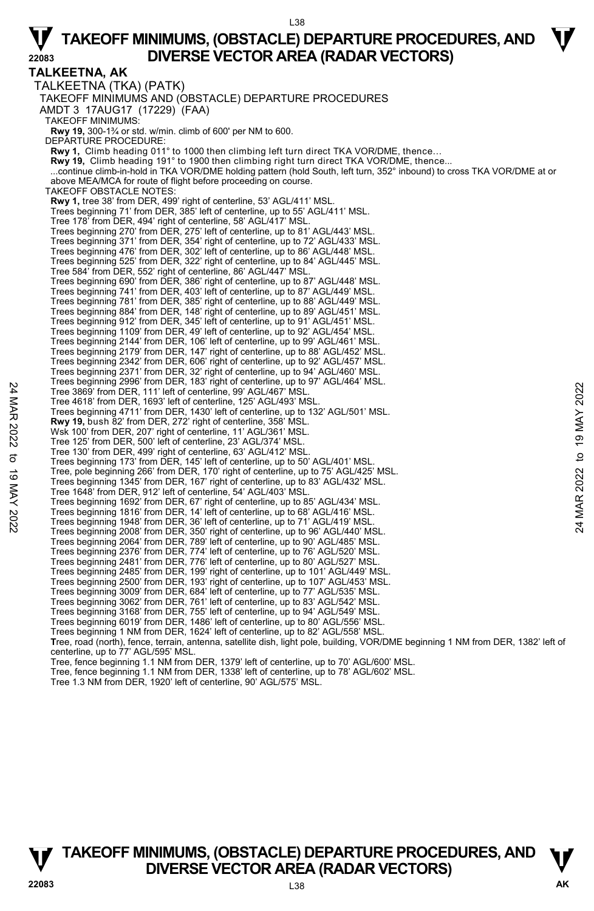#### L38

### $\nabla$  TAKEOFF MINIMUMS, (OBSTACLE) DEPARTURE PROCEDURES, AND  $\nabla$ **22083 DIVERSE VECTOR AREA (RADAR VECTORS)**

**TALKEETNA, AK**  TALKEETNA (TKA) (PATK) TAKEOFF MINIMUMS AND (OBSTACLE) DEPARTURE PROCEDURES AMDT 3 17AUG17 (17229) (FAA) TAKEOFF MINIMUMS: **Rwy 19,** 300-1¾ or std. w/min. climb of 600' per NM to 600. DEPARTURE PROCEDURE: **Rwy 1,** Climb heading 011° to 1000 then climbing left turn direct TKA VOR/DME, thence… **Rwy 19,** Climb heading 191° to 1900 then climbing right turn direct TKA VOR/DME, thence... ...continue climb-in-hold in TKA VOR/DME holding pattern (hold South, left turn, 352° inbound) to cross TKA VOR/DME at or above MEA/MCA for route of flight before proceeding on course. TAKEOFF OBSTACLE NOTES: **Rwy 1,** tree 38' from DER, 499' right of centerline, 53' AGL/411' MSL. Trees beginning 71' from DER, 385' left of centerline, up to 55' AGL/411' MSL. Tree 178' from DER, 494' right of centerline, 58' AGL/417' MSL. Trees beginning 270' from DER, 275' left of centerline, up to 81' AGL/443' MSL. Trees beginning 371' from DER, 354' right of centerline, up to 72' AGL/433' MSL. Trees beginning 476' from DER, 302' left of centerline, up to 86' AGL/448' MSL. Trees beginning 525' from DER, 322' right of centerline, up to 84' AGL/445' MSL. Tree 584' from DER, 552' right of centerline, 86' AGL/447' MSL. Trees beginning 690' from DER, 386' right of centerline, up to 87' AGL/448' MSL. Trees beginning 741' from DER, 403' left of centerline, up to 87' AGL/449' MSL. Trees beginning 781' from DER, 385' right of centerline, up to 88' AGL/449' MSL. Trees beginning 884' from DER, 148' right of centerline, up to 89' AGL/451' MSL. Trees beginning 912' from DER, 345' left of centerline, up to 91' AGL/451' MSL. Trees beginning 1109' from DER, 49' left of centerline, up to 92' AGL/454' MSL. Trees beginning 2144' from DER, 106' left of centerline, up to 99' AGL/461' MSL. Trees beginning 2179' from DER, 147' right of centerline, up to 88' AGL/452' MSL. Trees beginning 2342' from DER, 606' right of centerline, up to 92' AGL/457' MSL. Trees beginning 2371' from DER, 32' right of centerline, up to 94' AGL/460' MSL. Trees beginning 2996' from DER, 183' right of centerline, up to 97' AGL/464' MSL. Tree 3869' from DER, 111' left of centerline, 99' AGL/467' MSL. Tree 4618' from DER, 1693' left of centerline, 125' AGL/493' MSL. Trees beginning 4711' from DER, 1430' left of centerline, up to 132' AGL/501' MSL. **Rwy 19,** bush 82' from DER, 272' right of centerline, 358' MSL. Wsk 100' from DER, 207' right of centerline, 11' AGL/361' MSL. Tree 125' from DER, 500' left of centerline, 23' AGL/374' MSL. Tree 130' from DER, 499' right of centerline, 63' AGL/412' MSI Trees beginning 173' from DER, 145' left of centerline, up to 50' AGL/401' MSL Tree, pole beginning 266' from DER, 170' right of centerline, up to 75' AGL/425' MSL. Trees beginning 1345' from DER, 167' right of centerline, up to 83' AGL/432' MSL. Tree 1648' from DER, 912' left of centerline, 54' AGL/403' MSL. Trees beginning 1692' from DER, 67' right of centerline, up to 85' AGL/434' MSL. Trees beginning 1816' from DER, 14' left of centerline, up to 68' AGL/416' MSL. Trees beginning 1948' from DER, 36' left of centerline, up to 71' AGL/419' MSL. Trees beginning 2008' from DER, 350' right of centerline, up to 96' AGL/440' MSL. Trees beginning 2064' from DER, 789' left of centerline, up to 90' AGL/485' MSL. Trees beginning 2376' from DER, 774' left of centerline, up to 76' AGL/520' MSL. Trees beginning 2481' from DER, 776' left of centerline, up to 80' AGL/527' MSL. Trees beginning 2485' from DER, 199' right of centerline, up to 101' AGL/449' MSL. Trees beginning 2500' from DER, 193' right of centerline, up to 107' AGL/453' MSL. Trees beginning 3009' from DER, 684' left of centerline, up to 77' AGL/535' MSL. Trees beginning 3062' from DER, 761' left of centerline, up to 83' AGL/542' MSL. Trees beginning 3168' from DER, 755' left of centerline, up to 94' AGL/549' MSL. Trees beginning 6019' from DER, 1486' left of centerline, up to 80' AGL/556' MSL. Trees beginning 1 NM from DER, 1624' left of centerline, up to 82' AGL/558' MSL. **T**ree, road (north), fence, terrain, antenna, satellite dish, light pole, building, VOR/DME beginning 1 NM from DER, 1382' left of centerline, up to 77' AGL/595' MSL. Tree, fence beginning 1.1 NM from DER, 1379' left of centerline, up to 70' AGL/600' MSL. Tree, fence beginning 1.1 NM from DER, 1338' left of centerline, up to 78' AGL/602' MSL. Tree 1.3 NM from DER, 1920' left of centerline, 90' AGL/575' MSL. Tree 3869' from DER, 111' left of centerline, 99' AGL/493' MSL.<br>
Tree 4618' from DER, 111' left of centerline, 125' AGL/493' MSL.<br>
Tree 4618' from DER, 1939' left of centerline, 125' AGL/493' MSL.<br> **Rwy 19,** bush 82' from

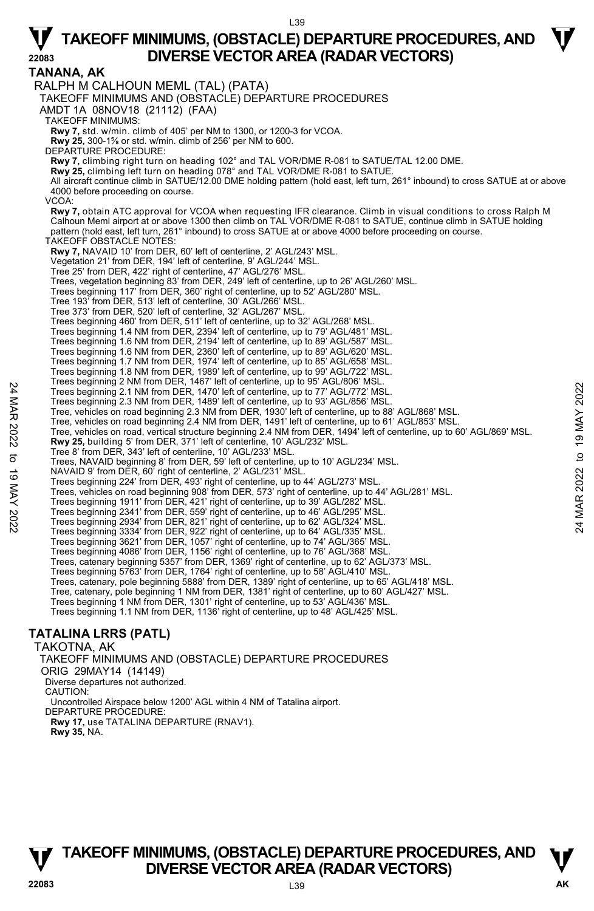**TANANA, AK**  RALPH M CALHOUN MEML (TAL) (PATA) TAKEOFF MINIMUMS AND (OBSTACLE) DEPARTURE PROCEDURES AMDT 1A 08NOV18 (21112) (FAA) TAKEOFF MINIMUMS: **Rwy 7,** std. w/min. climb of 405' per NM to 1300, or 1200-3 for VCOA. **Rwy 25,** 300-1⅝ or std. w/min. climb of 256' per NM to 600. DEPARTURE PROCEDURE: **Rwy 7,** climbing right turn on heading 102° and TAL VOR/DME R-081 to SATUE/TAL 12.00 DME. **Rwy 25,** climbing left turn on heading 078° and TAL VOR/DME R-081 to SATUE. All aircraft continue climb in SATUE/12.00 DME holding pattern (hold east, left turn, 261° inbound) to cross SATUE at or above 4000 before proceeding on course. VCOA: **Rwy 7,** obtain ATC approval for VCOA when requesting IFR clearance. Climb in visual conditions to cross Ralph M<br>Calhoun Meml airport at or above 1300 then climb on TAL VOR/DME R-081 to SATUE, continue climb in SATUE holdi pattern (hold east, left turn, 261° inbound) to cross SATUE at or above 4000 before proceeding on course. TAKEOFF OBSTACLE NOTES: **Rwy 7,** NAVAID 10' from DER, 60' left of centerline, 2' AGL/243' MSL. Vegetation 21' from DER, 194' left of centerline, 9' AGL/244' MSL. Tree 25' from DER, 422' right of centerline, 47' AGL/276' MSL. Trees, vegetation beginning 83' from DER, 249' left of centerline, up to 26' AGL/260' MSL. Trees beginning 117' from DER, 360' right of centerline, up to 52' AGL/280' MSL. Tree 193' from DER, 513' left of centerline, 30' AGL/266' MSL. Tree 373' from DER, 520' left of centerline, 32' AGL/267' MSL. Trees beginning 460' from DER, 511' left of centerline, up to 32' AGL/268' MSL. Trees beginning 1.4 NM from DER, 2394' left of centerline, up to 79' AGL/481' MSL. Trees beginning 1.6 NM from DER, 2194' left of centerline, up to 89' AGL/587' MSL. Trees beginning 1.6 NM from DER, 2360' left of centerline, up to 89' AGL/620' MSL. Trees beginning 1.7 NM from DER, 1974' left of centerline, up to 85' AGL/658' MSL. Trees beginning 1.8 NM from DER, 1989' left of centerline, up to 99' AGL/722' MSL. Trees beginning 2 NM from DER, 1467' left of centerline, up to 95' AGL/806' MSL. Trees beginning 2.1 NM from DER, 1470' left of centerline, up to 77' AGL/772' MSL. Trees beginning 2.3 NM from DER, 1489' left of centerline, up to 93' AGL/856' MSL. Tree, vehicles on road beginning 2.3 NM from DER, 1930' left of centerline, up to 88' AGL/868' MSL. Tree, vehicles on road beginning 2.4 NM from DER, 1491' left of centerline, up to 61' AGL/853' MSL. Tree, vehicles on road, vertical structure beginning 2.4 NM from DER, 1494' left of centerline, up to 60' AGL/869' MSL. **Rwy 25,** building 5' from DER, 371' left of centerline, 10' AGL/232' MSL. Tree 8' from DER, 343' left of centerline, 10' AGL/233' MSL. Trees, NAVAID beginning 8' from DER, 59' left of centerline, up to 10' AGL/234' MSL. NAVAID 9' from DER, 60' right of centerline, 2' AGL/231' MSL. Trees beginning 224' from DER, 493' right of centerline, up to 44' AGL/273' MSL.<br>Trees, vehicles on road beginning 908' from DER, 573' right of centerline, up to 44' AGL/281' MSL. Trees beginning 1911' from DER, 421' right of centerline, up to 39' AGL/282' MSL. Trees beginning 2341' from DER, 559' right of centerline, up to 46' AGL/295' MSL. Trees beginning 2934' from DER, 821' right of centerline, up to 62' AGL/324' MSL. Trees beginning 3334' from DER, 922' right of centerline, up to 64' AGL/335' MSL. Trees beginning 3621' from DER, 1057' right of centerline, up to 74' AGL/365' MSL. Trees beginning 4086' from DER, 1156' right of centerline, up to 76' AGL/368' MSL.<br>Trees, catenary beginning 5357' from DER, 1369' right of centerline, up to 62' AGL/373' MSL. Trees beginning 5763' from DER, 1764' right of centerline, up to 58' AGL/410' MSL. Trees, catenary, pole beginning 5888' from DER, 1389' right of centerline, up to 65' AGL/418' MSL. Tree, catenary, pole beginning 1 NM from DER, 1381' right of centerline, up to 60' AGL/427' MSL. Trees beginning 1 NM from DER, 1301' right of centerline, up to 53' AGL/436' MSL Trees beginning 1.1 NM from DER, 1136' right of centerline, up to 48' AGL/425' MSL. Trees beginning 2.4 NM from DER, 1470' left of centerline, up to 37 NeU/2022 MSL.<br>
Trees beginning 2.3 NM from DER, 1489' left of centerline, up to 33' AGL/856' MSL.<br>
Tree, vehicles on road beginning 2.4 NM from DER, 1990'

### **TATALINA LRRS (PATL)**

TAKOTNA, AK

TAKEOFF MINIMUMS AND (OBSTACLE) DEPARTURE PROCEDURES ORIG 29MAY14 (14149) Diverse departures not authorized. CAUTION: Uncontrolled Airspace below 1200' AGL within 4 NM of Tatalina airport. DEPARTURE PROCEDURE: **Rwy 17,** use TATALINA DEPARTURE (RNAV1). **Rwy 35,** NA.

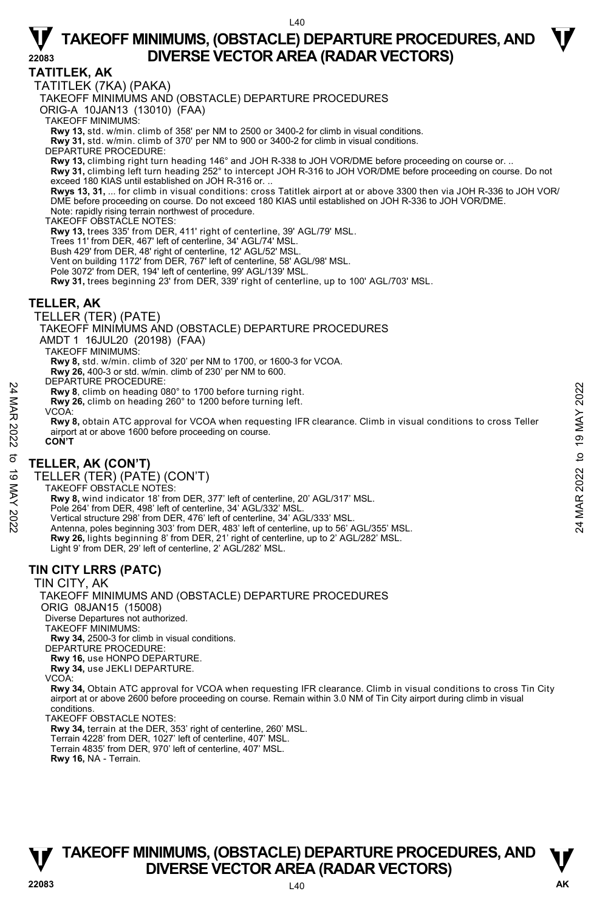#### **TATITLEK, AK**

TATITLEK (7KA) (PAKA)

TAKEOFF MINIMUMS AND (OBSTACLE) DEPARTURE PROCEDURES

ORIG-A 10JAN13 (13010) (FAA)

TAKEOFF MINIMUMS:

**Rwy 13,** std. w/min. climb of 358' per NM to 2500 or 3400-2 for climb in visual conditions.

**Rwy 31,** std. w/min. climb of 370' per NM to 900 or 3400-2 for climb in visual conditions. DEPARTURE PROCEDURE:

**Rwy 13,** climbing right turn heading 146° and JOH R-338 to JOH VOR/DME before proceeding on course or. ..

**Rwy 31,** climbing left turn heading 252° to intercept JOH R-316 to JOH VOR/DME before proceeding on course. Do not<br>exceed 180 KIAS until established on JOH R-316 or. ..

**Rwys 13, 31,** ... for climb in visual conditions: cross Tatitlek airport at or above 3300 then via JOH R-336 to JOH VOR/ DME before proceeding on course. Do not exceed 180 KIAS until established on JOH R-336 to JOH VOR/DME.

Note: rapidly rising terrain northwest of procedure. TAKEOFF OBSTACLE NOTES:

**Rwy 13,** trees 335' from DER, 411' right of centerline, 39' AGL/79' MSL.

Trees 11' from DER, 467' left of centerline, 34' AGL/74' MSL.

Bush 429' from DER, 48' right of centerline, 12' AGL/52' MSL.

Vent on building 1172' from DER, 767' left of centerline, 58' AGL/98' MSL.

Pole 3072' from DER, 194' left of centerline, 99' AGL/139' MSL.

**Rwy 31,** trees beginning 23' from DER, 339' right of centerline, up to 100' AGL/703' MSL.

#### **TELLER, AK**

TELLER (TER) (PATE)

TAKEOFF MINIMUMS AND (OBSTACLE) DEPARTURE PROCEDURES

AMDT 1 16JUL20 (20198) (FAA)

TAKEOFF MINIMUMS:

**Rwy 8,** std. w/min. climb of 320' per NM to 1700, or 1600-3 for VCOA.

**Rwy 26,** 400-3 or std. w/min. climb of 230' per NM to 600.

DEPARTURE PROCEDURE

**Rwy 8**, climb on heading 080° to 1700 before turning right.

**Rwy 26,** climb on heading 260° to 1200 before turning left. VCOA:

**Rwy 8,** obtain ATC approval for VCOA when requesting IFR clearance. Climb in visual conditions to cross Teller airport at or above 1600 before proceeding on course. **CON'T EXECT AND THE REALT CONCERT CONTINUIST AND ARRY 26, climb on heading 080° to 1700 before turning right.**<br> **24 MAY 26,** climb on heading 260° to 1200 before turning left.<br> **24 MAY 26,** climb on heading 260° to 1200 before

#### **TELLER, AK (CON'T)**

TELLER (TER) (PATE) (CON'T)

TAKEOFF OBSTACLE NOTES:

**Rwy 8,** wind indicator 18' from DER, 377' left of centerline, 20' AGL/317' MSL.

Pole 264' from DER, 498' left of centerline, 34' AGL/332' MSL.

Vertical structure 298' from DER, 476' left of centerline, 34' AGL/333' MSL.

Antenna, poles beginning 303' from DER, 483' left of centerline, up to 56' AGL/355' MSL.

**Rwy 26,** lights beginning 8' from DER, 21' right of centerline, up to 2' AGL/282' MSL.

Light 9' from DER, 29' left of centerline, 2' AGL/282' MSL.

#### **TIN CITY LRRS (PATC)**

TIN CITY, AK

TAKEOFF MINIMUMS AND (OBSTACLE) DEPARTURE PROCEDURES ORIG 08JAN15 (15008)

Diverse Departures not authorized.

TAKEOFF MINIMUMS:

**Rwy 34,** 2500-3 for climb in visual conditions.

DEPARTURE PROCEDURE

**Rwy 16,** use HONPO DEPARTURE.

**Rwy 34,** use JEKLI DEPARTURE.

VCOA:

**Rwy 34,** Obtain ATC approval for VCOA when requesting IFR clearance. Climb in visual conditions to cross Tin City airport at or above 2600 before proceeding on course. Remain within 3.0 NM of Tin City airport during climb in visual conditions.

TAKEOFF OBSTACLE NOTES:

**Rwy 34,** terrain at the DER, 353' right of centerline, 260' MSL. Terrain 4228' from DER, 1027' left of centerline, 407' MSL.

Terrain 4835' from DER, 970' left of centerline, 407' MSL.

**Rwy 16,** NA - Terrain.



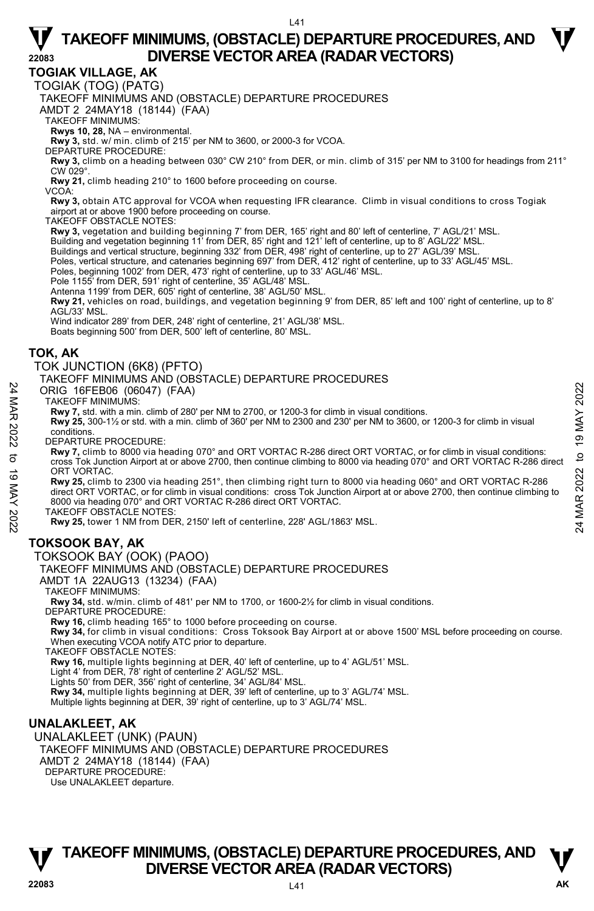**TOGIAK VILLAGE, AK** 

TOGIAK (TOG) (PATG)

TAKEOFF MINIMUMS AND (OBSTACLE) DEPARTURE PROCEDURES

AMDT 2 24MAY18 (18144) (FAA)

TAKEOFF MINIMUMS:

**Rwys 10, 28,** NA – environmental.

**Rwy 3,** std. w/ min. climb of 215' per NM to 3600, or 2000-3 for VCOA. DEPARTURE PROCEDURE:

**Rwy 3,** climb on a heading between 030° CW 210° from DER, or min. climb of 315' per NM to 3100 for headings from 211° CW 029°.

**Rwy 21,** climb heading 210° to 1600 before proceeding on course.

VCOA:

**Rwy 3,** obtain ATC approval for VCOA when requesting IFR clearance. Climb in visual conditions to cross Togiak airport at or above 1900 before proceeding on course.

TAKEOFF OBSTACLE NOTES:

**Rwy 3,** vegetation and building beginning 7' from DER, 165' right and 80' left of centerline, 7' AGL/21' MSL.

Building and vegetation beginning 11' from DER, 85' right and 121' left of centerline, up to 8' AGL/22' MSL.

Buildings and vertical structure, beginning 332' from DER, 498' right of centerline, up to 27' AGL/39' MSL.

Poles, vertical structure, and catenaries beginning 697' from DER, 412' right of centerline, up to 33' AGL/45' MSL.

Poles, beginning 1002' from DER, 473' right of centerline, up to 33' AGL/46' MSL.

Pole 1155' from DER, 591' right of centerline, 35' AGL/48' MSL.

Antenna 1199' from DER, 605' right of centerline, 38' AGL/50' MSL.

**Rwy 21,** vehicles on road, buildings, and vegetation beginning 9' from DER, 85' left and 100' right of centerline, up to 8' AGL/33' MSL.

Wind indicator 289' from DER, 248' right of centerline, 21' AGL/38' MSL.

Boats beginning 500' from DER, 500' left of centerline, 80' MSL.

#### **TOK, AK**

TOK JUNCTION (6K8) (PFTO)

TAKEOFF MINIMUMS AND (OBSTACLE) DEPARTURE PROCEDURES

ORIG 16FEB06 (06047) (FAA)

TAKEOFF MINIMUMS:

**Rwy 7,** std. with a min. climb of 280' per NM to 2700, or 1200-3 for climb in visual conditions.

**Rwy 25,** 300-1½ or std. with a min. climb of 360' per NM to 2300 and 230' per NM to 3600, or 1200-3 for climb in visual conditions.

DEPARTURE PROCEDURE:

**Rwy 7,** climb to 8000 via heading 070° and ORT VORTAC R-286 direct ORT VORTAC, or for climb in visual conditions: cross Tok Junction Airport at or above 2700, then continue climbing to 8000 via heading 070° and ORT VORTAC R-286 direct ORT VORTAC. 24 MRIG 16FEB06 (06047) (FAA)<br>
24 MAR 2022 TAKEOFF MINIMUMS:<br>
26 TAKEOFF MINIMUMS:<br>
26 TAW 7, std. with a min. climb of 380' per NM to 2700, or 1200-3 for climb in visual conditions.<br>
26 NAY 7, std. with a min. climb of

**Rwy 25,** climb to 2300 via heading 251°, then climbing right turn to 8000 via heading 060° and ORT VORTAC R-286 direct ORT VORTAC, or for climb in visual conditions: cross Tok Junction Airport at or above 2700, then continue climbing to 8000 via heading 070° and ORT VORTAC R-286 direct ORT VORTAC.

TAKEOFF OBSTACLE NOTES:

**Rwy 25,** tower 1 NM from DER, 2150' left of centerline, 228' AGL/1863' MSL.

#### **TOKSOOK BAY, AK**

TOKSOOK BAY (OOK) (PAOO)

TAKEOFF MINIMUMS AND (OBSTACLE) DEPARTURE PROCEDURES

AMDT 1A 22AUG13 (13234) (FAA)

TAKEOFF MINIMUMS:

**Rwy 34,** std. w/min. climb of 481' per NM to 1700, or 1600-2½ for climb in visual conditions.

DEPARTURE PROCEDURE:

**Rwy 16,** climb heading 165° to 1000 before proceeding on course.<br>**Rwy 34,** for climb in visual conditions: Cross Toksook Bay Airport at or above 1500' MSL before proceeding on course. When executing VCOA notify ATC prior to departure.

TAKEOFF OBSTACLE NOTES:

**Rwy 16,** multiple lights beginning at DER, 40' left of centerline, up to 4' AGL/51' MSL.

Light 4' from DER, 78' right of centerline 2' AGL/52' MSL.

Lights 50' from DER, 356' right of centerline, 34' AGL/84' MSL. **Rwy 34,** multiple lights beginning at DER, 39' left of centerline, up to 3' AGL/74' MSL.

Multiple lights beginning at DER, 39' right of centerline, up to 3' AGL/74' MSL.

#### **UNALAKLEET, AK**

UNALAKLEET (UNK) (PAUN) TAKEOFF MINIMUMS AND (OBSTACLE) DEPARTURE PROCEDURES AMDT 2 24MAY18 (18144) (FAA) DEPARTURE PROCEDURE: Use UNALAKLEET departure.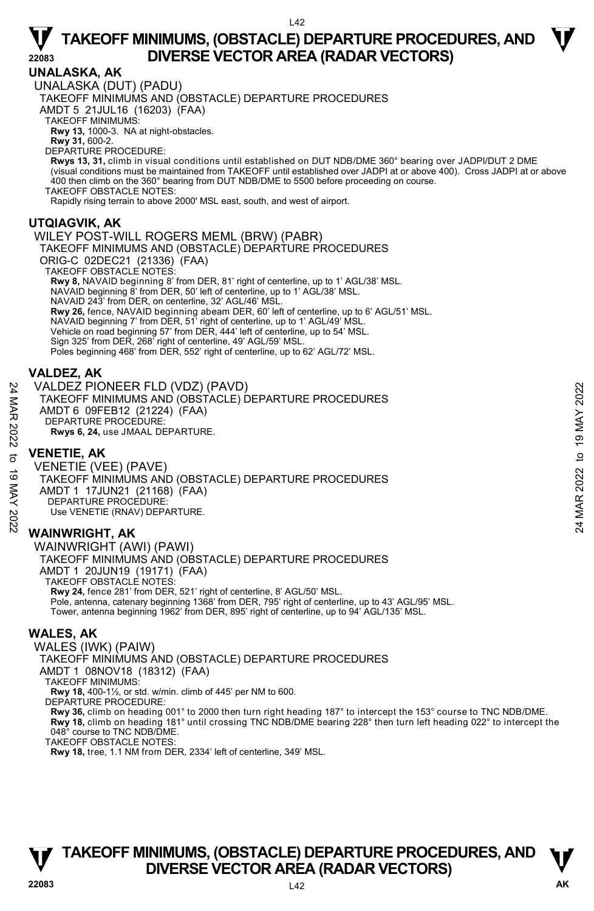#### **UNALASKA, AK**

UNALASKA (DUT) (PADU) TAKEOFF MINIMUMS AND (OBSTACLE) DEPARTURE PROCEDURES AMDT 5 21JUL16 (16203) (FAA) TAKEOFF MINIMUMS: **Rwy 13,** 1000-3. NA at night-obstacles. **Rwy 31,** 600-2. DEPARTURE PROCEDURE:

**Rwys 13, 31,** climb in visual conditions until established on DUT NDB/DME 360° bearing over JADPI/DUT 2 DME (visual conditions must be maintained from TAKEOFF until established over JADPI at or above 400). Cross JADPI at or above 400 then climb on the 360° bearing from DUT NDB/DME to 5500 before proceeding on course. TAKEOFF OBSTACLE NOTES:

Rapidly rising terrain to above 2000' MSL east, south, and west of airport.

#### **UTQIAGVIK, AK**

#### WILEY POST-WILL ROGERS MEML (BRW) (PABR) TAKEOFF MINIMUMS AND (OBSTACLE) DEPARTURE PROCEDURES ORIG-C 02DEC21 (21336) (FAA) TAKEOFF OBSTACLE NOTES: **Rwy 8,** NAVAID beginning 8' from DER, 81' right of centerline, up to 1' AGL/38' MSL. NAVAID beginning 8' from DER, 50' left of centerline, up to 1' AGL/38' MSL. NAVAID 243' from DER, on centerline, 32' AGL/46' MSL. **Rwy 26,** fence, NAVAID beginning abeam DER, 60' left of centerline, up to 6' AGL/51' MSL.<br>NAVAID beginning 7' from DER, 51' right of centerline, up to 1' AGL/49' MSL. Vehicle on road beginning 57' from DER, 444' left of centerline, up to 54' MSL. Sign 325' from DER, 268' right of centerline, 49' AGL/59' MSL. Poles beginning 468' from DER, 552' right of centerline, up to 62' AGL/72' MSL.

#### **VALDEZ, AK**

VALDEZ PIONEER FLD (VDZ) (PAVD) TAKEOFF MINIMUMS AND (OBSTACLE) DEPARTURE PROCEDURES AMDT 6 09FEB12 (21224) (FAA) DEPARTURE PROCEDURE **Rwys 6, 24,** use JMAAL DEPARTURE. VALDEZ PIONEER FLD (VDZ) (PAVD)<br>
TAKEOFF MINIMUMS AND (OBSTACLE) DEPARTURE PROCEDURES<br>
AMDT 6 OPERATURE PROCEDURE:<br>
DEPARTURE PROCEDURE:<br>
RWS 6, 24, use JMAAL DEPARTURE.<br> **CONFINITIE, AK<br>
VENETIE (VEE) (PAVE)<br>
TAKEOFF MINI** 

#### **VENETIE, AK**

VENETIE (VEE) (PAVE) TAKEOFF MINIMUMS AND (OBSTACLE) DEPARTURE PROCEDURES AMDT 1 17JUN21 (21168) (FAA) DEPARTURE PROCEDURE: Use VENETIE (RNAV) DEPARTURE.

#### **WAINWRIGHT, AK**

WAINWRIGHT (AWI) (PAWI) TAKEOFF MINIMUMS AND (OBSTACLE) DEPARTURE PROCEDURES AMDT 1 20JUN19 (19171) (FAA) TAKEOFF OBSTACLE NOTES: **Rwy 24,** fence 281' from DER, 521' right of centerline, 8' AGL/50' MSL. Pole, antenna, catenary beginning 1368' from DER, 795' right of centerline, up to 43' AGL/95' MSL. Tower, antenna beginning 1962' from DER, 895' right of centerline, up to 94' AGL/135' MSL.

#### **WALES, AK**

WALES (IWK) (PAIW) TAKEOFF MINIMUMS AND (OBSTACLE) DEPARTURE PROCEDURES AMDT 1 08NOV18 (18312) (FAA) TAKEOFF MINIMUMS: **Rwy 18,** 400-1½, or std. w/min. climb of 445' per NM to 600. DEPARTURE PROCEDURE: **Rwy 36,** climb on heading 001° to 2000 then turn right heading 187° to intercept the 153° course to TNC NDB/DME. **Rwy 18,** climb on heading 181° until crossing TNC NDB/DME bearing 228° then turn left heading 022° to intercept the<br>048° course to TNC NDB/DME. TAKEOFF OBSTACLE NOTES: **Rwy 18,** tree, 1.1 NM from DER, 2334' left of centerline, 349' MSL.